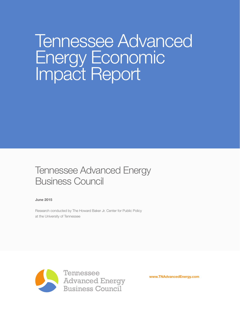# Tennessee Advanced Energy Economic Impact Report

# Tennessee Advanced Energy Business Council

June 2015

Research conducted by The Howard Baker Jr. Center for Public Policy at the University of Tennessee



www.TNAdvancedEnergy.com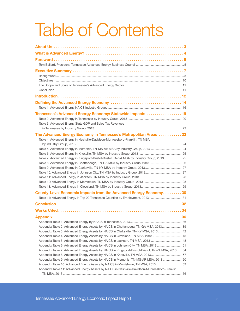# Table of Contents

| Tennessee's Advanced Energy Economy: Statewide Impacts 19                                                                                                       |  |
|-----------------------------------------------------------------------------------------------------------------------------------------------------------------|--|
|                                                                                                                                                                 |  |
| Table 3: Advanced Energy State GDP and Sales Tax Revenues                                                                                                       |  |
|                                                                                                                                                                 |  |
| The Advanced Energy Economy in Tennessee's Metropolitan Areas 23                                                                                                |  |
| Table 4: Advanced Energy in Nashville-Davidson-Murfreesboro-Franklin, TN MSA                                                                                    |  |
|                                                                                                                                                                 |  |
| Table 5: Advanced Energy in Memphis, TN-MS-AR MSA by Industry Group, 2013 24                                                                                    |  |
|                                                                                                                                                                 |  |
| Table 7: Advanced Energy in Kingsport-Bristol-Bristol, TN-VA MSA by Industry Group, 201325                                                                      |  |
| Table 8: Advanced Energy in Chattanooga, TN-GA MSA by Industry Group, 201326                                                                                    |  |
|                                                                                                                                                                 |  |
|                                                                                                                                                                 |  |
|                                                                                                                                                                 |  |
|                                                                                                                                                                 |  |
| County-Level Economic Impacts from the Advanced Energy Economy30                                                                                                |  |
| Table 14: Advanced Energy in Top 20 Tennessee Counties by Employment, 2013 31                                                                                   |  |
|                                                                                                                                                                 |  |
|                                                                                                                                                                 |  |
|                                                                                                                                                                 |  |
|                                                                                                                                                                 |  |
|                                                                                                                                                                 |  |
| Appendix Table 2: Advanced Energy Assets by NAICS in Chattanooga, TN-GA MSA, 201339                                                                             |  |
| Appendix Table 3: Advanced Energy Assets by NAICS in Clarksville, TN-KY MSA, 2013 42                                                                            |  |
| Appendix Table 4: Advanced Energy Assets by NAICS in Cleveland, TN MSA, 2013 45<br>Appendix Table 5: Advanced Energy Assets by NAICS in Jackson, TN MSA, 201348 |  |
| Appendix Table 6: Advanced Energy Assets by NAICS in Johnson City, TN MSA, 2013 51                                                                              |  |
| Appendix Table 7: Advanced Energy Assets by NAICS in Kingsport-Bristol-Bristol, TN-VA MSA, 2013  54                                                             |  |
| Appendix Table 8: Advanced Energy Assets by NAICS in Knoxville, TN MSA, 201357                                                                                  |  |
| Appendix Table 9: Advanced Energy Assets by NAICS in Memphis, TN-MS-AR MSA, 2013 60                                                                             |  |
| Appendix Table 10: Advanced Energy Assets by NAICS in Morristown, TN MSA, 2013  63                                                                              |  |
| Appendix Table 11: Advanced Energy Assets by NAICS in Nashville-Davidson-Murfreesboro-Franklin,                                                                 |  |
|                                                                                                                                                                 |  |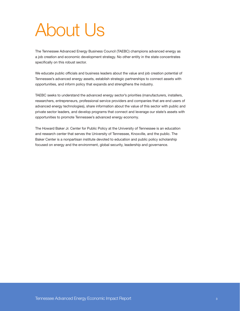# About Us

The Tennessee Advanced Energy Business Council (TAEBC) champions advanced energy as a job creation and economic development strategy. No other entity in the state concentrates specifically on this robust sector.

We educate public officials and business leaders about the value and job creation potential of Tennessee's advanced energy assets, establish strategic partnerships to connect assets with opportunities, and inform policy that expands and strengthens the industry.

TAEBC seeks to understand the advanced energy sector's priorities (manufacturers, installers, researchers, entrepreneurs, professional service providers and companies that are end users of advanced energy technologies), share information about the value of this sector with public and private sector leaders, and develop programs that connect and leverage our state's assets with opportunities to promote Tennessee's advanced energy economy.

The Howard Baker Jr. Center for Public Policy at the University of Tennessee is an education and research center that serves the University of Tennessee, Knoxville, and the public. The Baker Center is a nonpartisan institute devoted to education and public policy scholarship focused on energy and the environment, global security, leadership and governance.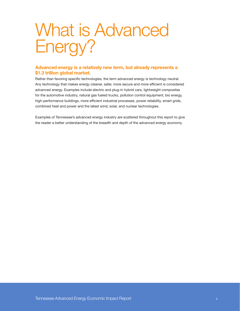# What is Advanced Energy?

## Advanced energy is a relatively new term, but already represents a \$1.3 trillion global market.

Rather than favoring specific technologies, the term advanced energy is technology neutral. Any technology that makes energy cleaner, safer, more secure and more efficient is considered advanced energy. Examples include electric and plug-in hybrid cars, lightweight composites for the automotive industry, natural gas fueled trucks, pollution control equipment, bio energy, high-performance buildings, more efficient industrial processes, power reliability, smart grids, combined heat and power and the latest wind, solar, and nuclear technologies.

Examples of Tennessee's advanced energy industry are scattered throughout this report to give the reader a better understanding of the breadth and depth of the advanced energy economy.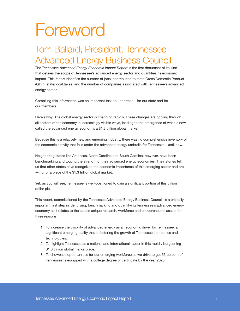# Foreword

# Tom Ballard, President, Tennessee Advanced Energy Business Council

The *Tennessee Advanced Energy Economic Impact Report* is the first document of its kind that defines the scope of Tennessee's advanced energy sector and quantifies its economic impact. This report identifies the number of jobs, contribution to state Gross Domestic Product (GDP), state/local taxes, and the number of companies associated with Tennessee's advanced energy sector.

Compiling this information was an important task to undertake—for our state and for our members.

Here's why: The global energy sector is changing rapidly. These changes are rippling through all sectors of the economy in increasingly visible ways, leading to the emergence of what is now called the advanced energy economy, a \$1.3 trillion global market.

Because this is a relatively new and emerging industry, there was no comprehensive inventory of the economic activity that falls under the advanced energy umbrella for Tennessee—until now.

Neighboring states like Arkansas, North Carolina and South Carolina, however, have been benchmarking and touting the strength of their advanced energy economies. Their stories tell us that other states have recognized the economic importance of this emerging sector and are vying for a piece of the \$1.3 trillion global market.

Yet, as you will see, Tennessee is well-positioned to gain a significant portion of this trillion dollar pie.

This report, commissioned by the Tennessee Advanced Energy Business Council, is a critically important first step in identifying, benchmarking and quantifying Tennessee's advanced energy economy as it relates to the state's unique research, workforce and entrepreneurial assets for three reasons.

- 1. To increase the visibility of advanced energy as an economic driver for Tennessee, a significant emerging reality that is fostering the growth of Tennessee companies and technologies.
- 2. To highlight Tennessee as a national and international leader in this rapidly burgeoning \$1.3 trillion global marketplace.
- 3. To showcase opportunities for our emerging workforce as we drive to get 55 percent of Tennesseans equipped with a college degree or certificate by the year 2025.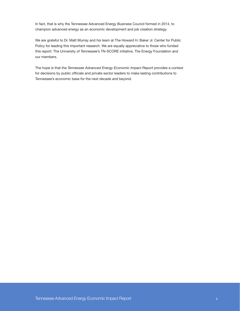In fact, that is why the Tennessee Advanced Energy Business Council formed in 2014, to champion advanced energy as an economic development and job creation strategy.

We are grateful to Dr. Matt Murray and his team at The Howard H. Baker Jr. Center for Public Policy for leading this important research. We are equally appreciative to those who funded this report: The University of Tennessee's TN-SCORE initiative, The Energy Foundation and our members.

The hope is that the *Tennessee Advanced Energy Economic Impact Report* provides a context for decisions by public officials and private sector leaders to make lasting contributions to Tennessee's economic base for the next decade and beyond.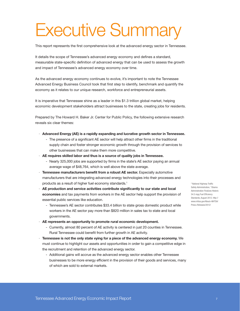# Executive Summary

This report represents the first comprehensive look at the advanced energy sector in Tennessee.

It details the scope of Tennessee's advanced energy economy and defines a standard, measurable state-specific definition of advanced energy that can be used to assess the growth and impact of Tennessee's advanced energy economy over time.

As the advanced energy economy continues to evolve, it's important to note the Tennessee Advanced Energy Business Council took that first step to identify, benchmark and quantify the economy as it relates to our unique research, workforce and entrepreneurial assets.

It is imperative that Tennessee shine as a leader in this \$1.3 trillion global market, helping economic development stakeholders attract businesses to the state, creating jobs for residents.

Prepared by The Howard H. Baker Jr. Center for Public Policy, the following extensive research reveals six clear themes:

- · Advanced Energy (AE) is a rapidly expanding and lucrative growth sector in Tennessee.
	- The presence of a significant AE sector will help attract other firms in the traditional supply chain and foster stronger economic growth through the provision of services to other businesses that can make them more competitive.
- · AE requires skilled labor and thus is a source of quality jobs in Tennessee.
	- Nearly 325,000 jobs are supported by firms in the state's AE sector paying an annual average wage of \$48,764, which is well above the state average.
- · Tennessee manufacturers benefit from a robust AE sector. Especially automotive manufacturers that are integrating advanced energy technologies into their processes and products as a result of higher fuel economy standards.<sup>1</sup>
- · AE production and service activities contribute significantly to our state and local economies and tax payments from workers in the AE sector help support the provision of essential public services like education.
	- Tennessee's AE sector contributes \$33.4 billion to state gross domestic product while workers in the AE sector pay more than \$820 million in sales tax to state and local governments.
- · AE represents an opportunity to promote rural economic development.
	- Currently, almost 80 percent of AE activity is centered in just 20 counties in Tennessee. Rural Tennessee could benefit from further growth in AE activity.
- · Tennessee is not the only state vying for a piece of the advanced energy economy. We must continue to highlight our assets and opportunities in order to gain a competitive edge in the recruitment and retention of the advanced energy sector.
	- Additional gains will accrue as the advanced energy sector enables other Tennessee businesses to be more energy efficient in the provision of their goods and services, many of which are sold to external markets.

2 National Highway Traffic Safety Administration, "Obama Administration Finalizes Historic 54.5 mpg Fuel Efficiency Standards, August 2012. http:// www.nhtsa.gov/About+NHTSA/ Press+Releases/2012/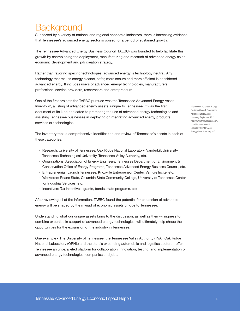# **Background**

Supported by a variety of national and regional economic indicators, there is increasing evidence that Tennessee's advanced energy sector is poised for a period of sustained growth.

The Tennessee Advanced Energy Business Council (TAEBC) was founded to help facilitate this growth by championing the deployment, manufacturing and research of advanced energy as an economic development and job creation strategy.

Rather than favoring specific technologies, advanced energy is technology neutral. Any technology that makes energy cleaner, safer, more secure and more efficient is considered advanced energy. It includes users of advanced energy technologies, manufacturers, professional service providers, researchers and entrepreneurs.

One of the first projects the TAEBC pursued was the Tennessee Advanced Energy Asset Inventory<sup>2</sup>, a listing of advanced energy assets, unique to Tennessee. It was the first document of its kind dedicated to promoting the use of advanced energy technologies and assisting Tennessee businesses in deploying or integrating advanced energy products, services or technologies.

The inventory took a comprehensive identification and review of Tennessee's assets in each of these categories:

- · Research: University of Tennessee, Oak Ridge National Laboratory, Vanderbilt University, Tennessee Technological University, Tennessee Valley Authority, etc.
- · Organizations: Association of Energy Engineers, Tennessee Department of Environment & Conservation Office of Energy Programs, Tennessee Advanced Energy Business Council, etc.
- · Entrepreneurial: Launch Tennessee, Knoxville Entrepreneur Center, Venture Incite, etc.
- · Workforce: Roane State, Columbia State Community College, University of Tennessee Center for Industrial Services, etc.
- · Incentives: Tax incentives, grants, bonds, state programs, etc.

After reviewing all of the information, TAEBC found the potential for expansion of advanced energy will be shaped by the myriad of economic assets unique to Tennessee.

Understanding what our unique assets bring to the discussion, as well as their willingness to combine expertise in support of advanced energy technologies, will ultimately help shape the opportunities for the expansion of the industry in Tennessee.

One example - The University of Tennessee, the Tennessee Valley Authority (TVA), Oak Ridge National Laboratory (ORNL) and the state's expanding automobile and logistics sectors - offer Tennessee an unparalleled platform for collaboration, innovation, testing, and implementation of advanced energy technologies, companies and jobs.

2 Tennessee Advanced Energy Business Council, Tennessee's Advanced Energy Asset Inventory, September 2013: http://www.tnadvancedenergy. com/site/wp-content/ uploads/2012/09/TAEBC-Energy-Asset-Inventory.pdf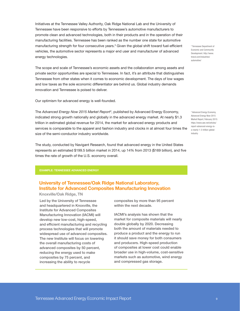Initiatives at the Tennessee Valley Authority, Oak Ridge National Lab and the University of Tennessee have been responsive to efforts by Tennessee's automotive manufacturers to promote clean and advanced technologies, both in their products and in the operation of their manufacturing facilities. Tennessee has been ranked as the number one state for automotive manufacturing strength for four consecutive years.<sup>3</sup> Given the global shift toward fuel-efficient vehicles, the automotive sector represents a major end user and manufacturer of advanced energy technologies.

The scope and scale of Tennessee's economic assets and the collaboration among assets and private sector opportunities are special to Tennessee. In fact, it's an attribute that distinguishes Tennessee from other states when it comes to economic development. The days of low wages and low taxes as the sole economic differentiator are behind us. Global industry demands innovation and Tennessee is poised to deliver.

Our optimism for advanced energy is well-founded.

The *Advanced Energy Now 2015 Market Report*<sup>4</sup> , published by Advanced Energy Economy, indicated strong growth nationally and globally in the advanced energy market. At nearly \$1.3 trillion in estimated global revenue for 2014, the market for advanced energy products and services is comparable to the apparel and fashion industry and clocks in at almost four times the size of the semi-conductor industry worldwide.

The study, conducted by Navigant Research, found that advanced energy in the United States represents an estimated \$199.5 billion market in 2014, up 14% from 2013 (\$169 billion), and five times the rate of growth of the U.S. economy overall.

#### EXAMPLE: TENNESSEE ADVANCED ENERGY

## University of Tennessee/Oak Ridge National Laboratory, Institute for Advanced Composites Manufacturing Innovation

Knoxville/Oak Ridge, TN

Led by the University of Tennessee and headquartered in Knoxville, the Institute for Advanced Composites Manufacturing Innovation (IACMI) will develop new low-cost, high-speed, and efficient manufacturing and recycling process technologies that will promote widespread use of advanced composites. The new Institute will focus on lowering the overall manufacturing costs of advanced composites by 50 percent, reducing the energy used to make composites by 75 percent, and increasing the ability to recycle

composites by more than 95 percent within the next decade.

IACMI's analysis has shown that the market for composite materials will nearly double globally by 2020. Decreasing both the amount of materials needed to produce a product and the energy to run it should save money for both consumers and producers. High-speed production of composites at lower cost could enable broader use in high-volume, cost-sensitive markets such as automotive, wind energy and compressed gas storage.

3 Tennessee Department of Economic and Community Development. http://www. tnecd.com/industries/ automotive/

4 Advanced Energy Economy, Advanced Energy Now 2015 Market Report, February 2015: https://www.aee.net/articles/ report-advanced-energy-isa-nearly-1-3-trillion-globalindustry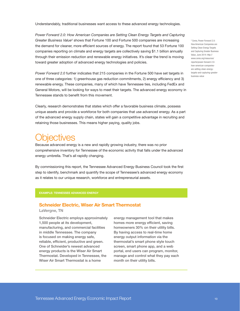Understandably, traditional businesses want access to these advanced energy technologies.

*Power Forward 2.0: How American Companies are Setting Clean Energy Targets and Capturing*  Greater Business Value<sup>5</sup> shows that Fortune 100 and Fortune 500 companies are increasing the demand for cleaner, more efficient sources of energy. The report found that 53 Fortune 100 companies reporting on climate and energy targets are collectively saving \$1.1 billion annually through their emission reduction and renewable energy initiatives. It's clear the trend is moving toward greater adoption of advanced energy technologies and policies.

*Power Forward 2.0* further indicates that 215 companies in the Fortune 500 have set targets in one of three categories: 1) greenhouse gas reduction commitments, 2) energy efficiency and 3) renewable energy. These companies, many of which have Tennessee ties, including FedEx and General Motors, will be looking for ways to meet their targets. The advanced energy economy in Tennessee stands to benefit from this movement.

Clearly, research demonstrates that states which offer a favorable business climate, possess unique assets and provide a workforce for both companies that use advanced energy. As a part of the advanced energy supply chain, states will gain a competitive advantage in recruiting and retaining those businesses. This means higher paying, quality jobs.

# biectives

Because advanced energy is a new and rapidly growing industry, there was no prior comprehensive inventory for Tennessee of the economic activity that falls under the advanced energy umbrella. That's all rapidly changing.

By commissioning this report, the Tennessee Advanced Energy Business Council took the first step to identify, benchmark and quantify the scope of Tennessee's advanced energy economy as it relates to our unique research, workforce and entrepreneurial assets.

#### EXAMPLE: TENNESSEE ADVANCED ENERGY

#### Schneider Electric, Wiser Air Smart Thermostat

LaVergne, TN

Schneider Electric employs approximately 1,500 people at its development, manufacturing, and commercial facilities in middle Tennessee. The company is focused on making energy safe, reliable, efficient, productive and green. One of Schneider's newest advanced energy products is the Wiser Air Smart Thermostat. Developed in Tennessee, the Wiser Air Smart Thermostat is a home

energy management tool that makes homes more energy efficient, saving homeowners 30% on their utility bills. By having access to real-time home energy output information via the thermostat's smart phone style touch screen, smart phone app, and a web portal, end users can program, monitor, manage and control what they pay each month on their utility bills.

5 Ceres, Power Forward 2.0: How American Companies are Setting Clean Energy Targets and Capturing Greater Business Value, June 2014: http:// www.ceres.org/resources/ reports/power-forward-2.0 how-american-companiesare-setting-clean-energytargets-and-capturing-greaterbusiness-value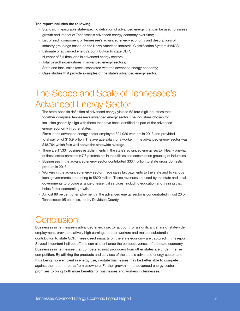#### The report includes the following:

- · Standard, measurable state-specific definition of advanced energy that can be used to assess growth and impact of Tennessee's advanced energy economy over time;
- · List of each component of Tennessee's advanced energy economy and descriptions of industry groupings based on the North American Industrial Classification System (NAICS);
- · Estimate of advanced energy's contribution to state GDP;
- · Number of full time jobs in advanced energy sectors;
- · Total payroll expenditures in advanced energy sectors;
- · State and local sales taxes associated with the advanced energy economy;
- · Case studies that provide examples of the state's advanced energy sector.

# The Scope and Scale of Tennessee's Advanced Energy Sector

- · The state-specific definition of advanced energy yielded 62 four-digit industries that together comprise Tennessee's advanced energy sector. The industries chosen for inclusion generally align with those that have been identified as part of the advanced energy economy in other states.
- · Firms in the advanced energy sector employed 324,920 workers in 2013 and provided total payroll of \$15.9 billion. The average salary of a worker in the advanced energy sector was \$48,764 which falls well above the statewide average.
- · There are 17,334 business establishments in the state's advanced energy sector. Nearly one-half of these establishments (47.5 percent) are in the utilities and construction grouping of industries.
- Businesses in the advanced energy sector contributed \$33.4 billion to state gross domestic product in 2013.
- · Workers in the advanced energy sector made sales tax payments to the state and to various local governments amounting to \$820 million. These revenues are used by the state and local governments to provide a range of essential services, including education and training that helps foster economic growth.
- · Almost 80 percent of employment in the advanced energy sector is concentrated in just 20 of Tennessee's 95 counties, led by Davidson County.

# **Conclusion**

Businesses in Tennessee's advanced energy sector account for a significant share of statewide employment, provide relatively high earnings to their workers and make a substantial contribution to state GDP. These direct impacts on the state economy are captured in this report. Several important indirect effects can also enhance the competitiveness of the state economy. Businesses in Tennessee that compete against producers from other states are under intense competition. By utilizing the products and services of the state's advanced energy sector, and thus being more efficient in energy use, in-state businesses may be better able to compete against their counterparts from elsewhere. Further growth in the advanced energy sector promises to bring forth more benefits for businesses and workers in Tennessee.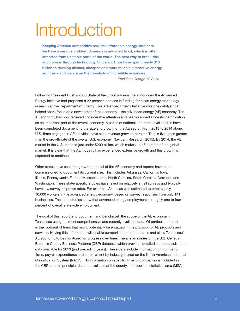# Introduction

Keeping America competitive requires affordable energy. And here we have a serious problem: America is addicted to oil, which is often imported from unstable parts of the world. The best way to break this addiction is through technology. Since 2001, we have spent nearly \$10 billion to develop cleaner, cheaper, and more reliable alternative energy sources – and we are on the threshold of incredible advances.

*—President George W. Bush*

Following President Bush's 2006 State of the Union address, he announced the Advanced Energy Initiative and proposed a 22 percent increase in funding for clean energy technology research at the Department of Energy. This Advanced Energy Initiative was one catalyst that helped spark focus on a new sector of the economy – the advanced energy (AE) economy. The AE economy has now received considerable attention and has flourished since its identification as an important part of the overall economy. A series of national and state-level studies have been completed documenting the size and growth of the AE sector. From 2013 to 2014 alone, U.S. firms engaged in AE activities have seen revenue grow 14 percent. That is five times greater than the growth rate of the overall U.S. economy (Navigant Research, 2015). By 2014, the AE market in the U.S. reached just under \$200 billion, which makes up 15 percent of the global market. It is clear that the AE industry has experienced extensive growth and this growth is expected to continue.

Other states have seen the growth potential of the AE economy and reports have been commissioned to document its current size. This includes Arkansas, California, Iowa, Illinois, Pennsylvania, Florida, Massachusetts, North Carolina, South Carolina, Vermont, and Washington. These state-specific studies have relied on relatively small surveys and typically have low survey response rates. For example, Arkansas was estimated to employ only 16,000 workers in the advanced energy economy, based on survey responses from only 141 businesses. The state studies show that advanced energy employment is roughly one to four percent of overall statewide employment.

The goal of this report is to document and benchmark the scope of the AE economy in Tennessee using the most comprehensive and recently available data. Of particular interest is the footprint of firms that might potentially be engaged in the provision of AE products and services. Having this information will enable comparisons to other states and allow Tennessee's AE economy to be monitored for progress over time. The analysis relies on the U.S. Census Bureau's County Business Patterns (CBP) database which provides detailed state and sub-state data available for 2013 (and preceding years). These data include information on number of firms, payroll expenditures and employment by industry, based on the North American Industrial Classification System (NAICS). No information on specific firms or companies is included in the CBP data. In principle, data are available at the county, metropolitan statistical area (MSA),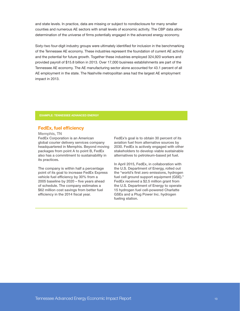and state levels. In practice, data are missing or subject to nondisclosure for many smaller counties and numerous AE sectors with small levels of economic activity. The CBP data allow determination of the universe of firms potentially engaged in the advanced energy economy.

Sixty-two four-digit industry groups were ultimately identified for inclusion in the benchmarking of the Tennessee AE economy. These industries represent the foundation of current AE activity and the potential for future growth. Together these industries employed 324,920 workers and provided payroll of \$15.8 billion in 2013. Over 17,000 business establishments are part of the Tennessee AE economy. The AE manufacturing sector alone accounted for 43.1 percent of all AE employment in the state. The Nashville metropolitan area had the largest AE employment impact in 2013.

EXAMPLE: TENNESSEE ADVANCED ENERGY

### FedEx, fuel efficiency

Memphis, TN

FedEx Corporation is an American global courier delivery services company headquartered in Memphis. Beyond moving packages from point A to point B, FedEx also has a commitment to sustainability in its practices.

The company is within half a percentage point of its goal to increase FedEx Express vehicle fuel efficiency by 30% from a 2005 baseline by 2020 – five years ahead of schedule. The company estimates a \$62 million cost savings from better fuel efficiency in the 2014 fiscal year.

FedEx's goal is to obtain 30 percent of its aviation fuel from alternative sources by 2030. FedEx is actively engaged with other stakeholders to develop viable sustainable alternatives to petroleum-based jet fuel.

In April 2015, FedEx, in collaboration with the U.S. Department of Energy, rolled out the "world's first zero emissions, hydrogen fuel cell ground support equipment (GSE)." FedEx received a \$2.5 million grant from the U.S. Department of Energy to operate 15 hydrogen fuel cell-powered Charlatte GSEs and a Plug Power Inc. hydrogen fueling station.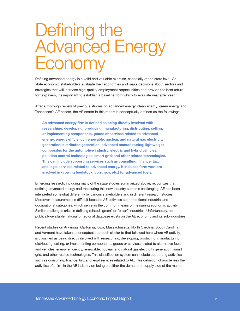# Defining the Advanced Energy Economy

Defining advanced energy is a valid and valuable exercise, especially at the state level. As state economic stakeholders evaluate their economies and make decisions about sectors and strategies that will increase high-quality employment opportunities and provide the best return for taxpayers, it's important to establish a baseline from which to evaluate year after year.

After a thorough review of previous studies on advanced energy, clean energy, green energy and Tennessee's AE assets, the AE sector in this report is conceptually defined as the following:

An advanced energy firm is defined as being directly involved with researching, developing, producing, manufacturing, distributing, selling, or implementing components, goods or services related to advanced energy; energy efficiency; renewable, nuclear, and natural gas electricity generation; distributed generation; advanced manufacturing; lightweight composites for the automotive industry; electric and hybrid vehicles; pollution control technologies; smart grid; and other related technologies. This can include supporting services such as consulting, finance, tax, and legal services related to advanced energy. It includes farm workers involved in growing feedstock (corn, soy, etc.) for advanced fuels.

Emerging research, including many of the state studies summarized above, recognizes that defining advanced energy and measuring this new industry sector is challenging. AE has been interpreted somewhat differently by various stakeholders and in different research studies. Moreover, measurement is difficult because AE activities span traditional industrial and occupational categories, which serve as the common means of measuring economic activity. Similar challenges arise in defining related "green" or "clean" industries. Unfortunately, no publically-available national or regional database exists on the AE economy and its sub-industries.

Recent studies on Arkansas, California, Iowa, Massachusetts, North Carolina, South Carolina, and Vermont have taken a conceptual approach similar to that followed here where AE activity is classified as being directly involved with researching, developing, producing, manufacturing, distributing, selling, or implementing components, goods or services related to alternative fuels and vehicles, energy efficiency, renewable, nuclear, and natural gas electricity generation; smart grid; and other related technologies. This classification system can include supporting activities such as consulting, finance, tax, and legal services related to AE. This definition characterizes the activities of a firm in the AE industry on being on either the demand or supply side of the market.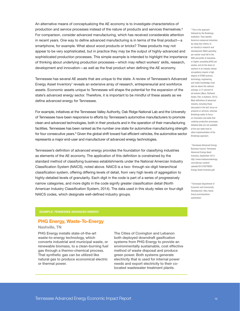An alternative means of conceptualizing the AE economy is to investigate characteristics of production and service processes instead of the nature of products and services themselves.<sup>6</sup> For comparison, consider advanced manufacturing, which has received considerable attention in recent years. One way to define advanced manufacturing is in terms of the final product—a smartphone, for example. What about wood products or bricks? These products may not appear to be very sophisticated, but in practice they may be the output of highly-advanced and sophisticated production processes. This simple example is intended to highlight the importance of thinking about underlying production processes—which may reflect workers' skills, research, development and innovation—as well as the final product when defining the AE economy.

Tennessee has several AE assets that are unique to the state. A review of Tennessee's Advanced Energy Asset Inventory<sup>7</sup> reveals an extensive array of research, entrepreneurial and workforce assets. Economic assets unique to Tennessee will shape the potential for the expansion of the state's advanced energy sector. Therefore, it is important to be mindful of these assets as we define advanced energy for Tennessee.

For example, initiatives at the Tennessee Valley Authority, Oak Ridge National Lab and the University of Tennessee have been responsive to efforts by Tennessee's automotive manufacturers to promote clean and advanced technologies, both in their products and in the operation of their manufacturing facilities. Tennessee has been ranked as the number one state for automotive manufacturing strength for four consecutive years.<sup>8</sup> Given the global shift toward fuel efficient vehicles, the automotive sector represents a major end-user and manufacturer of advanced energy technologies.

Tennessee's definition of advanced energy provides the foundation for classifying industries as elements of the AE economy. The application of this definition is constrained by the standard method of classifying business establishments under the National Amercian Industry Classification System (NAICS), noted above. NAICS is a two- through six-digit hierarchical classification system, offering differing levels of detail, from very high levels of aggregation to highly-detailed levels of granularity. Each digit in the code is part of a series of progressively narrow categories, and more digits in the code signify greater classification detail (North American Industry Classification System, 2014). The data used in this study relies on four-digit NAICS codes, which designate well-defined industry groups.

#### 6 This is the approach followed by the Brookings Institution. They identify America's advanced industries by using two criteria: (i) an industry's research and development (R&D) spending per worker must fall in the 80th percentile of industries or higher, exceeding \$450 per worker, and (ii) the share of workers in an industry whose occupations require a high degree of STEM (science, technology, engineering, and math) knowledge must also be above the national average, or 21 percent of all workers (Muro, Rothwell, Andes, Fikri, & Kulkarni, 2015). Most definitions of advanced industry, including those discussed in the text, focus on products or services, whereas Brookings seeks to focus on innovation and skills that underlay production processes. Detailed data are not available at the sub-state level to allow implementation of the Brookings approach.

7 Tennessee Advanced Energy Business Council, Tennessee Advanced Energy Asset Inventory, September 2013: http://www.tnadvancedenergy. com/site/wp-content/ uploads/2012/09/TAEBC-Energy-Asset-Inventory.pdf

8 Tennessee Department of Economic and Community Development. http://www. tnecd.com/industries/ automotive/

### PHG Energy, Waste-To-Energy

#### Nashville, TN

PHG Energy installs state-of-the-art waste-to-energy technology, which converts industrial and municipal waste, or renewable biomass, to a clean-burning fuel gas through a thermo-chemical process. That synthetic gas can be utilized like natural gas to produce economical electric or thermal power.

The Cities of Covington and Lebanon both deployed downdraft gasification systems from PHG Energy to provide an environmentally sustainable, cost effective method of waste disposal and produce green power. Both systems generate electricity that is used for internal power needs and export electricity to their colocated wastewater treatment plants.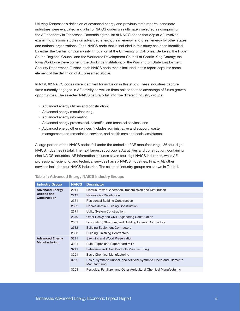Utilizing Tennessee's definition of advanced energy and previous state reports, candidate industries were evaluated and a list of NAICS codes was ultimately selected as comprising the AE economy in Tennessee. Determining the list of NAICS codes that depict AE involved examining previous studies on advanced energy, clean energy, and green energy by other states and national organizations. Each NAICS code that is included in this study has been identified by either the Center for Community Innovation at the University of California, Berkeley; the Puget Sound Regional Council and the Workforce Development Council of Seattle-King County; the Iowa Workforce Development; the Bookings Institution; or the Washington State Employment Security Department. Further, each NAICS code that is included in this report captures some element of the definition of AE presented above.

In total, 62 NAICS codes were identified for inclusion in this study. These industries capture firms currently engaged in AE activity as well as firms poised to take advantage of future growth opportunities. The selected NAICS naturally fall into five different industry groups:

- · Advanced energy utilities and construction;
- · Advanced energy manufacturing;
- · Advanced energy information;
- · Advanced energy professional, scientific, and technical services; and
- · Advanced energy other services (includes administrative and support, waste management and remediation services, and health care and social assistance).

A large portion of the NAICS codes fall under the umbrella of AE manufacturing – 36 four-digit NAICS industries in total. The next largest subgroup is AE utilities and construction, containing nine NAICS industries. AE information includes seven four-digit NAICS industries, while AE professional, scientific, and technical services has six NAICS industries. Finally, AE other services includes four NAICS industries. The selected industry groups are shown in Table 1.

| <b>Industry Group</b>                       | <b>NAICS</b> | <b>Descriptor</b>                                                                       |
|---------------------------------------------|--------------|-----------------------------------------------------------------------------------------|
| <b>Advanced Energy</b>                      | 2211         | Electric Power Generation, Transmission and Distribution                                |
| <b>Utilities and</b><br><b>Construction</b> | 2212         | <b>Natural Gas Distribution</b>                                                         |
|                                             | 2361         | <b>Residential Building Construction</b>                                                |
|                                             | 2362         | Nonresidential Building Construction                                                    |
|                                             | 2371         | Utility System Construction                                                             |
|                                             | 2379         | Other Heavy and Civil Engineering Construction                                          |
|                                             | 2381         | Foundation, Structure, and Building Exterior Contractors                                |
|                                             | 2382         | <b>Building Equipment Contractors</b>                                                   |
|                                             | 2383         | <b>Building Finishing Contractors</b>                                                   |
| <b>Advanced Energy</b>                      | 3211         | Sawmills and Wood Preservation                                                          |
| Manufacturing                               | 3221         | Pulp, Paper, and Paperboard Mills                                                       |
|                                             | 3241         | Petroleum and Coal Products Manufacturing                                               |
|                                             | 3251         | <b>Basic Chemical Manufacturing</b>                                                     |
|                                             | 3252         | Resin, Synthetic Rubber, and Artificial Synthetic Fibers and Filaments<br>Manufacturing |
|                                             | 3253         | Pesticide, Fertilitzer, and Other Agricultural Chemical Manufacturing                   |

#### Table 1: Advanced Energy NAICS Industry Groups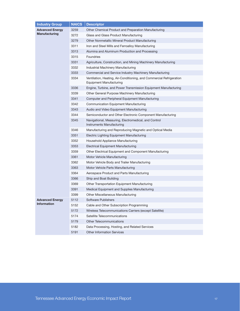| <b>Industry Group</b>  | <b>NAICS</b> | <b>Descriptor</b>                                                                               |
|------------------------|--------------|-------------------------------------------------------------------------------------------------|
| <b>Advanced Energy</b> | 3259         | Other Chemical Product and Preparation Manufacturing                                            |
| Manufacturing          | 3272         | Glass and Glass Product Manufacturing                                                           |
|                        | 3279         | Other Nonmetallic Mineral Product Manufacturing                                                 |
|                        | 3311         | Iron and Steel Mills and Ferroalloy Manufacturing                                               |
|                        | 3313         | Alumina and Aluminum Production and Processing                                                  |
|                        | 3315         | <b>Foundries</b>                                                                                |
|                        | 3331         | Agriculture, Construction, and Mining Machinery Manufacturing                                   |
|                        | 3332         | Industrial Machinery Manufacturing                                                              |
|                        | 3333         | Commercial and Service Industry Machinery Manufacturing                                         |
|                        | 3334         | Ventilation, Heating, Air-Conditioning, and Commercial Refrigeration<br>Equipment Manufacturing |
|                        | 3336         | Engine, Turbine, and Power Transmission Equipment Manufacturing                                 |
|                        | 3339         | Other General Purpose Machinery Manufacturing                                                   |
|                        | 3341         | Computer and Peripheral Equipment Manufacturing                                                 |
|                        | 3342         | <b>Communication Equipment Manufacturing</b>                                                    |
|                        | 3343         | Audio and Video Equipment Manufacturing                                                         |
|                        | 3344         | Semiconductor and Other Electronic Component Manufacturing                                      |
|                        | 3345         | Navigational, Measuring, Electromedical, and Control<br>Instruments Manufacturing               |
|                        | 3346         | Manufacturing and Reproducing Magnetic and Optical Media                                        |
|                        | 3351         | Electric Lighting Equipment Manufacturing                                                       |
|                        | 3352         | Household Appliance Manufacturing                                                               |
|                        | 3353         | <b>Electrical Equipment Manufacturing</b>                                                       |
|                        | 3359         | Other Electrical Equipment and Component Manufacturing                                          |
|                        | 3361         | Motor Vehicle Manufacturing                                                                     |
|                        | 3362         | Motor Vehicle Body and Trailer Manufacturing                                                    |
|                        | 3363         | Motor Vehicle Parts Manufacturing                                                               |
|                        | 3364         | Aerospace Product and Parts Manufacturing                                                       |
|                        | 3366         | Ship and Boat Building                                                                          |
|                        | 3369         | Other Transportation Equipment Manufacturing                                                    |
|                        | 3391         | Medical Equipment and Supplies Manufacturing                                                    |
|                        | 3399         | Other Miscellaneous Manufacturing                                                               |
| <b>Advanced Energy</b> | 5112         | <b>Software Publishers</b>                                                                      |
| <b>Information</b>     | 5152         | Cable and Other Subscription Programming                                                        |
|                        | 5172         | Wireless Telecommunications Carriers (except Satellite)                                         |
|                        | 5174         | Satellite Telecommunications                                                                    |
|                        | 5179         | <b>Other Telecommunications</b>                                                                 |
|                        | 5182         | Data Processing, Hosting, and Related Services                                                  |
|                        | 5191         | <b>Other Information Services</b>                                                               |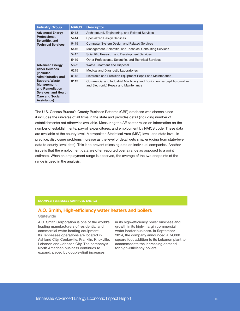| <b>Industry Group</b>                                                                                                   | <b>NAICS</b> | <b>Descriptor</b>                                                                                              |
|-------------------------------------------------------------------------------------------------------------------------|--------------|----------------------------------------------------------------------------------------------------------------|
| <b>Advanced Energy</b>                                                                                                  | 5413         | Architectural, Engineering, and Related Services                                                               |
| Professional,<br>Scientific, and                                                                                        | 5414         | <b>Specialized Design Services</b>                                                                             |
| <b>Technical Services</b>                                                                                               | 5415         | <b>Computer System Design and Related Services</b>                                                             |
|                                                                                                                         | 5416         | Management, Scientific, and Technical Consulting Services                                                      |
|                                                                                                                         | 5417         | Scientific Research and Development Services                                                                   |
|                                                                                                                         | 5419         | Other Professional, Scientific, and Technical Services                                                         |
| <b>Advanced Energy</b>                                                                                                  | 5622         | Waste Treatment and Disposal                                                                                   |
| <b>Other Services</b><br>(Includes)                                                                                     | 6215         | Medical and Diagnostic Laboratories                                                                            |
| Administrative and                                                                                                      | 8112         | Electronic and Precision Equipment Repair and Maintenance                                                      |
| Support, Waste<br><b>Management</b><br>and Remediation<br>Services, and Health<br><b>Care and Social</b><br>Assistance) | 8113         | Commercial and Industrial Machinery and Equipment (except Automotive<br>and Electronic) Repair and Maintenance |

The U.S. Census Bureau's County Business Patterns (CBP) database was chosen since it includes the universe of all firms in the state and provides detail (including number of establishments) not otherwise available. Measuring the AE sector relied on information on the number of establishments, payroll expenditures, and employment by NAICS code. These data are available at the county level, Metropolitan Statistical Area (MSA) level, and state level. In practice, disclosure problems increase as the level of detail gets smaller (going from state-level data to county-level data). This is to prevent releasing data on individual companies. Another issue is that the employment data are often reported over a range as opposed to a point estimate. When an employment range is observed, the average of the two endpoints of the range is used in the analysis.

#### EXAMPLE: TENNESSEE ADVANCED ENERGY

### A.O. Smith, High-efficiency water heaters and boilers

#### **Statewide**

A.O. Smith Corporation is one of the world's leading manufacturers of residential and commercial water heating equipment. Its Tennessee operations are located in Ashland City, Cookeville, Franklin, Knoxville, Lebanon and Johnson City. The company's North American business continues to expand, paced by double-digit increases

in its high-efficiency boiler business and growth in its high-margin commercial water heater business. In September 2014, the company announced a 74,000 square foot addition to its Lebanon plant to accommodate the increasing demand for high-efficiency boilers.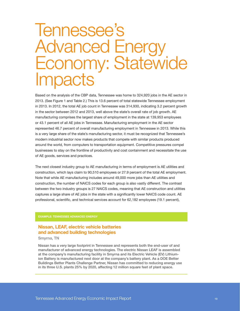# Tennessee's Advanced Energy Economy: Statewide **Impacts**

Based on the analysis of the CBP data, Tennessee was home to 324,920 jobs in the AE sector in 2013. (See Figure 1 and Table 2.) This is 13.6 percent of total statewide Tennessee employment in 2013. In 2012, the total AE job count in Tennessee was 314,930, indicating 3.2 percent growth in the sector between 2012 and 2013, well above the state's overall rate of job growth. AE manufacturing comprises the largest share of employment in the state at 139,953 employees or 43.1 percent of all AE jobs in Tennessee. Manufacturing employment in the AE sector represented 46.7 percent of overall manufacturing employment in Tennessee in 2013. While this is a very large share of the state's manufacturing sector, it must be recognized that Tennessee's modern industrial sector now makes products that compete with similar products produced around the world, from computers to transportation equipment. Competitive pressures compel businesses to stay on the frontline of productivity and cost containment and necessitate the use of AE goods, services and practices.

The next closest industry group to AE manufacturing in terms of employment is AE utilities and construction, which lays claim to 90,510 employees or 27.9 percent of the total AE employment. Note that while AE manufacturing includes around 49,000 more jobs than AE utilities and construction, the number of NAICS codes for each group is also vastly different. The contrast between the two industry groups is 27 NAICS codes, meaning that AE construction and utilities captures a large share of AE jobs in the state with a significantly lower NAICS code count. AE professional, scientific, and technical services account for 62,182 employees (19.1 percent),

#### EXAMPLE: TENNESSEE ADVANCED ENERGY

## Nissan, LEAF, electric vehicle batteries and advanced building technologies

#### Smyrna, TN

Nissan has a very large footprint in Tennessee and represents both the end-user of and manufacturer of advanced energy technologies. The electric Nissan LEAF is assembled at the company's manufacturing facility in Smyrna and its Electric Vehicle (EV) Lithiumion Battery is manufactured next door at the company's battery plant. As a DOE Better Buildings Better Plants Challenge Partner, Nissan has committed to reducing energy use in its three U.S. plants 25% by 2020, affecting 12 million square feet of plant space.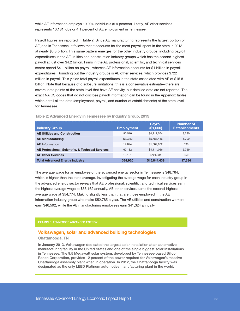while AE information employs 19,094 individuals (5.9 percent). Lastly, AE other services represents 13,181 jobs or 4.1 percent of AE employment in Tennessee.

Payroll figures are reported in Table 2. Since AE manufacturing represents the largest portion of AE jobs in Tennessee, it follows that it accounts for the most payroll spent in the state in 2013 at nearly \$5.8 billion. This same pattern emerges for the other industry groups, including payroll expenditures in the AE utilities and construction industry groups which has the second-highest payroll at just over \$4.2 billion. Firms in the AE professional, scientific, and technical services sector spend \$4.1 billion on payroll, whereas AE information accounts for \$1 billion in payroll expenditures. Rounding out the industry groups is AE other services, which provides \$722 million in payroll. This yields total payroll expenditures in the state associated with AE of \$15.8 billion. Note that because of disclosure limitations, this is a conservative estimate--there are several data points at the state level that have AE activity, but detailed data are not reported. The exact NAICS codes that do not disclose payroll information can be found in the Appendix tables, which detail all the data (employment, payroll, and number of establishments) at the state level for Tennessee.

| <b>Industry Group</b>                             | <b>Employment</b> | <b>Payroll</b><br>(\$1,000) | Number of<br><b>Establishments</b> |
|---------------------------------------------------|-------------------|-----------------------------|------------------------------------|
| <b>AE Utilities and Construction</b>              | 90.510            | \$4.217.074                 | 8,230                              |
| <b>AE Manufacturing</b>                           | 139.953           | \$5,783,446                 | 1.799                              |
| <b>AE</b> Information                             | 19.094            | \$1,007,872                 | 696                                |
| AE Professional, Scientific, & Technical Services | 62,182            | \$4,114,066                 | 5,759                              |
| <b>AE Other Services</b>                          | 13.181            | \$721.981                   | 850                                |
| <b>Total Advanced Energy Industry</b>             | 324,920           | \$15,844,439                | 17,334                             |

Table 2: Advanced Energy in Tennessee by Industry Group, 2013

The average wage for an employee of the advanced energy sector in Tennessee is \$48,764, which is higher than the state average. Investigating the average wage for each industry group in the advanced energy sector reveals that AE professional, scientific, and technical services earn the highest average wage at \$66,162 annually. AE other services earns the second-highest average wage at \$54,774. Making slightly less than that are those employed in the AE information industry group who make \$52,785 a year. The AE utilities and construction workers earn \$46,592, while the AE manufacturing employees earn \$41,324 annually.

#### EXAMPLE: TENNESSEE ADVANCED ENERGY

### Volkswagen, solar and advanced building technologies

#### Chattanooga, TN

In January 2013, Volkswagen dedicated the largest solar installation at an automotive manufacturing facility in the United States and one of the single biggest solar installations in Tennessee. The 9.5 Megawatt solar system, developed by Tennessee-based Silicon Ranch Corporation, provides 12 percent of the power required for Volkswagen's massive Chattanooga assembly plant when in operation. In 2012, the Chattanooga facility was designated as the only LEED Platinum automotive manufacturing plant in the world.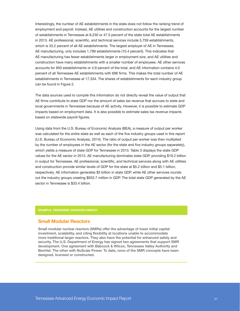Interestingly, the number of AE establishments in the state does not follow the ranking trend of employment and payroll. Instead, AE utilities and construction accounts for the largest number of establishments in Tennessee at 8,230 or 47.5 percent of the state total AE establishments in 2013. AE professional, scientific, and technical services include 5,759 establishments, which is 33.2 percent of all AE establishments. The largest employer of AE in Tennessee, AE manufacturing, only includes 1,799 establishments (10.4 percent). This indicates that AE manufacturing has fewer establishments larger in employment size, and AE utilities and construction have many establishments with a smaller number of employees. AE other services accounts for 850 establishments or 4.9 percent of the total, and AE information contains 4.0 percent of all Tennessee AE establishments with 696 firms. This makes the total number of AE establishments in Tennessee at 17,334. The shares of establishments for each industry group can be found in Figure 2.

The data sources used to compile this information do not directly reveal the value of output that AE firms contribute to state GDP nor the amount of sales tax revenue that accrues to state and local governments in Tennessee because of AE activity. However, it is possible to estimate GDP impacts based on employment data. It is also possible to estimate sales tax revenue impacts based on statewide payroll figures.

Using data from the U.S. Bureau of Economic Analysis (BEA), a measure of output per worker was calculated for the entire state as well as each of the five industry groups used in this report (U.S. Bureau of Economic Analysis, 2014). The ratio of output per worker was then multiplied by the number of employees in the AE sector (for the state and five industry groups separately), which yields a measure of state GDP for Tennessee in 2013. Table 3 displays the state GDP values for the AE sector in 2013. AE manufacturing dominates state GDP, providing \$19.2 billion in output for Tennessee. AE professional, scientific, and technical services along with AE utilities and construction provide similar levels of GDP for the state at \$5.2 billion and \$5.1 billion, respectively. AE information generates \$3 billion in state GDP, while AE other services rounds out the industry groups creating \$933.7 million in GDP. The total state GDP generated by the AE sector in Tennessee is \$33.4 billion.

#### EXAMPLE: TENNESSEE ADVANCED ENERGY

### Small Modular Reactors

Small modular nuclear reactors (SMRs) offer the advantage of lower initial capital investment, scalability, and citing flexibility at locations unable to accommodate more traditional larger reactors. They also have the potential for enhanced safety and security. The U.S. Department of Energy has signed two agreements that support SMR development. One agreement with Babcock & Wilcox, Tennessee Valley Authority and Bechtel. The other with NuScale Power. To date, none of the SMR concepts have been designed, licensed or constructed.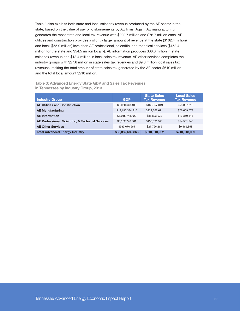Table 3 also exhibits both state and local sales tax revenue produced by the AE sector in the state, based on the value of payroll disbursements by AE firms. Again, AE manufacturing generates the most state and local tax revenue with \$222.7 million and \$76.7 million each. AE utilities and construction provides a slightly larger amount of revenue at the state (\$162.4 million) and local (\$55.9 million) level than AE professional, scientific, and technical services (\$158.4 million for the state and \$54.5 million locally). AE information produces \$38.8 million in state sales tax revenue and \$13.4 million in local sales tax revenue. AE other services completes the industry groups with \$27.8 million in state sales tax revenues and \$9.6 million local sales tax revenues, making the total amount of state sales tax generated by the AE sector \$610 million and the total local amount \$210 million.

| Table 3: Advanced Energy State GDP and Sales Tax Revenues |  |  |  |
|-----------------------------------------------------------|--|--|--|
| in Tennessee by Industry Group, 2013                      |  |  |  |

| <b>Industry Group</b>                             | <b>GDP</b>       | State Sales<br><b>Tax Revenue</b> | <b>Local Sales</b><br><b>Tax Revenue</b> |
|---------------------------------------------------|------------------|-----------------------------------|------------------------------------------|
| <b>AE Utilities and Construction</b>              | \$5,080,643,108  | \$162,357,349                     | \$55,897,316                             |
| <b>AE Manufacturing</b>                           | \$19,190,334,316 | \$222,662,671                     | \$76,659,577                             |
| <b>AE</b> Information                             | \$3,015,743,420  | \$38,803,072                      | \$13,359,343                             |
| AE Professional, Scientific, & Technical Services | \$5,162,248,061  | \$158,391,541                     | \$54,531,945                             |
| <b>AE Other Services</b>                          | \$933,670,961    | \$27,796,269                      | \$9,569,858                              |
| <b>Total Advanced Energy Industry</b>             | \$33,382,639,866 | \$610,010,902                     | \$210,018,039                            |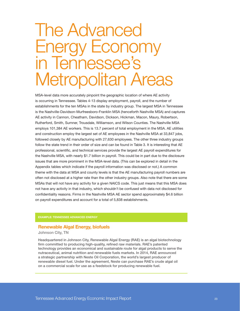# The Advanced Energy Economy in Tennessee's Metropolitan Areas

MSA-level data more accurately pinpoint the geographic location of where AE activity is occurring in Tennessee. Tables 4-13 display employment, payroll, and the number of establishments for the ten MSAs in the state by industry group. The largest MSA in Tennessee is the Nashville-Davidson-Murfreesboro-Franklin MSA (henceforth Nashville MSA) and captures AE activity in Cannon, Cheatham, Davidson, Dickson, Hickman, Macon, Maury, Robertson, Rutherford, Smith, Sumner, Trousdale, Williamson, and Wilson Counties. The Nashville MSA employs 101,384 AE workers. This is 13.7 percent of total employment in the MSA. AE utilities and construction employ the largest set of AE employees in the Nashville MSA at 33,847 jobs, followed closely by AE manufacturing with 27,630 employees. The other three industry groups follow the state trend in their order of size and can be found in Table 3. It is interesting that AE professional, scientific, and technical services provide the largest AE payroll expenditures for the Nashville MSA, with nearly \$1.7 billion in payroll. This could be in part due to the disclosure issues that are more prominent in the MSA-level data. (This can be explored in detail in the Appendix tables which indicate if the payroll information was disclosed or not.) A common theme with the data at MSA and county levels is that the AE manufacturing payroll numbers are often not disclosed at a higher rate than the other industry groups. Also note that there are some MSAs that will not have any activity for a given NAICS code. This just means that this MSA does not have any activity in that industry, which shouldn't be confused with data not disclosed for confidentiality reasons. Firms in the Nashville MSA AE sector spend approximately \$4.6 billion on payroll expenditures and account for a total of 5,838 establishments.

#### EXAMPLE: TENNESSEE ADVANCED ENERGY

#### Renewable Algal Energy, biofuels

Johnson City, TN

Headquartered in Johnson City, Renewable Algal Energy (RAE) is an algal biotechnology firm committed to producing high-quality, refined raw materials. RAE's patented technology provides an economical and sustainable route for algal products to serve the nutraceutical, animal nutrition and renewable fuels markets. In 2014, RAE announced a strategic partnership with Neste Oil Corporation, the world's largest producer of renewable diesel fuel. Under the agreement, Neste can purchase RAE's crude algal oil on a commercial scale for use as a feedstock for producing renewable fuel.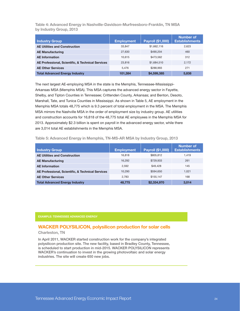Table 4: Advanced Energy in Nashville-Davidson-Murfreesboro-Franklin, TN MSA by Industry Group, 2013

| <b>Industry Group</b>                             | <b>Employment</b> | Payroll (\$1,000) | <b>Number of</b><br><b>Establishments</b> |
|---------------------------------------------------|-------------------|-------------------|-------------------------------------------|
| <b>AE Utilities and Construction</b>              | 33,847            | \$1,662,116       | 2,623                                     |
| <b>AE Manufacturing</b>                           | 27,630            | \$490.204         | 460                                       |
| <b>AE</b> Information                             | 10.615            | \$473.562         | 312                                       |
| AE Professional, Scientific, & Technical Services | 23,816            | \$1,684,510       | 2,172                                     |
| <b>AE Other Services</b>                          | 5.476             | \$288.993         | 271                                       |
| <b>Total Advanced Energy Industry</b>             | 101.384           | \$4,599,385       | 5.838                                     |

The next largest AE-employing MSA in the state is the Memphis, Tennessee-Mississippi-Arkansas MSA (Memphis MSA). This MSA captures the advanced energy sector in Fayette, Shelby, and Tipton Counties in Tennessee; Crittenden County, Arkansas; and Benton, Desoto, Marshall, Tate, and Tunica Counties in Mississippi. As shown in Table 5, AE employment in the Memphis MSA totals 48,775 which is 9.3 percent of total employment in the MSA. The Memphis MSA mirrors the Nashville MSA in the order of employment size by industry group. AE utilities and construction accounts for 16,818 of the 48,775 total AE employees in the Memphis MSA for 2013. Approximately \$2.3 billion is spent on payroll in the advanced energy sector, while there are 3,014 total AE establishments in the Memphis MSA.

| <b>Industry Group</b>                             | <b>Employment</b> | Payroll (\$1,000) | Number of<br><b>Establishments</b> |
|---------------------------------------------------|-------------------|-------------------|------------------------------------|
| <b>AE Utilities and Construction</b>              | 16,818            | \$805,812         | 1,419                              |
| <b>AE Manufacturing</b>                           | 16,292            | \$729.933         | 261                                |
| <b>AE</b> Information                             | 2,592             | \$49,428          | 145                                |
| AE Professional, Scientific, & Technical Services | 10.290            | \$594.650         | 1.021                              |
| <b>AE Other Services</b>                          | 2.783             | \$155.147         | 168                                |
| <b>Total Advanced Energy Industry</b>             | 48.775            | \$2,334,970       | 3.014                              |

Table 5: Advanced Energy in Memphis, TN-MS-AR MSA by Industry Group, 2013

#### EXAMPLE: TENNESSEE ADVANCED ENERGY

### WACKER POLYSILICON, polysilicon production for solar cells

Charleston, TN

In April 2011, WACKER started construction work for the company's integrated polysilicon production site. The new facility, based in Bradley County, Tennessee, is scheduled to start production in mid-2015. WACKER POLYSILICON represents WACKER's continuation to invest in the growing photovoltaic and solar energy industries. The site will create 650 new jobs.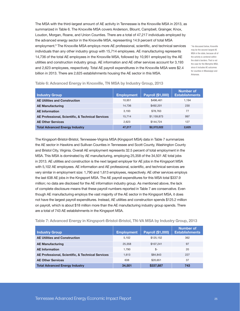The MSA with the third-largest amount of AE activity in Tennessee is the Knoxville MSA in 2013, as summarized in Table 6. The Knoxville MSA covers Anderson, Blount, Campbell, Grainger, Knox, Loudon, Morgan, Roane, and Union Counties. There are a total of 47,217 individuals employed by the advanced energy sector in the Knoxville MSA, representing 14.9 percent of total MSA employment.<sup>9</sup> The Knoxville MSA employs more AE professional, scientific, and technical services individuals than any other industry group with 15,714 employees. AE manufacturing represents 14,736 of the total AE employees in the Knoxville MSA, followed by 10,951 employed by the AE utilities and construction industry group. AE information and AE other services account for 3,193 and 2,623 employees, respectively. Total AE payroll expenditures in the Knoxville MSA were \$2.4 billion in 2013. There are 2,625 establishments housing the AE sector in this MSA.

9 As discussed below, Knoxville may be the second-largest AE MSA in the state, because all of the activity is centered within the state's borders. That is not the case for the Memphis MSA, since it includes AE outcomes for counties in Mississippi and Arkansas.

| Industry Group                                    | <b>Employment</b> | Payroll (\$1,000) | Number of<br><b>Establishments</b> |
|---------------------------------------------------|-------------------|-------------------|------------------------------------|
| <b>AE Utilities and Construction</b>              | 10.951            | \$496.461         | 1.194                              |
| <b>AE Manufacturing</b>                           | 14.736            | \$492.201         | 230                                |
| <b>AE</b> Information                             | 3.193             | \$78.763          | 77                                 |
| AE Professional, Scientific, & Technical Services | 15.714            | \$1,159,873       | 997                                |
| <b>AE Other Services</b>                          | 2.623             | \$144.724         | 127                                |
| <b>Total Advanced Energy Industry</b>             | 47,217            | \$2,372,022       | 2,625                              |

Table 6: Advanced Energy in Knoxville, TN MSA by Industry Group, 2013

The Kingsport-Bristol-Bristol, Tennessee-Virginia MSA (Kingsport MSA) data in Table 7 summarizes the AE sector in Hawkins and Sullivan Counties in Tennessee and Scott County, Washington County and Bristol City, Virginia. Overall AE employment represents 32.5 percent of total employment in the MSA. This MSA is dominated by AE manufacturing, employing 25,358 of the 34,501 AE total jobs in 2013. AE utilities and construction is the next largest employer for AE jobs in the Kingsport MSA with 5,102 AE employees. AE information and AE professional, scientific, and technical services are very similar in employment size: 1,790 and 1,613 employees, respectively. AE other services employs the last 638 AE jobs in the Kingsport MSA. The AE payroll expenditures for this MSA total \$337.9 million; no data are disclosed for the AE information industry group. As mentioned above, the lack of complete disclosure means that these payroll numbers reported in Table 7 are conservative. Even though AE manufacturing employs the vast majority of the AE sector in the Kingsport MSA, it does not have the largest payroll expenditures. Instead, AE utilities and construction spends \$125.2 million on payroll, which is about \$18 million more than the AE manufacturing industry group spends. There are a total of 743 AE establishments in the Kingsport MSA.

Table 7: Advanced Energy in Kingsport-Bristol-Bristol, TN-VA MSA by Industry Group, 2013

| <b>Industry Group</b>                             | <b>Employment</b> | <b>Payroll (\$1,000)</b> | <b>Number of</b><br><b>Establishments</b> |
|---------------------------------------------------|-------------------|--------------------------|-------------------------------------------|
| <b>AE Utilities and Construction</b>              | 5.102             | \$125,152                | 362                                       |
| <b>AE Manufacturing</b>                           | 25,358            | \$107.241                | 97                                        |
| <b>AE</b> Information                             | 1.790             | \$-                      | 20                                        |
| AE Professional, Scientific, & Technical Services | 1,613             | \$84,843                 | 227                                       |
| <b>AE Other Services</b>                          | 638               | \$20.651                 | 37                                        |
| <b>Total Advanced Energy Industry</b>             | 34,501            | \$337,887                | 743                                       |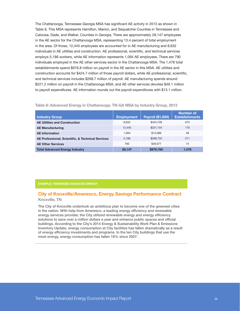The Chattanooga, Tennessee-Georgia MSA has significant AE activity in 2013 as shown in Table 8. This MSA represents Hamilton, Marion, and Sequatchie Counties in Tennessee and Catoosa, Dade, and Walker, Counties in Georgia. There are approximately 28,147 employees in the AE sector for the Chattanooga MSA, representing 13.4 percent of total employment in the area. Of those, 12,445 employees are accounted for in AE manufacturing and 8,632 individuals in AE utilities and construction. AE professional, scientific, and technical services employs 5,186 workers, while AE information represents 1,094 AE employees. There are 790 individuals employed in the AE other services sector in the Chattanooga MSA. The 1,478 total establishments spend \$976.8 million on payroll in the AE sector in this MSA. AE utilities and construction accounts for \$424.7 million of those payroll dollars, while AE professional, scientific, and technical services includes \$268.7 million of payroll. AE manufacturing spends around \$221.2 million on payroll in the Chattanooga MSA, and AE other services devotes \$49.1 million to payroll expenditures. AE information rounds out the payroll expenditures with \$13.1 million.

Table 8: Advanced Energy in Chattanooga, TN-GA MSA by Industry Group, 2013

| <b>Industry Group</b>                             | <b>Employment</b> | Payroll (\$1,000) | Number of<br><b>Establishments</b> |
|---------------------------------------------------|-------------------|-------------------|------------------------------------|
| <b>AE Utilities and Construction</b>              | 8,632             | \$424,709         | 675                                |
| <b>AE Manufacturing</b>                           | 12.445            | \$221.154         | 170                                |
| <b>AE</b> Information                             | 1.094             | \$13,086          | 48                                 |
| AE Professional, Scientific, & Technical Services | 5.186             | \$268.734         | 511                                |
| <b>AE Other Services</b>                          | 790               | \$49.077          | 74                                 |
| <b>Total Advanced Energy Industry</b>             | 28.147            | \$976,760         | 1,478                              |

#### EXAMPLE: TENNESSEE ADVANCED ENERGY

## City of Knoxville/Ameresco, Energy Savings Performance Contract

Knoxville, TN

The City of Knoxville undertook an ambitious plan to become one of the greenest cities in the nation. With help from Ameresco, a leading energy efficiency and renewable energy services provider, the City utilized renewable energy and energy efficiency solutions to save over a million dollars a year and enhance public spaces and official buildings. According to the City's 2014 Energy & Sustainability Work Plan & Emissions Inventory Update, energy consumption at City facilities has fallen dramatically as a result of energy efficiency investments and programs. In the ten City buildings that use the most energy, energy consumption has fallen 16% since 2007.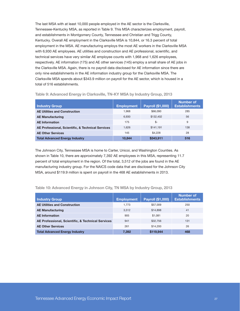The last MSA with at least 10,000 people employed in the AE sector is the Clarksville, Tennessee-Kentucky MSA, as reported in Table 9. This MSA characterizes employment, payroll, and establishments in Montgomery County, Tennessee and Christian and Trigg County, Kentucky. Overall AE employment in the Clarksville MSA is 10,844, or 16.3 percent of total employment in the MSA. AE manufacturing employs the most AE workers in the Clarksville MSA with 6,930 AE employees. AE utilities and construction and AE professional, scientific, and technical services have very similar AE employee counts with 1,968 and 1,626 employees, respectively. AE information (175) and AE other services (145) employ a small share of AE jobs in the Clarksville MSA. Again, there is no payroll data disclosed for AE information since there are only nine establishments in the AE information industry group for the Clarksville MSA. The Clarksville MSA spends about \$343.9 million on payroll for the AE sector, which is housed in a total of 516 establishments.

| Industry Group                                    | <b>Employment</b> | Payroll (\$1,000) | <b>Number of</b><br><b>Establishments</b> |
|---------------------------------------------------|-------------------|-------------------|-------------------------------------------|
| <b>AE Utilities and Construction</b>              | 1.968             | \$66,090          | 285                                       |
| <b>AE Manufacturing</b>                           | 6.930             | \$132,402         |                                           |
| <b>AE</b> Information                             | 175               | \$-               | 9                                         |
| AE Professional, Scientific, & Technical Services | 1.626             | \$141.191         | 138                                       |
| <b>AE Other Services</b>                          | 145               | \$4,228           | 28                                        |
| <b>Total Advanced Energy Industry</b>             | 10.844            | \$343,911         | 516                                       |

Table 9: Advanced Energy in Clarksville, TN-KY MSA by Industry Group, 2013

The Johnson City, Tennessee MSA is home to Carter, Unicoi, and Washington Counties. As shown in Table 10, there are approximately 7,392 AE employees in this MSA, representing 11.7 percent of total employment in the region. Of the total, 3,512 of the jobs are found in the AE manufacturing industry group. For the NAICS code data that are disclosed for the Johnson City MSA, around \$119.9 million is spent on payroll in the 468 AE establishments in 2013.

Table 10: Advanced Energy in Johnson City, TN MSA by Industry Group, 2013

| <b>Industry Group</b>                             | <b>Employment</b> | <b>Payroll (\$1,000)</b> | Number of<br><b>Establishments</b> |  |
|---------------------------------------------------|-------------------|--------------------------|------------------------------------|--|
| <b>AE Utilities and Construction</b>              | 1.773             | \$57,009                 | 250                                |  |
| <b>AE Manufacturing</b>                           | \$14.898<br>3.512 |                          | 41                                 |  |
| <b>AE</b> Information                             | 905               | \$1.081                  | 20                                 |  |
| AE Professional, Scientific, & Technical Services | 941               | \$32,756                 | 131                                |  |
| <b>AE Other Services</b>                          | 261               | \$14,200                 | 26                                 |  |
| <b>Total Advanced Energy Industry</b>             | 7,392             | \$119,944                | 468                                |  |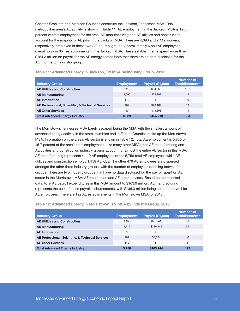Chester, Crockett, and Madison Counties constitute the Jackson, Tennessee MSA. This metropolitan area's AE activity is shown in Table 11. AE employment in the Jackson MSA is 12.5 percent of total employment for the area. AE manufacturing and AE utilities and construction account for the majority of AE jobs in the Jackson MSA. There are 4,090 and 2,112 workers, respectively, employed in these two AE industry groups. Approximately 6,889 AE employees overall work in 354 establishments in the Jackson MSA. These establishments spend more than \$154.2 million on payroll for the AE energy sector. Note that there are no data disclosed for the AE information industry group.

| <b>Industry Group</b>                             | <b>Employment</b> | Payroll (\$1,000) | <b>Number of</b><br><b>Establishments</b> |  |
|---------------------------------------------------|-------------------|-------------------|-------------------------------------------|--|
| <b>AE Utilities and Construction</b>              | 2,112             | \$94,853          | 197                                       |  |
| <b>AE Manufacturing</b>                           | 4,090             | \$25,798          | 44                                        |  |
| <b>AE</b> Information                             | 140               | \$-               | 10                                        |  |
| AE Professional, Scientific, & Technical Services | 467               | \$20,164          | 89                                        |  |
| <b>AE Other Services</b>                          | 80                | \$13,398          | 14                                        |  |
| <b>Total Advanced Energy Industry</b>             | 6.889             | \$154,213         | 354                                       |  |

Table 11: Advanced Energy in Jackson, TN MSA by Industry Group, 2013

The Morristown, Tennessee MSA barely escaped being the MSA with the smallest amount of advanced energy activity in the state. Hamblen and Jefferson Counties make up the Morristown MSA. Information on the area's AE sector is shown in Table 12. Total AE employment is 5,756 or 15.7 percent of the area's total employment. Like many other MSAs, the AE manufacturing and AE utilities and construction industry groups account for almost the entire AE sector in this MSA. AE manufacturing represents 4,119 AE employees of the 5,756 total AE employees while AE utilities and construction employ 1,158 AE jobs. The other 479 AE employees are dispersed amongst the other three industry groups, with the number of employees doubling between the groups. There are two industry groups that have no data disclosed for the payroll spent on AE sector in the Morristown MSA: AE information and AE other services. Based on the reported data, total AE payroll expenditures in this MSA amount to \$163.9 million. AE manufacturing represents the bulk of these payroll disbursements, with \$136.3 million being spent on payroll for AE employees. There are 192 AE establishments in the Morristown MSA for 2013.

Table 12: Advanced Energy in Morristown, TN MSA by Industry Group, 2013

| <b>Industry Group</b>                             | <b>Employment</b> | Payroll (\$1,000) | Number of<br><b>Establishments</b> |
|---------------------------------------------------|-------------------|-------------------|------------------------------------|
| <b>AE Utilities and Construction</b>              | 1.158             | \$21,741          | 96                                 |
| <b>AE Manufacturing</b>                           | 4.119             | \$136,349         | 39                                 |
| <b>AE</b> Information                             | 70                | \$-               | 3                                  |
| AE Professional, Scientific, & Technical Services | 269               | \$5,854           | 46                                 |
| <b>AE Other Services</b>                          | 140               | \$-               | 8                                  |
| <b>Total Advanced Energy Industry</b>             | 5,756             | \$163,944         | 192                                |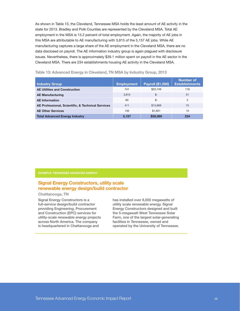As shown in Table 13, the Cleveland, Tennessee MSA holds the least amount of AE activity in the state for 2013. Bradley and Polk Counties are represented by the Cleveland MSA. Total AE employment in the MSA is 13.2 percent of total employment. Again, the majority of AE jobs in this MSA are attributable to AE manufacturing with 3,815 of the 5,157 AE jobs. While AE manufacturing captures a large share of the AE employment in the Cleveland MSA, there are no data disclosed on payroll. The AE information industry group is again plagued with disclosure issues. Nevertheless, there is approximately \$39.1 million spent on payroll in the AE sector in the Cleveland MSA. There are 234 establishments housing AE activity in the Cleveland MSA.

| <b>Industry Group</b>                             | <b>Employment</b> | Payroll (\$1,000) | Number of<br><b>Establishments</b> |
|---------------------------------------------------|-------------------|-------------------|------------------------------------|
| <b>AE Utilities and Construction</b>              | 741               | \$23,749          | 116                                |
| <b>AE Manufacturing</b>                           | 3.815             | \$-               | 31                                 |
| <b>AE</b> Information                             | 60                | \$-               | 2                                  |
| AE Professional, Scientific, & Technical Services | 411               | \$13,669          | 75                                 |
| <b>AE Other Services</b>                          | 130               | \$1.651           | 10                                 |
| <b>Total Advanced Energy Industry</b>             | 5,157             | \$39,069          | 234                                |

### Table 13: Advanced Energy in Cleveland, TN MSA by Industry Group, 2013

EXAMPLE: TENNESSEE ADVANCED ENERGY

### Signal Energy Constructors, utility scale renewable energy design/build contractor

### Chattanooga, TN

Signal Energy Constructors is a full-service design/build contractor providing Engineering, Procurement and Construction (EPC) services for utility-scale renewable energy projects across North America. The company is headquartered in Chattanooga and

has installed over 8,000 megawatts of utility scale renewable energy. Signal Energy Constructors designed and built the 5-megawatt West Tennessee Solar Farm, one of the largest solar-generating facilities in Tennessee, owned and operated by the University of Tennessee.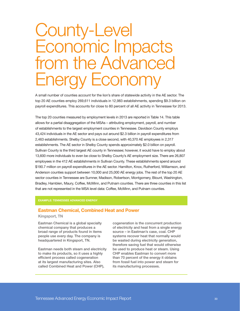# County-Level Economic Impacts from the Advanced Energy Economy

A small number of counties account for the lion's share of statewide activity in the AE sector. The top 20 AE counties employ 269,611 individuals in 12,983 establishments, spending \$9.3 billion on payroll expenditures. This accounts for close to 80 percent of all AE activity in Tennessee for 2013.

The top 20 counties measured by employment levels in 2013 are reported in Table 14. This table allows for a partial disaggregation of the MSAs – attributing employment, payroll, and number of establishments to the largest employment counties in Tennessee. Davidson County employs 43,424 individuals in the AE sector and pays out around \$2.3 billion in payroll expenditures from 2,463 establishments. Shelby County is a close second, with 40,370 AE employees in 2,317 establishments. The AE sector in Shelby County spends approximately \$2.0 billion on payroll. Sullivan County is the third largest AE county in Tennessee; however, it would have to employ about 13,600 more individuals to even be close to Shelby County's AE employment size. There are 26,807 employees in the 412 AE establishments in Sullivan County. These establishments spend around \$190.7 million on payroll expenditures in the AE sector. Hamilton, Knox, Rutherford, Williamson, and Anderson counties support between 10,000 and 25,000 AE energy jobs. The rest of the top 20 AE sector counties in Tennessee are Sumner, Madison, Robertson, Montgomery, Blount, Washington, Bradley, Hamblen, Maury, Coffee, McMinn, and Putnam counties. There are three counties in this list that are not represented in the MSA level data: Coffee, McMinn, and Putnam counties.

#### EXAMPLE: TENNESSEE ADVANCED ENERGY

### Eastman Chemical, Combined Heat and Power

#### Kingsport, TN

Eastman Chemical is a global specialty chemical company that produces a broad range of products found in items people use every day. The company is headquartered in Kingsport, TN.

Eastman needs both steam and electricity to make its products, so it uses a highly efficient process called cogeneration at its largest manufacturing sites. Also called Combined Heat and Power (CHP),

cogeneration is the concurrent production of electricity and heat from a single energy source – in Eastman's case, coal. CHP systems recover heat that normally would be wasted during electricity generation, therefore saving fuel that would otherwise be used to produce heat or steam. Using CHP enables Eastman to convert more than 70 percent of the energy it obtains from fossil fuel into power and steam for its manufacturing processes.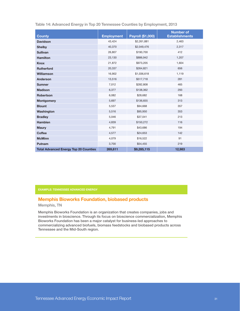| <b>County</b>                                | <b>Employment</b> | <b>Payroll (\$1,000)</b> | <b>Number of</b><br><b>Establishments</b> |
|----------------------------------------------|-------------------|--------------------------|-------------------------------------------|
| <b>Davidson</b>                              | 43,424            | \$2,261,881              | 2,463                                     |
| <b>Shelby</b>                                | 40,370            | \$2,049,476              | 2,317                                     |
| <b>Sullivan</b>                              | 26,807            | \$190,700                | 412                                       |
| <b>Hamilton</b>                              | 23,130            | \$886,942                | 1,207                                     |
| <b>Knox</b>                                  | 21,872            | \$973,205                | 1,604                                     |
| <b>Rutherford</b>                            | 20,337            | \$264,821                | 656                                       |
| <b>Williamson</b>                            | 16,902            | \$1,036,618              | 1,119                                     |
| Anderson                                     | 13,516            | \$517,718                | 281                                       |
| <b>Sumner</b>                                | 7,012             | \$282,808                | 465                                       |
| <b>Madison</b>                               | 6,377             | \$138,362                | 293                                       |
| <b>Robertson</b>                             | 6,082             | \$28,682                 | 168                                       |
| <b>Montgomery</b>                            | 5,697             | \$136,655                | 313                                       |
| <b>Blount</b>                                | 5,537             | \$94,668                 | 357                                       |
| Washington                                   | 5,516             | \$95,950                 | 353                                       |
| <b>Bradley</b>                               | 5,046             | \$37,041                 | 213                                       |
| <b>Hamblen</b>                               | 4,839             | \$150,272                | 116                                       |
| <b>Maury</b>                                 | 4,791             | \$43,686                 | 194                                       |
| <b>Coffee</b>                                | 4,577             | \$24,653                 | 142                                       |
| <b>McMinn</b>                                | 4,079             | \$16,522                 | 91                                        |
| Putnam                                       | 3,700             | \$54,455                 | 219                                       |
| <b>Total Advanced Energy Top 20 Counties</b> | 269,611           | \$9,285,115              | 12,983                                    |

Table 14: Advanced Energy in Top 20 Tennessee Counties by Employment, 2013

## Memphis Bioworks Foundation, biobased products

Memphis, TN

Memphis Bioworks Foundation is an organization that creates companies, jobs and investments in bioscience. Through its focus on bioscience commercialization, Memphis Bioworks Foundation has been a major catalyst for business-led approaches to commercializing advanced biofuels, biomass feedstocks and biobased products across Tennessee and the Mid-South region.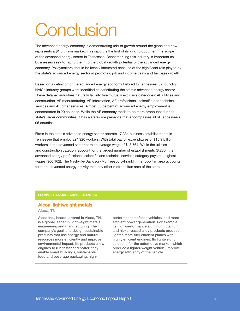# **Conclusion**

The advanced energy economy is demonstrating robust growth around the globe and now represents a \$1.3 trillion market. This report is the first of its kind to document the scope of the advanced energy sector in Tennessee. Benchmarking this industry is important as businesses seek to tap further into the global growth potential of the advanced energy economy. Policymakers should be keenly interested because of the significant role played by the state's advanced energy sector in promoting job and income gains and tax base growth.

Based on a definition of the advanced energy economy tailored to Tennessee, 62 four-digit NAICs industry groups were identified as constituting the state's advanced energy sector. These detailed industries naturally fall into five mutually exclusive categories: AE utilities and construction, AE manufacturing, AE information, AE professional, scientific and technical services and AE other services. Almost 80 percent of advanced energy employment is concentrated in 20 counties. While the AE economy tends to be more pronounced in the state's larger communities, it has a statewide presence that encompasses all of Tennessee's 95 counties.

Firms in the state's advanced energy sector operate 17,334 business establishments in Tennessee that employ 324,920 workers. With total payroll expenditures of \$15.9 billion, workers in the advanced sector earn an average wage of \$48,764. While the utilities and construction category account for the largest number of establishments (8,230), the advanced energy professional, scientific and technical services category pays the highest wages (\$66,162). The Nashville-Davidson-Murfreesboro-Franklin metropolitan area accounts for more advanced energy activity than any other metropolitan area of the state.

#### EXAMPLE: TENNESSEE ADVANCED ENERGY

### Alcoa, lightweight metals

#### Alcoa, TN

Alcoa Inc., headquartered in Alcoa, TN, is a global leader in lightweight metals engineering and manufacturing. The company's goal is to design sustainable products that use energy and natural resources more efficiently and improve environmental impact. Its products allow engines to run faster and hotter; they enable smart buildings, sustainable food and beverage packaging, highperformance defense vehicles, and more efficient power generation. For example, its high-performance aluminum, titanium, and nickel-based alloy products produce lighter, more fuel-efficient planes with highly efficient engines. Its lightweight solutions for the automotive market, which produce a lighter-weight vehicle, improve energy efficiency of the vehicle.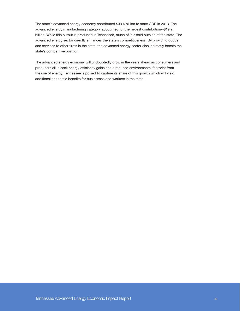The state's advanced energy economy contributed \$33.4 billion to state GDP in 2013. The advanced energy manufacturing category accounted for the largest contribution--\$19.2 billion. While this output is produced in Tennessee, much of it is sold outside of the state. The advanced energy sector directly enhances the state's competitiveness. By providing goods and services to other firms in the state, the advanced energy sector also indirectly boosts the state's competitive position.

The advanced energy economy will undoubtedly grow in the years ahead as consumers and producers alike seek energy efficiency gains and a reduced environmental footprint from the use of energy. Tennessee is poised to capture its share of this growth which will yield additional economic benefits for businesses and workers in the state.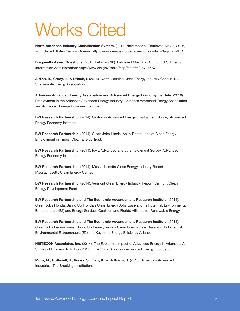# Works Cited

North American Industry Classification System. (2014, November 5). Retrieved May 8, 2015, from United States Census Bureau: http://www.census.gov/eos/www/naics/faqs/faqs.html#q1

Frequently Asked Questions. (2015, February 10). Retrieved May 8, 2015, from U.S. Energy Information Administration: http://www.eia.gov/tools/faqs/faq.cfm?id=87&t=1

Aldina, R., Carey, J., & Urlaub, I. (2014). North Carolina Clean Energy Industry Census. NC Sustainable Energy Association.

Arkansas Advanced Energy Association and Advanced Energy Economy Institute. (2010). Employment in the Arkansas Advanced Energy Industry. Arkansas Advanced Energy Association and Advanced Energy Economy Institute.

BW Research Partnership. (2014). California Advanced Energy Employment Survey. Advanced Energy Economy Institute.

BW Research Partnership. (2014). Clean Jobs Illinois: An In-Depth Look at Clean Energy Employment in Illinois. Clean Energy Trust.

BW Research Partnership. (2014). Iowa Advanced Energy Employment Survey. Advanced Energy Economy Institute.

BW Research Partnership. (2014). Massachusetts Clean Energy Industry Report. Massachusetts Clean Energy Center.

BW Research Partnership. (2014). Vermont Clean Energy Industry Report. Vermont Clean Energy Development Fund.

BW Research Partnership and The Economic Advancement Research Institute. (2014). Clean Jobs Florida: Sizing Up Florida's Clean Energy Jobs Base and its Potential. Environmental Entrepreneurs (E2) and Energy Services Coalition and Florida Alliance for Renewable Energy.

BW Research Partnership and The Economic Advancement Research Institute. (2014). Clean Jobs Pennsylvania: Sizing Up Pennsylvania's Clean Energy Jobs Base and its Potential. Environmental Entrepreneurs (E2) and Keystone Energy Efficiency Alliance.

HISTECON Associates, Inc. (2014). The Economic Impact of Advanced Energy in Arkansas: A Survey of Busness Activity in 2014. Little Rock: Arkansas Advanced Energy Foundation.

Muro, M., Rothwell, J., Andes, S., Fikri, K., & Kulkarni, S. (2015). America's Advanced Industries. The Brookings Institution.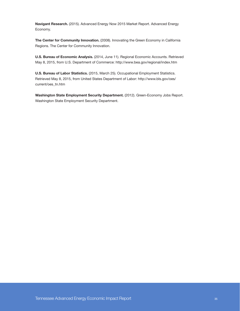Navigant Research. (2015). Advanced Energy Now 2015 Market Report. Advanced Energy Economy.

The Center for Community Innovation. (2008). Innovating the Green Economy in California Regions. The Center for Community Innovation.

U.S. Bureau of Economic Analysis. (2014, June 11). Regional Economic Accounts. Retrieved May 8, 2015, from U.S. Department of Commerce: http://www.bea.gov/regional/index.htm

U.S. Bureau of Labor Statistics. (2015, March 25). Occupational Employment Statistics. Retrieved May 8, 2015, from United States Department of Labor: http://www.bls.gov/oes/ current/oes\_tn.htm

Washington State Employment Security Department. (2012). Green-Economy Jobs Report. Washington State Employment Security Department.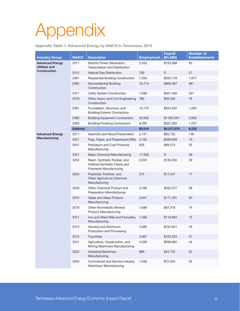# Appendix

Appendix Table 1: Advanced Energy by NAICS in Tennessee, 2013

| <b>Industry Group</b>                          | <b>NAICS</b>    | <b>Descriptor</b>                                                                                 | <b>Employment</b> | <b>Payroll</b><br>(\$1,000) | <b>Number of</b><br><b>Establishments</b> |
|------------------------------------------------|-----------------|---------------------------------------------------------------------------------------------------|-------------------|-----------------------------|-------------------------------------------|
| <b>Advanced Energy</b><br><b>Utilities and</b> | 2211            | Electric Power Generation,<br>Transmission and Distribution                                       | 2,333             | \$153,388                   | 92                                        |
| <b>Construction</b>                            | 2212            | <b>Natural Gas Distribution</b>                                                                   | 750               | D                           | 27                                        |
|                                                | 2361            | <b>Residential Building Construction</b>                                                          | 7,550             | \$350,178                   | 1,877                                     |
|                                                | 2362            | Nonresidential Building<br>Construction                                                           | 16,774            | \$860,087                   | 681                                       |
|                                                | 2371            | Utility System Construction                                                                       | 7,690             | \$401,456                   | 351                                       |
|                                                | 2379            | Other Heavy and Civil Engineering<br>Construction                                                 | 790               | \$39,556                    | 78                                        |
|                                                | 2381            | Foundation, Structure, and<br><b>Building Exterior Contractors</b>                                | 13,175            | \$524,555                   | 1,284                                     |
|                                                | 2382            | <b>Building Equipment Contractors</b>                                                             | 32,956            | \$1,565,591                 | 2,603                                     |
|                                                | 2383            | <b>Building Finishing Contractors</b>                                                             | 8,492             | \$322,263                   | 1,237                                     |
|                                                | <b>Subtotal</b> |                                                                                                   | 90,510            | \$4,217,074                 | 8,230                                     |
| <b>Advanced Energy</b><br><b>Manufacturing</b> | 3211            | Sawmills and Wood Preservation                                                                    | 2,147             | \$62,732                    | 148                                       |
|                                                | 3221            | Pulp, Paper, and Paperboard Mills                                                                 | 3,155             | \$209,949                   | 10                                        |
|                                                | 3241            | Petroleum and Coal Products<br>Manufacturing                                                      | 833               | \$69,513                    | 55                                        |
|                                                | 3251            | <b>Basic Chemical Manufacturing</b>                                                               | 17,500            | D                           | 59                                        |
|                                                | 3252            | Resin, Synthetic Rubber, and<br>Artificial Synthetic Fibers and<br><b>Filaments Manufacturing</b> | 2,034             | \$126,350                   | 29                                        |
|                                                | 3253            | Pesticide, Fertilizer, and<br>Other Agricultural Chemical<br>Manufacturing                        | 375               | \$17,247                    | 17                                        |
|                                                | 3259            | Other Chemical Product and<br><b>Preparation Manufacturing</b>                                    | 3,799             | \$202,377                   | 58                                        |
|                                                | 3272            | Glass and Glass Product<br>Manufacturing                                                          | 3,647             | \$171,781                   | 30                                        |
|                                                | 3279            | <b>Other Nonmetallic Mineral</b><br><b>Product Manufacturing</b>                                  | 1,689             | \$67,018                    | 74                                        |
|                                                | 3311            | Iron and Steel Mills and Ferroalloy<br>Manufacturing                                              | 1,496             | \$110,894                   | 15                                        |
|                                                | 3313            | Alumina and Aluminum<br>Production and Processing                                                 | 2,685             | \$164,041                   | 18                                        |
|                                                | 3315            | Foundries                                                                                         | 2,907             | \$153,323                   | 31                                        |
|                                                | 3331            | Agriculture, Construction, and<br>Mining Machinery Manufacturing                                  | 4,239             | \$208,662                   | 44                                        |
|                                                | 3332            | <b>Industrial Machinery</b><br>Manufacturing                                                      | 889               | \$44,733                    | 52                                        |
|                                                | 3333            | Commercial and Service Industry<br>Machinery Manufacturing                                        | 1,348             | \$72,304                    | 25                                        |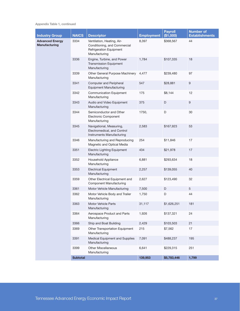Appendix Table 1, continued

| <b>Industry Group</b>                   | <b>NAICS</b>    | <b>Descriptor</b>                                                                                             | <b>Employment</b> | <b>Payroll</b><br>(\$1,000) | <b>Number of</b><br><b>Establishments</b> |
|-----------------------------------------|-----------------|---------------------------------------------------------------------------------------------------------------|-------------------|-----------------------------|-------------------------------------------|
| <b>Advanced Energy</b><br>Manufacturing | 3334            | Ventilation, Heating, Air-<br>Conditioning, and Commercial<br><b>Refrigeration Equipment</b><br>Manufacturing | 8,397             | \$368,567                   | 44                                        |
|                                         | 3336            | Engine, Turbine, and Power<br><b>Transmission Equipment</b><br>Manufacturing                                  | 1,784             | \$107,335                   | 18                                        |
|                                         | 3339            | Other General Purpose Machinery<br>Manufacturing                                                              | 4,477             | \$239,480                   | 97                                        |
|                                         | 3341            | <b>Computer and Peripheral</b><br><b>Equipment Manufacturing</b>                                              | 547               | \$28,881                    | $\boldsymbol{9}$                          |
|                                         | 3342            | <b>Communication Equipment</b><br>Manufacturing                                                               | 175               | \$8,144                     | 12                                        |
|                                         | 3343            | Audio and Video Equipment<br>Manufacturing                                                                    | 375               | D                           | 9                                         |
|                                         | 3344            | Semiconductor and Other<br><b>Electronic Component</b><br>Manufacturing                                       | 1750,             | D                           | 30                                        |
|                                         | 3345            | Navigational, Measuring,<br>Electromedical, and Control<br>Instruments Manufacturing                          | 2,583             | \$167,923                   | 53                                        |
|                                         | 3346            | Manufacturing and Reproducing<br>Magnetic and Optical Media                                                   | 254               | \$11,846                    | 17                                        |
|                                         | 3351            | <b>Electric Lighting Equipment</b><br>Manufacturing                                                           | 434               | \$21,978                    | 17                                        |
|                                         | 3352            | Household Appliance<br>Manufacturing                                                                          | 6,881             | \$293,634                   | 18                                        |
|                                         | 3353            | <b>Electrical Equipment</b><br>Manufacturing                                                                  | 2,257             | \$139,055                   | 40                                        |
|                                         | 3359            | Other Electrical Equipment and<br><b>Component Manufacturing</b>                                              | 2,627             | \$123,490                   | 32                                        |
|                                         | 3361            | Motor Vehicle Manufacturing                                                                                   | 7,500             | D                           | 5                                         |
|                                         | 3362            | Motor Vehicle Body and Trailer<br>Manufacturing                                                               | 1,750             | D                           | 44                                        |
|                                         | 3363            | <b>Motor Vehicle Parts</b><br>Manufacturing                                                                   | 31,117            | \$1,626,251                 | 181                                       |
|                                         | 3364            | Aerospace Product and Parts<br>Manufacturing                                                                  | 1,926             | \$137,321                   | 24                                        |
|                                         | 3366            | Ship and Boat Building                                                                                        | 2,429             | \$103,503                   | 21                                        |
|                                         | 3369            | Other Transportation Equipment<br>Manufacturing                                                               | 215               | \$7,562                     | 17                                        |
|                                         | 3391            | Medical Equipment and Supplies<br>Manufacturing                                                               | 7,091             | \$488,237                   | 195                                       |
|                                         | 3399            | <b>Other Miscellaneous</b><br>Manufacturing                                                                   | 6,641             | \$229,315                   | 251                                       |
|                                         | <b>Subtotal</b> |                                                                                                               | 139,953           | \$5,783,446                 | 1,799                                     |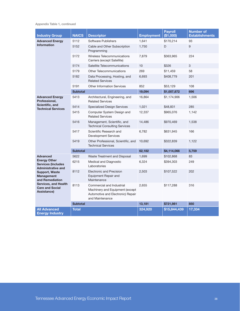Appendix Table 1, continued

| <b>Industry Group</b>                                                                                                                 | <b>NAICS</b>    | <b>Descriptor</b>                                                                                                    | <b>Employment</b> | <b>Payroll</b><br>(\$1,000) | <b>Number of</b><br><b>Establishments</b> |
|---------------------------------------------------------------------------------------------------------------------------------------|-----------------|----------------------------------------------------------------------------------------------------------------------|-------------------|-----------------------------|-------------------------------------------|
| <b>Advanced Energy</b>                                                                                                                | 5112            | Software Publishers                                                                                                  | 1,641             | \$170,214                   | 93                                        |
| <b>Information</b>                                                                                                                    | 5152            | Cable and Other Subscription<br>Programming                                                                          | 1,750             | D                           | 9                                         |
|                                                                                                                                       | 5172            | Wireless Telecommunications<br>Carriers (except Satellite)                                                           | 7,879             | \$363,965                   | 224                                       |
|                                                                                                                                       | 5174            | Satellite Telecommunications                                                                                         | 10                | \$326                       | 3                                         |
|                                                                                                                                       | 5179            | Other Telecommunications                                                                                             | 269               | \$11,459                    | 58                                        |
|                                                                                                                                       | 5182            | Data Processing, Hosting, and<br><b>Related Services</b>                                                             | 6,693             | \$408,779                   | 201                                       |
|                                                                                                                                       | 5191            | <b>Other Information Services</b>                                                                                    | 852               | \$53,129                    | 108                                       |
|                                                                                                                                       | <b>Subtotal</b> |                                                                                                                      | 19,094            | \$1,007,872                 | 696                                       |
| <b>Advanced Energy</b><br>Professional,                                                                                               | 5413            | Architectural, Engineering, and<br><b>Related Services</b>                                                           | 16,864            | \$1,174,906                 | 1,506                                     |
| Scientific, and<br><b>Technical Services</b>                                                                                          | 5414            | <b>Specialized Design Services</b>                                                                                   | 1,021             | \$48,831                    | 285                                       |
|                                                                                                                                       | 5415            | Computer System Design and<br><b>Related Services</b>                                                                | 12,337            | \$965,076                   | 1,142                                     |
|                                                                                                                                       | 5416            | Management, Scientific, and<br><b>Technical Consulting Services</b>                                                  | 14,486            | \$970,469                   | 1,538                                     |
|                                                                                                                                       | 5417            | Scientific Research and<br><b>Development Services</b>                                                               | 6,782             | \$631,945                   | 166                                       |
|                                                                                                                                       | 5419            | Other Professional, Scientific, and<br><b>Technical Services</b>                                                     | 10,692            | \$322,839                   | 1,122                                     |
|                                                                                                                                       | <b>Subtotal</b> |                                                                                                                      | 62,182            | \$4,114,066                 | 5,759                                     |
| <b>Advanced</b>                                                                                                                       | 5622            | Waste Treatment and Disposal                                                                                         | 1,699             | \$102,868                   | 83                                        |
| <b>Energy Other</b><br><b>Services (Includes</b><br><b>Administrative and</b>                                                         | 6215            | Medical and Diagnostic<br>Laboratories                                                                               | 6,324             | \$394,303                   | 249                                       |
| <b>Support, Waste</b><br><b>Management</b><br>and Remediation<br><b>Services, and Health</b><br><b>Care and Social</b><br>Assistance) | 8112            | <b>Electronic and Precision</b><br>Equipment Repair and<br>Maintenance                                               | 2,503             | \$107,522                   | 202                                       |
|                                                                                                                                       | 8113            | Commercial and Industrial<br>Machinery and Equipment (except<br>Automotive and Electronic) Repair<br>and Maintenance | 2.655             | \$117,288                   | 316                                       |
|                                                                                                                                       | <b>Subtotal</b> |                                                                                                                      | 13,181            | \$721,981                   | 850                                       |
| <b>All Advanced</b><br><b>Energy Industry</b>                                                                                         | <b>Total</b>    |                                                                                                                      | 324,920           | \$15,844,439                | 17,334                                    |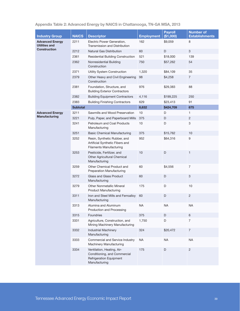| Appendix Table 2: Advanced Energy by NAICS in Chattanooga, TN-GA MSA, 2013 |  |  |  |
|----------------------------------------------------------------------------|--|--|--|
|----------------------------------------------------------------------------|--|--|--|

|                                                |                 |                                                                                                               |                   | <b>Payroll</b> | <b>Number of</b>      |
|------------------------------------------------|-----------------|---------------------------------------------------------------------------------------------------------------|-------------------|----------------|-----------------------|
| <b>Industry Group</b>                          | <b>NAICS</b>    | <b>Descriptor</b>                                                                                             | <b>Employment</b> | (\$1,000)      | <b>Establishments</b> |
| <b>Advanced Energy</b><br><b>Utilities and</b> | 2211            | Electric Power Generation,<br>Transmission and Distribution                                                   | 162               | \$9,059        | 8                     |
| <b>Construction</b>                            | 2212            | <b>Natural Gas Distribution</b>                                                                               | 60                | D              | 3                     |
|                                                | 2361            | <b>Residential Building Construction</b>                                                                      | 521               | \$18,000       | 139                   |
|                                                | 2362            | Nonresidential Building<br>Construction                                                                       | 750               | \$57,262       | 54                    |
|                                                | 2371            | Utility System Construction                                                                                   | 1,320             | \$84,109       | 35                    |
|                                                | 2379            | Other Heavy and Civil Engineering<br>Construction                                                             | 98                | \$4,258        | $\overline{7}$        |
|                                                | 2381            | Foundation, Structure, and<br><b>Building Exterior Contractors</b>                                            | 976               | \$29,383       | 88                    |
|                                                | 2382            | <b>Building Equipment Contractors</b>                                                                         | 4,116             | \$199,225      | 250                   |
|                                                | 2383            | <b>Building Finishing Contractors</b>                                                                         | 629               | \$23,413       | 91                    |
|                                                | <b>Subtotal</b> |                                                                                                               | 8,632             | \$424,709      | 675                   |
| <b>Advanced Energy</b>                         | 3211            | Sawmills and Wood Preservation                                                                                | 10                | D              | 1                     |
| <b>Manufacturing</b>                           | 3221            | Pulp, Paper, and Paperboard Mills                                                                             | 375               | D              | $\overline{2}$        |
|                                                | 3241            | Petroleum and Coal Products<br>Manufacturing                                                                  | 10                | D              | 3                     |
|                                                | 3251            | <b>Basic Chemical Manufacturing</b>                                                                           | 375               | \$15,762       | 10                    |
|                                                | 3252            | Resin, Synthetic Rubber, and<br>Artificial Synthetic Fibers and<br><b>Filaments Manufacturing</b>             | 952               | \$64,316       | 9                     |
|                                                | 3253            | Pesticide, Fertilizer, and<br>Other Agricultural Chemical<br>Manufacturing                                    | 10                | D              | $\mathbf{1}$          |
|                                                | 3259            | Other Chemical Product and<br><b>Preparation Manufacturing</b>                                                | 60                | \$4,556        | $\overline{7}$        |
|                                                | 3272            | Glass and Glass Product<br>Manufacturing                                                                      | 60                | D              | 3                     |
|                                                | 3279            | <b>Other Nonmetallic Mineral</b><br><b>Product Manufacturing</b>                                              | 175               | D              | 10                    |
|                                                | 3311            | Iron and Steel Mills and Ferroalloy<br>Manufacturing                                                          | 60                | D              | $\sqrt{2}$            |
|                                                | 3313            | Alumina and Aluminum<br>Production and Processing                                                             | <b>NA</b>         | <b>NA</b>      | <b>NA</b>             |
|                                                | 3315            | Foundries                                                                                                     | 375               | $\mathsf D$    | $\,6\,$               |
|                                                | 3331            | Agriculture, Construction, and<br>Mining Machinery Manufacturing                                              | 1,750             | D              | $\overline{7}$        |
|                                                | 3332            | <b>Industrial Machinery</b><br>Manufacturing                                                                  | 324               | \$20,472       | $\overline{7}$        |
|                                                | 3333            | Commercial and Service Industry<br>Machinery Manufacturing                                                    | <b>NA</b>         | <b>NA</b>      | <b>NA</b>             |
|                                                | 3334            | Ventilation, Heating, Air-<br>Conditioning, and Commercial<br><b>Refrigeration Equipment</b><br>Manufacturing | 175               | D              | $\overline{2}$        |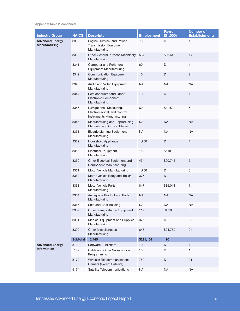Appendix Table 2, continued

| <b>Industry Group</b>                          | <b>NAICS</b>    | <b>Descriptor</b>                                                                    | <b>Employment</b> | <b>Payroll</b><br>(\$1,000) | <b>Number of</b><br><b>Establishments</b> |
|------------------------------------------------|-----------------|--------------------------------------------------------------------------------------|-------------------|-----------------------------|-------------------------------------------|
| <b>Advanced Energy</b><br><b>Manufacturing</b> | 3336            | Engine, Turbine, and Power<br><b>Transmission Equipment</b><br>Manufacturing         | 750               | D                           | 1                                         |
|                                                | 3339            | Other General Purpose Machinery<br>Manufacturing                                     | 534               | \$26,643                    | 14                                        |
|                                                | 3341            | <b>Computer and Peripheral</b><br><b>Equipment Manufacturing</b>                     | 60                | D                           | $\mathbf{1}$                              |
|                                                | 3342            | <b>Communication Equipment</b><br>Manufacturing                                      | 10                | D                           | $\overline{c}$                            |
|                                                | 3343            | Audio and Video Equipment<br>Manufacturing                                           | <b>NA</b>         | <b>NA</b>                   | <b>NA</b>                                 |
|                                                | 3344            | Semiconductor and Other<br>Electronic Component<br>Manufacturing                     | 10                | D                           | $\mathbf{1}$                              |
|                                                | 3345            | Navigational, Measuring,<br>Electromedical, and Control<br>Instruments Manufacturing | 60                | \$4,159                     | $\,$ 5 $\,$                               |
|                                                | 3346            | Manufacturing and Reproducing<br>Magnetic and Optical Media                          | <b>NA</b>         | <b>NA</b>                   | <b>NA</b>                                 |
|                                                | 3351            | <b>Electric Lighting Equipment</b><br>Manufacturing                                  | NA                | NA                          | <b>NA</b>                                 |
|                                                | 3352            | Household Appliance<br>Manufacturing                                                 | 1,750             | D                           | $\mathbf{1}$                              |
|                                                | 3353            | <b>Electrical Equipment</b><br>Manufacturing                                         | 15                | \$618                       | 3                                         |
|                                                | 3359            | Other Electrical Equipment and<br><b>Component Manufacturing</b>                     | 434               | \$20,745                    | $\overline{7}$                            |
|                                                | 3361            | Motor Vehicle Manufacturing                                                          | 1,750             | D                           | 3                                         |
|                                                | 3362            | Motor Vehicle Body and Trailer<br>Manufacturing                                      | 375               | D                           | 2                                         |
|                                                | 3363            | <b>Motor Vehicle Parts</b><br>Manufacturing                                          | 847               | \$35,011                    | $\overline{7}$                            |
|                                                | 3364            | Aerospace Product and Parts<br>Manufacturing                                         | <b>NA</b>         | <b>NA</b>                   | <b>NA</b>                                 |
|                                                | 3366            | Ship and Boat Building                                                               | <b>NA</b>         | <b>NA</b>                   | <b>NA</b>                                 |
|                                                | 3369            | Other Transportation Equipment<br>Manufacturing                                      | 119               | \$4,103                     | $6\phantom{1}$                            |
|                                                | 3391            | Medical Equipment and Supplies<br>Manufacturing                                      | 375               | D                           | 23                                        |
|                                                | 3399            | <b>Other Miscellaneous</b><br>Manufacturing                                          | 645               | \$24,769                    | 24                                        |
|                                                | <b>Subtotal</b> | 12,445                                                                               | \$221,154         | 170                         |                                           |
| <b>Advanced Energy</b>                         | 5112            | Software Publishers                                                                  | 10                | D                           | $\mathbf{1}$                              |
| <b>Information</b>                             | 5152            | Cable and Other Subscription<br>Programming                                          | 10                | D                           | 1                                         |
|                                                | 5172            | Wireless Telecommunications<br>Carriers (except Satellite)                           | 750               | D                           | 21                                        |
|                                                | 5174            | Satellite Telecommunications                                                         | <b>NA</b>         | <b>NA</b>                   | <b>NA</b>                                 |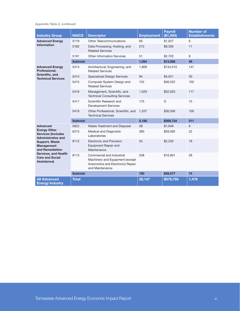Appendix Table 2, continued

| <b>Industry Group</b>                                                                                                                 | <b>NAICS</b>    | <b>Descriptor</b>                                                                                                    | <b>Employment</b> | <b>Pavroll</b><br>(\$1,000) | <b>Number of</b><br><b>Establishments</b> |
|---------------------------------------------------------------------------------------------------------------------------------------|-----------------|----------------------------------------------------------------------------------------------------------------------|-------------------|-----------------------------|-------------------------------------------|
| <b>Advanced Energy</b>                                                                                                                | 5179            | <b>Other Telecommunications</b>                                                                                      | 60                | \$1,027                     | 6                                         |
| <b>Information</b>                                                                                                                    | 5182            | Data Processing, Hosting, and<br><b>Related Services</b>                                                             | 213               | \$9,356                     | 11                                        |
|                                                                                                                                       | 5191            | <b>Other Information Services</b>                                                                                    | 51                | \$2,703                     | 8                                         |
|                                                                                                                                       | <b>Subtotal</b> |                                                                                                                      | 1,094             | \$13,086                    | 48                                        |
| <b>Advanced Energy</b><br>Professional,                                                                                               | 5413            | Architectural, Engineering, and<br><b>Related Services</b>                                                           | 1,809             | \$134,510                   | 147                                       |
| Scientific, and<br><b>Technical Services</b>                                                                                          | 5414            | <b>Specialized Design Services</b>                                                                                   | 94                | \$4,521                     | 30                                        |
|                                                                                                                                       | 5415            | Computer System Design and<br><b>Related Services</b>                                                                | 742               | \$46,522                    | 102                                       |
|                                                                                                                                       | 5416            | Management, Scientific, and<br><b>Technical Consulting Services</b>                                                  | 1,029             | \$52,625                    | 117                                       |
|                                                                                                                                       | 5417            | Scientific Research and<br><b>Development Services</b>                                                               | 175               | D                           | 15                                        |
|                                                                                                                                       | 5419            | Other Professional, Scientific, and<br><b>Technical Services</b>                                                     | 1,337             | \$30,556                    | 100                                       |
|                                                                                                                                       | <b>Subtotal</b> |                                                                                                                      | 5,186             | \$268,734                   | 511                                       |
| <b>Advanced</b>                                                                                                                       | 5622            | Waste Treatment and Disposal                                                                                         | 38                | \$1,949                     | 6                                         |
| <b>Energy Other</b><br><b>Services (Includes)</b><br><b>Administrative and</b>                                                        | 6215            | Medical and Diagnostic<br>Laboratories                                                                               | 360               | \$28,092                    | 22                                        |
| <b>Support, Waste</b><br><b>Management</b><br>and Remediation<br><b>Services, and Health</b><br><b>Care and Social</b><br>Assistance) | 8112            | <b>Electronic and Precision</b><br>Equipment Repair and<br>Maintenance                                               | 54                | \$2,235                     | 18                                        |
|                                                                                                                                       | 8113            | Commercial and Industrial<br>Machinery and Equipment (except<br>Automotive and Electronic) Repair<br>and Maintenance | 338               | \$16,801                    | 28                                        |
|                                                                                                                                       | <b>Subtotal</b> |                                                                                                                      | 790               | \$49,077                    | 74                                        |
| <b>All Advanced</b><br><b>Energy Industry</b>                                                                                         | <b>Total</b>    |                                                                                                                      | 28,147            | \$976,760                   | 1,478                                     |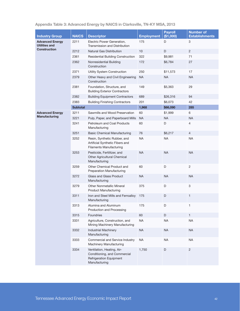| <b>Industry Group</b>                   | <b>NAICS</b>    | <b>Descriptor</b>                                                                                 | <b>Employment</b> | <b>Payroll</b><br>(\$1,000) | <b>Number of</b><br><b>Establishments</b> |
|-----------------------------------------|-----------------|---------------------------------------------------------------------------------------------------|-------------------|-----------------------------|-------------------------------------------|
| <b>Advanced Energy</b><br>Utilities and | 2211            | Electric Power Generation,<br>Transmission and Distribution                                       | 175               | D                           | 3                                         |
| <b>Construction</b>                     | 2212            | <b>Natural Gas Distribution</b>                                                                   | 10                | D                           | $\overline{c}$                            |
|                                         | 2361            | <b>Residential Building Construction</b>                                                          | 322               | \$9,981                     | 71                                        |
|                                         | 2362            | Nonresidential Building<br>Construction                                                           | 172               | \$6,784                     | 27                                        |
|                                         | 2371            | Utility System Construction                                                                       | 250               | \$11,573                    | 17                                        |
|                                         | 2379            | Other Heavy and Civil Engineering<br>Construction                                                 | NA                | <b>NA</b>                   | <b>NA</b>                                 |
|                                         | 2381            | Foundation, Structure, and<br><b>Building Exterior Contractors</b>                                | 149               | \$5,363                     | 29                                        |
|                                         | 2382            | <b>Building Equipment Contractors</b>                                                             | 689               | \$26,316                    | 94                                        |
|                                         | 2383            | <b>Building Finishing Contractors</b>                                                             | 201               | \$6,073                     | 42                                        |
|                                         | <b>Subtotal</b> |                                                                                                   | 1,968             | \$66,090                    | 285                                       |
| <b>Advanced Energy</b>                  | 3211            | Sawmills and Wood Preservation                                                                    | 60                | \$1,999                     | 6                                         |
| Manufacturing                           | 3221            | Pulp, Paper, and Paperboard Mills                                                                 | <b>NA</b>         | <b>NA</b>                   | <b>NA</b>                                 |
|                                         | 3241            | Petroleum and Coal Products<br>Manufacturing                                                      | 60                | D                           | $\overline{4}$                            |
|                                         | 3251            | <b>Basic Chemical Manufacturing</b>                                                               | 76                | \$6,217                     | $\overline{4}$                            |
|                                         | 3252            | Resin, Synthetic Rubber, and<br>Artificial Synthetic Fibers and<br><b>Filaments Manufacturing</b> | <b>NA</b>         | <b>NA</b>                   | <b>NA</b>                                 |
|                                         | 3253            | Pesticide, Fertilitzer, and<br>Other Agricultural Chemical<br>Manufacturing                       | <b>NA</b>         | <b>NA</b>                   | <b>NA</b>                                 |
|                                         | 3259            | Other Chemical Product and<br><b>Preparation Manufacturing</b>                                    | 60                | D                           | 2                                         |
|                                         | 3272            | <b>Glass and Glass Product</b><br>Manufacturing                                                   | <b>NA</b>         | <b>NA</b>                   | <b>NA</b>                                 |
|                                         | 3279            | <b>Other Nonmetallic Mineral</b><br><b>Product Manufacturing</b>                                  | 375               | D                           | 3                                         |
|                                         | 3311            | Iron and Steel Mills and Ferroalloy<br>Manufacturing                                              | 175               | D                           | $\mathbf{1}$                              |
|                                         | 3313            | Alumina and Aluminum<br>Production and Processing                                                 | 175               | D                           | $\mathbf{1}$                              |
|                                         | 3315            | Foundries                                                                                         | 60                | D                           | $\mathbf{1}$                              |
|                                         | 3331            | Agriculture, Construction, and<br>Mining Machinery Manufacturing                                  | <b>NA</b>         | <b>NA</b>                   | <b>NA</b>                                 |
|                                         | 3332            | <b>Industrial Machinery</b><br>Manufacturing                                                      | <b>NA</b>         | <b>NA</b>                   | <b>NA</b>                                 |
|                                         | 3333            | Commercial and Service Industry<br>Machinery Manufacturing                                        | <b>NA</b>         | <b>NA</b>                   | <b>NA</b>                                 |
|                                         | 3334            | Ventilation, Heating, Air-<br>Conditioning, and Commercial                                        | 1,750             | $\mathsf D$                 | $\mathbf{2}$                              |

## Appendix Table 3: Advanced Energy by NAICS in Clarksville, TN-KY MSA, 2013

Refrigeration Equipment

Manufacturing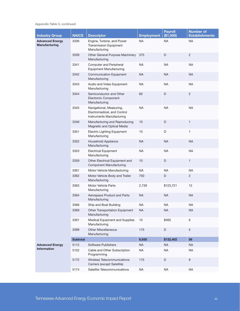Appendix Table 3, continued

| <b>Industry Group</b>                   | <b>NAICS</b>    | <b>Descriptor</b>                                                                    | <b>Employment</b> | <b>Payroll</b><br>(\$1,000) | <b>Number of</b><br><b>Establishments</b> |
|-----------------------------------------|-----------------|--------------------------------------------------------------------------------------|-------------------|-----------------------------|-------------------------------------------|
| <b>Advanced Energy</b><br>Manufacturing | 3336            | Engine, Turbine, and Power<br><b>Transmission Equipment</b><br>Manufacturing         | <b>NA</b>         | NA                          | <b>NA</b>                                 |
|                                         | 3339            | Other General Purpose Machinery<br>Manufacturing                                     | 375               | D                           | $\overline{c}$                            |
|                                         | 3341            | <b>Computer and Peripheral</b><br><b>Equipment Manufacturing</b>                     | <b>NA</b>         | <b>NA</b>                   | <b>NA</b>                                 |
|                                         | 3342            | <b>Communication Equipment</b><br>Manufacturing                                      | <b>NA</b>         | <b>NA</b>                   | <b>NA</b>                                 |
|                                         | 3343            | Audio and Video Equipment<br>Manufacturing                                           | <b>NA</b>         | <b>NA</b>                   | <b>NA</b>                                 |
|                                         | 3344            | Semiconductor and Other<br>Electronic Component<br>Manufacturing                     | 60                | D                           | $\overline{c}$                            |
|                                         | 3345            | Navigational, Measuring,<br>Electromedical, and Control<br>Instruments Manufacturing | <b>NA</b>         | <b>NA</b>                   | <b>NA</b>                                 |
|                                         | 3346            | Manufacturing and Reproducing<br>Magnetic and Optical Media                          | 10                | $\mathsf D$                 | $\mathbf{1}$                              |
|                                         | 3351            | <b>Electric Lighting Equipment</b><br>Manufacturing                                  | 10                | D                           | $\mathbf{1}$                              |
|                                         | 3352            | Household Appliance<br>Manufacturing                                                 | <b>NA</b>         | <b>NA</b>                   | <b>NA</b>                                 |
|                                         | 3353            | <b>Electrical Equipment</b><br>Manufacturing                                         | <b>NA</b>         | <b>NA</b>                   | <b>NA</b>                                 |
|                                         | 3359            | Other Electrical Equipment and<br><b>Component Manufacturing</b>                     | 10                | D                           | 1                                         |
|                                         | 3361            | Motor Vehicle Manufacturing                                                          | <b>NA</b>         | NA                          | <b>NA</b>                                 |
|                                         | 3362            | Motor Vehicle Body and Trailer<br>Manufacturing                                      | 750               | D                           | $\overline{2}$                            |
|                                         | 3363            | <b>Motor Vehicle Parts</b><br>Manufacturing                                          | 2,739             | \$123,721                   | 12                                        |
|                                         | 3364            | Aerospace Product and Parts<br>Manufacturing                                         | <b>NA</b>         | <b>NA</b>                   | <b>NA</b>                                 |
|                                         | 3366            | Ship and Boat Building                                                               | <b>NA</b>         | $\sf NA$                    | <b>NA</b>                                 |
|                                         | 3369            | Other Transportation Equipment<br>Manufacturing                                      | <b>NA</b>         | <b>NA</b>                   | <b>NA</b>                                 |
|                                         | 3391            | Medical Equipment and Supplies<br>Manufacturing                                      | 10                | \$465                       | 6                                         |
|                                         | 3399            | <b>Other Miscellaneous</b><br>Manufacturing                                          | 175               | D                           | $\mathbf 5$                               |
|                                         | <b>Subtotal</b> |                                                                                      | 6,930             | \$132,402                   | 56                                        |
| <b>Advanced Energy</b>                  | 5112            | Software Publishers                                                                  | <b>NA</b>         | <b>NA</b>                   | <b>NA</b>                                 |
| <b>Information</b>                      | 5152            | Cable and Other Subscription<br>Programming                                          | <b>NA</b>         | <b>NA</b>                   | <b>NA</b>                                 |
|                                         | 5172            | Wireless Telecommunications<br>Carriers (except Satellite)                           | 175               | D                           | $\boldsymbol{9}$                          |
|                                         | 5174            | Satellite Telecommunications                                                         | <b>NA</b>         | <b>NA</b>                   | <b>NA</b>                                 |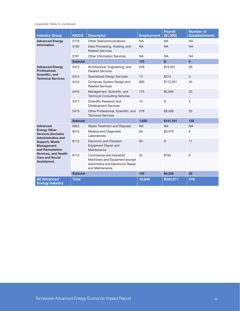Appendix Table 3, continued

| <b>Industry Group</b>                                                                                                                 | <b>NAICS</b>    | <b>Descriptor</b>                                                                                                    | <b>Employment</b> | <b>Pavroll</b><br>(\$1,000) | <b>Number of</b><br><b>Establishments</b> |
|---------------------------------------------------------------------------------------------------------------------------------------|-----------------|----------------------------------------------------------------------------------------------------------------------|-------------------|-----------------------------|-------------------------------------------|
| <b>Advanced Energy</b>                                                                                                                | 5179            | <b>Other Telecommunications</b>                                                                                      | <b>NA</b>         | <b>NA</b>                   | <b>NA</b>                                 |
| <b>Information</b>                                                                                                                    | 5182            | Data Processing, Hosting, and<br><b>Related Services</b>                                                             | <b>NA</b>         | <b>NA</b>                   | <b>NA</b>                                 |
|                                                                                                                                       | 5191            | <b>Other Information Services</b>                                                                                    | <b>NA</b>         | <b>NA</b>                   | <b>NA</b>                                 |
|                                                                                                                                       | <b>Subtotal</b> |                                                                                                                      | 175               | $$-$                        | 9 <sup>°</sup>                            |
| <b>Advanced Energy</b><br>Professional.                                                                                               | 5413            | Architectural, Engineering, and<br><b>Related Services</b>                                                           | 249               | \$14,451                    | 30                                        |
| Scientific, and<br><b>Technical Services</b>                                                                                          | 5414            | <b>Specialized Design Services</b>                                                                                   | 13                | \$313                       | 5                                         |
|                                                                                                                                       | 5415            | Computer System Design and<br><b>Related Services</b>                                                                | 900               | \$112,931                   | 45                                        |
|                                                                                                                                       | 5416            | Management, Scientific, and<br><b>Technical Consulting Services</b>                                                  | 175               | \$5,090                     | 23                                        |
|                                                                                                                                       | 5417            | Scientific Research and<br><b>Development Services</b>                                                               | 10                | D                           | $\overline{2}$                            |
|                                                                                                                                       | 5419            | Other Professional, Scientific, and<br><b>Technical Services</b>                                                     | 279               | \$8,406                     | 33                                        |
|                                                                                                                                       | <b>Subtotal</b> |                                                                                                                      | 1,626             | \$141,191                   | 138                                       |
| <b>Advanced</b>                                                                                                                       | 5622            | Waste Treatment and Disposal                                                                                         | <b>NA</b>         | <b>NA</b>                   | <b>NA</b>                                 |
| <b>Energy Other</b><br><b>Services (Includes)</b><br><b>Administrative and</b>                                                        | 6215            | Medical and Diagnostic<br>Laboratories                                                                               | 60                | \$3,478                     | 8                                         |
| <b>Support, Waste</b><br><b>Management</b><br>and Remediation<br><b>Services, and Health</b><br><b>Care and Social</b><br>Assistance) | 8112            | <b>Electronic and Precision</b><br>Equipment Repair and<br>Maintenance                                               | 60                | D                           | 11                                        |
|                                                                                                                                       | 8113            | Commercial and Industrial<br>Machinery and Equipment (except<br>Automotive and Electronic) Repair<br>and Maintenance | 25                | \$750                       | 9                                         |
|                                                                                                                                       | <b>Subtotal</b> |                                                                                                                      | 145               | \$4,228                     | 28                                        |
| <b>All Advanced</b><br><b>Energy Industry</b>                                                                                         | <b>Total</b>    |                                                                                                                      | 10,844            | \$343,911                   | 516                                       |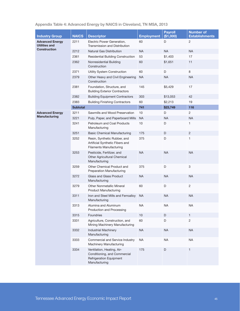| <b>Industry Group</b>                          | <b>NAICS</b>    | <b>Descriptor</b>                                                                                             | <b>Employment</b> | <b>Payroll</b><br>(\$1,000) | <b>Number of</b><br><b>Establishments</b> |
|------------------------------------------------|-----------------|---------------------------------------------------------------------------------------------------------------|-------------------|-----------------------------|-------------------------------------------|
| <b>Advanced Energy</b><br><b>Utilities and</b> | 2211            | Electric Power Generation,                                                                                    | 60                | D                           | 2                                         |
| <b>Construction</b>                            |                 | Transmission and Distribution                                                                                 |                   |                             |                                           |
|                                                | 2212            | <b>Natural Gas Distribution</b>                                                                               | <b>NA</b>         | <b>NA</b>                   | <b>NA</b>                                 |
|                                                | 2361            | <b>Residential Building Construction</b>                                                                      | 53                | \$1,403                     | 17                                        |
|                                                | 2362            | Nonresidential Building<br>Construction                                                                       | 60                | \$1,651                     | 11                                        |
|                                                | 2371            | Utility System Construction                                                                                   | 60                | D                           | 8                                         |
|                                                | 2379            | Other Heavy and Civil Engineering<br>Construction                                                             | <b>NA</b>         | <b>NA</b>                   | <b>NA</b>                                 |
|                                                | 2381            | Foundation, Structure, and<br><b>Building Exterior Contractors</b>                                            | 145               | \$5,429                     | 17                                        |
|                                                | 2382            | <b>Building Equipment Contractors</b>                                                                         | 303               | \$13,053                    | 42                                        |
|                                                | 2383            | <b>Building Finishing Contractors</b>                                                                         | 60                | \$2,213                     | 19                                        |
|                                                | <b>Subtotal</b> |                                                                                                               | 741               | \$23,749                    | 116                                       |
| <b>Advanced Energy</b>                         | 3211            | Sawmills and Wood Preservation                                                                                | 10                | D                           | $\overline{2}$                            |
| Manufacturing                                  | 3221            | Pulp, Paper, and Paperboard Mills                                                                             | <b>NA</b>         | <b>NA</b>                   | <b>NA</b>                                 |
|                                                | 3241            | Petroleum and Coal Products<br>Manufacturing                                                                  | 10                | D                           | 1                                         |
|                                                | 3251            | <b>Basic Chemical Manufacturing</b>                                                                           | 175               | D                           | $\overline{2}$                            |
|                                                | 3252            | Resin, Synthetic Rubber, and<br>Artificial Synthetic Fibers and<br><b>Filaments Manufacturing</b>             | 375               | D                           | 1                                         |
|                                                | 3253            | Pesticide, Fertilizer, and<br>Other Agricultural Chemical<br>Manufacturing                                    | <b>NA</b>         | <b>NA</b>                   | <b>NA</b>                                 |
|                                                | 3259            | Other Chemical Product and<br><b>Preparation Manufacturing</b>                                                | 375               | D                           | 3                                         |
|                                                | 3272            | Glass and Glass Product<br>Manufacturing                                                                      | <b>NA</b>         | <b>NA</b>                   | <b>NA</b>                                 |
|                                                | 3279            | Other Nonmetallic Mineral<br><b>Product Manufacturing</b>                                                     | 60                | D                           | $\overline{c}$                            |
|                                                | 3311            | Iron and Steel Mills and Ferroalloy<br>Manufacturing                                                          | <b>NA</b>         | <b>NA</b>                   | <b>NA</b>                                 |
|                                                | 3313            | Alumina and Aluminum<br>Production and Processing                                                             | <b>NA</b>         | <b>NA</b>                   | <b>NA</b>                                 |
|                                                | 3315            | Foundries                                                                                                     | $10$              | $\mathsf D$                 | $\mathbf{1}$                              |
|                                                | 3331            | Agriculture, Construction, and<br>Mining Machinery Manufacturing                                              | 60                | D                           | $\overline{c}$                            |
|                                                | 3332            | <b>Industrial Machinery</b><br>Manufacturing                                                                  | <b>NA</b>         | <b>NA</b>                   | <b>NA</b>                                 |
|                                                | 3333            | Commercial and Service Industry<br>Machinery Manufacturing                                                    | <b>NA</b>         | <b>NA</b>                   | <b>NA</b>                                 |
|                                                | 3334            | Ventilation, Heating, Air-<br>Conditioning, and Commercial<br><b>Refrigeration Equipment</b><br>Manufacturing | 175               | $\mathsf D$                 | $\mathbf{1}$                              |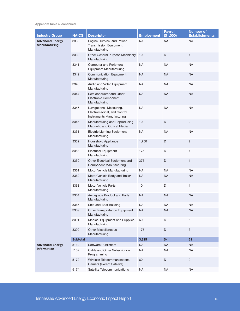Appendix Table 4, continued

| <b>Industry Group</b>                   | <b>NAICS</b>    | <b>Descriptor</b>                                                                    | <b>Employment</b> | <b>Payroll</b><br>(\$1,000) | <b>Number of</b><br><b>Establishments</b> |
|-----------------------------------------|-----------------|--------------------------------------------------------------------------------------|-------------------|-----------------------------|-------------------------------------------|
| <b>Advanced Energy</b><br>Manufacturing | 3336            | Engine, Turbine, and Power<br><b>Transmission Equipment</b><br>Manufacturing         | <b>NA</b>         | NA                          | <b>NA</b>                                 |
|                                         | 3339            | Other General Purpose Machinery<br>Manufacturing                                     | 10                | D                           | $\mathbf{1}$                              |
|                                         | 3341            | <b>Computer and Peripheral</b><br><b>Equipment Manufacturing</b>                     | <b>NA</b>         | <b>NA</b>                   | <b>NA</b>                                 |
|                                         | 3342            | <b>Communication Equipment</b><br>Manufacturing                                      | <b>NA</b>         | <b>NA</b>                   | <b>NA</b>                                 |
|                                         | 3343            | Audio and Video Equipment<br>Manufacturing                                           | <b>NA</b>         | <b>NA</b>                   | <b>NA</b>                                 |
|                                         | 3344            | Semiconductor and Other<br>Electronic Component<br>Manufacturing                     | <b>NA</b>         | <b>NA</b>                   | <b>NA</b>                                 |
|                                         | 3345            | Navigational, Measuring,<br>Electromedical, and Control<br>Instruments Manufacturing | <b>NA</b>         | <b>NA</b>                   | <b>NA</b>                                 |
|                                         | 3346            | Manufacturing and Reproducing<br>Magnetic and Optical Media                          | $10$              | $\mathsf D$                 | $\overline{c}$                            |
|                                         | 3351            | <b>Electric Lighting Equipment</b><br>Manufacturing                                  | <b>NA</b>         | <b>NA</b>                   | <b>NA</b>                                 |
|                                         | 3352            | Household Appliance<br>Manufacturing                                                 | 1,750             | D                           | $\overline{c}$                            |
|                                         | 3353            | <b>Electrical Equipment</b><br>Manufacturing                                         | 175               | D                           | 1                                         |
|                                         | 3359            | Other Electrical Equipment and<br><b>Component Manufacturing</b>                     | 375               | D                           | 1                                         |
|                                         | 3361            | Motor Vehicle Manufacturing                                                          | NA                | <b>NA</b>                   | <b>NA</b>                                 |
|                                         | 3362            | Motor Vehicle Body and Trailer<br>Manufacturing                                      | <b>NA</b>         | <b>NA</b>                   | <b>NA</b>                                 |
|                                         | 3363            | Motor Vehicle Parts<br>Manufacturing                                                 | 10                | D                           | $\mathbf{1}$                              |
|                                         | 3364            | Aerospace Product and Parts<br>Manufacturing                                         | <b>NA</b>         | <b>NA</b>                   | <b>NA</b>                                 |
|                                         | 3366            | Ship and Boat Building                                                               | <b>NA</b>         | <b>NA</b>                   | <b>NA</b>                                 |
|                                         | 3369            | Other Transportation Equipment<br>Manufacturing                                      | <b>NA</b>         | <b>NA</b>                   | <b>NA</b>                                 |
|                                         | 3391            | Medical Equipment and Supplies<br>Manufacturing                                      | 60                | D                           | 5                                         |
|                                         | 3399            | <b>Other Miscellaneous</b><br>Manufacturing                                          | 175               | D                           | 3                                         |
|                                         | <b>Subtotal</b> |                                                                                      | 3,815             | \$-                         | 31                                        |
| <b>Advanced Energy</b>                  | 5112            | Software Publishers                                                                  | <b>NA</b>         | <b>NA</b>                   | <b>NA</b>                                 |
| <b>Information</b>                      | 5152            | Cable and Other Subscription<br>Programming                                          | <b>NA</b>         | <b>NA</b>                   | <b>NA</b>                                 |
|                                         | 5172            | Wireless Telecommunications<br>Carriers (except Satellite)                           | 60                | D                           | $\overline{c}$                            |
|                                         | 5174            | Satellite Telecommunications                                                         | <b>NA</b>         | <b>NA</b>                   | <b>NA</b>                                 |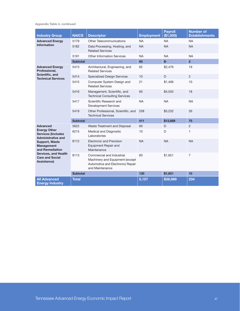Appendix Table 4, continued

| <b>Industry Group</b>                                                                                                                 | <b>NAICS</b>    | <b>Descriptor</b>                                                                                                    | <b>Employment</b> | <b>Payroll</b><br>(\$1,000) | <b>Number of</b><br><b>Establishments</b> |
|---------------------------------------------------------------------------------------------------------------------------------------|-----------------|----------------------------------------------------------------------------------------------------------------------|-------------------|-----------------------------|-------------------------------------------|
| <b>Advanced Energy</b>                                                                                                                | 5179            | Other Telecommunications                                                                                             | <b>NA</b>         | <b>NA</b>                   | <b>NA</b>                                 |
| <b>Information</b>                                                                                                                    | 5182            | Data Processing, Hosting, and<br><b>Related Services</b>                                                             | <b>NA</b>         | <b>NA</b>                   | <b>NA</b>                                 |
|                                                                                                                                       | 5191            | Other Information Services                                                                                           | <b>NA</b>         | <b>NA</b>                   | <b>NA</b>                                 |
|                                                                                                                                       | <b>Subtotal</b> |                                                                                                                      | 60                | $$-$                        | $\overline{2}$                            |
| <b>Advanced Energy</b><br>Professional.                                                                                               | 5413            | Architectural, Engineering, and<br><b>Related Services</b>                                                           | 62                | \$2,476                     | 19                                        |
| Scientific, and<br><b>Technical Services</b>                                                                                          | 5414            | <b>Specialized Design Services</b>                                                                                   | 10                | D                           | $\overline{2}$                            |
|                                                                                                                                       | 5415            | Computer System Design and<br><b>Related Services</b>                                                                | 21                | \$1,406                     | 10                                        |
|                                                                                                                                       | 5416            | Management, Scientific, and<br><b>Technical Consulting Services</b>                                                  | 60                | \$4,555                     | 18                                        |
|                                                                                                                                       | 5417            | Scientific Research and<br><b>Development Services</b>                                                               | <b>NA</b>         | <b>NA</b>                   | <b>NA</b>                                 |
|                                                                                                                                       | 5419            | Other Professional, Scientific, and<br><b>Technical Services</b>                                                     | 258               | \$5,232                     | 26                                        |
|                                                                                                                                       | <b>Subtotal</b> |                                                                                                                      | 411               | \$13,669                    | 75                                        |
| <b>Advanced</b>                                                                                                                       | 5622            | Waste Treatment and Disposal                                                                                         | 60                | D                           | 2                                         |
| <b>Energy Other</b><br><b>Services (Includes</b><br><b>Administrative and</b>                                                         | 6215            | Medical and Diagnostic<br>Laboratories                                                                               | 10                | D                           | $\mathbf{1}$                              |
| <b>Support, Waste</b><br><b>Management</b><br>and Remediation<br><b>Services, and Health</b><br><b>Care and Social</b><br>Assistance) | 8112            | Electronic and Precision<br>Equipment Repair and<br>Maintenance                                                      | <b>NA</b>         | <b>NA</b>                   | <b>NA</b>                                 |
|                                                                                                                                       | 8113            | Commercial and Industrial<br>Machinery and Equipment (except<br>Automotive and Electronic) Repair<br>and Maintenance | 60                | \$1,651                     | $\overline{7}$                            |
|                                                                                                                                       | <b>Subtotal</b> |                                                                                                                      | 130               | \$1,651                     | 10 <sub>1</sub>                           |
| <b>All Advanced</b><br><b>Energy Industry</b>                                                                                         | <b>Total</b>    |                                                                                                                      | 5,157             | \$39,069                    | 234                                       |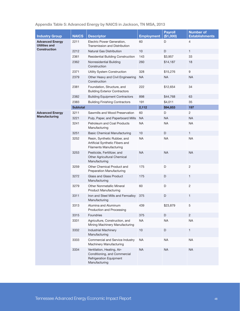## Appendix Table 5: Advanced Energy by NAICS in Jackson, TN MSA, 2013

| <b>Industry Group</b>                | <b>NAICS</b>    | <b>Descriptor</b>                                                                                             | <b>Employment</b> | <b>Payroll</b><br>(\$1,000) | <b>Number of</b><br><b>Establishments</b> |
|--------------------------------------|-----------------|---------------------------------------------------------------------------------------------------------------|-------------------|-----------------------------|-------------------------------------------|
| <b>Advanced Energy</b>               | 2211            | Electric Power Generation,                                                                                    | 60                | D                           | 4                                         |
| Utilities and<br><b>Construction</b> |                 | Transmission and Distribution                                                                                 |                   |                             |                                           |
|                                      | 2212            | <b>Natural Gas Distribution</b>                                                                               | 10                | D                           | $\mathbf{1}$                              |
|                                      | 2361            | <b>Residential Building Construction</b>                                                                      | 143               | \$3,957                     | 33                                        |
|                                      | 2362            | Nonresidential Building<br>Construction                                                                       | 260               | \$14,187                    | 18                                        |
|                                      | 2371            | Utility System Construction                                                                                   | 328               | \$15,276                    | 9                                         |
|                                      | 2379            | Other Heavy and Civil Engineering<br>Construction                                                             | <b>NA</b>         | <b>NA</b>                   | <b>NA</b>                                 |
|                                      | 2381            | Foundation, Structure, and<br><b>Building Exterior Contractors</b>                                            | 222               | \$12,654                    | 34                                        |
|                                      | 2382            | <b>Building Equipment Contractors</b>                                                                         | 898               | \$44,768                    | 63                                        |
|                                      | 2383            | <b>Building Finishing Contractors</b>                                                                         | 191               | \$4,011                     | 35                                        |
|                                      | <b>Subtotal</b> |                                                                                                               | 2,112             | \$94,853                    | 197                                       |
| <b>Advanced Energy</b>               | 3211            | Sawmills and Wood Preservation                                                                                | 60                | D                           | $\mathbf{2}^{\prime}$                     |
| Manufacturing                        | 3221            | Pulp, Paper, and Paperboard Mills                                                                             | <b>NA</b>         | <b>NA</b>                   | <b>NA</b>                                 |
|                                      | 3241            | Petroleum and Coal Products<br>Manufacturing                                                                  | <b>NA</b>         | NA                          | <b>NA</b>                                 |
|                                      | 3251            | <b>Basic Chemical Manufacturing</b>                                                                           | 10                | D                           | $\mathbf{1}$                              |
|                                      | 3252            | Resin, Synthetic Rubber, and<br>Artificial Synthetic Fibers and<br><b>Filaments Manufacturing</b>             | <b>NA</b>         | NA                          | <b>NA</b>                                 |
|                                      | 3253            | Pesticide, Fertilitzer, and<br>Other Agricultural Chemical<br>Manufacturing                                   | <b>NA</b>         | <b>NA</b>                   | <b>NA</b>                                 |
|                                      | 3259            | Other Chemical Product and<br><b>Preparation Manufacturing</b>                                                | 175               | D                           | $\mathbf{2}$                              |
|                                      | 3272            | Glass and Glass Product<br>Manufacturing                                                                      | 175               | D                           | $\mathbf{1}$                              |
|                                      | 3279            | <b>Other Nonmetallic Mineral</b><br><b>Product Manufacturing</b>                                              | 60                | D                           | $\mathbf{2}$                              |
|                                      | 3311            | Iron and Steel Mills and Ferroalloy<br>Manufacturing                                                          | 375               | D                           | $\mathbf{1}$                              |
|                                      | 3313            | Alumina and Aluminum<br>Production and Processing                                                             | 439               | \$23,879                    | 5                                         |
|                                      | 3315            | Foundries                                                                                                     | 375               | D                           | $\overline{c}$                            |
|                                      | 3331            | Agriculture, Construction, and<br>Mining Machinery Manufacturing                                              | <b>NA</b>         | <b>NA</b>                   | <b>NA</b>                                 |
|                                      | 3332            | <b>Industrial Machinery</b><br>Manufacturing                                                                  | 10                | D                           | 1                                         |
|                                      | 3333            | Commercial and Service Industry<br>Machinery Manufacturing                                                    | <b>NA</b>         | <b>NA</b>                   | <b>NA</b>                                 |
|                                      | 3334            | Ventilation, Heating, Air-<br>Conditioning, and Commercial<br><b>Refrigeration Equipment</b><br>Manufacturing | <b>NA</b>         | <b>NA</b>                   | <b>NA</b>                                 |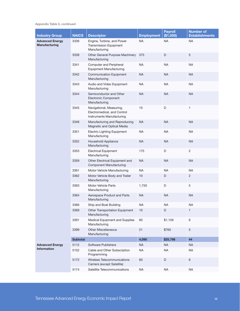Appendix Table 5, continued

| <b>Industry Group</b>                   | <b>NAICS</b>    | <b>Descriptor</b>                                                                    | <b>Employment</b> | <b>Payroll</b><br>(\$1,000) | <b>Number of</b><br><b>Establishments</b> |
|-----------------------------------------|-----------------|--------------------------------------------------------------------------------------|-------------------|-----------------------------|-------------------------------------------|
| <b>Advanced Energy</b><br>Manufacturing | 3336            | Engine, Turbine, and Power<br><b>Transmission Equipment</b><br>Manufacturing         | <b>NA</b>         | NA                          | <b>NA</b>                                 |
|                                         | 3339            | Other General Purpose Machinery<br>Manufacturing                                     | 375               | D                           | 5                                         |
|                                         | 3341            | <b>Computer and Peripheral</b><br><b>Equipment Manufacturing</b>                     | <b>NA</b>         | <b>NA</b>                   | <b>NA</b>                                 |
|                                         | 3342            | <b>Communication Equipment</b><br>Manufacturing                                      | <b>NA</b>         | <b>NA</b>                   | <b>NA</b>                                 |
|                                         | 3343            | Audio and Video Equipment<br>Manufacturing                                           | <b>NA</b>         | <b>NA</b>                   | <b>NA</b>                                 |
|                                         | 3344            | Semiconductor and Other<br>Electronic Component<br>Manufacturing                     | <b>NA</b>         | <b>NA</b>                   | <b>NA</b>                                 |
|                                         | 3345            | Navigational, Measuring,<br>Electromedical, and Control<br>Instruments Manufacturing | 10                | D                           | $\mathbf{1}$                              |
|                                         | 3346            | Manufacturing and Reproducing<br>Magnetic and Optical Media                          | <b>NA</b>         | <b>NA</b>                   | <b>NA</b>                                 |
|                                         | 3351            | <b>Electric Lighting Equipment</b><br>Manufacturing                                  | <b>NA</b>         | NA                          | <b>NA</b>                                 |
|                                         | 3352            | Household Appliance<br>Manufacturing                                                 | <b>NA</b>         | <b>NA</b>                   | <b>NA</b>                                 |
|                                         | 3353            | <b>Electrical Equipment</b><br>Manufacturing                                         | 175               | D                           | $\mathbf{2}$                              |
|                                         | 3359            | Other Electrical Equipment and<br><b>Component Manufacturing</b>                     | <b>NA</b>         | <b>NA</b>                   | <b>NA</b>                                 |
|                                         | 3361            | Motor Vehicle Manufacturing                                                          | <b>NA</b>         | <b>NA</b>                   | <b>NA</b>                                 |
|                                         | 3362            | Motor Vehicle Body and Trailer<br>Manufacturing                                      | 10                | D                           | $\overline{2}$                            |
|                                         | 3363            | Motor Vehicle Parts<br>Manufacturing                                                 | 1,750             | D                           | $\,$ 5 $\,$                               |
|                                         | 3364            | Aerospace Product and Parts<br>Manufacturing                                         | <b>NA</b>         | <b>NA</b>                   | <b>NA</b>                                 |
|                                         | 3366            | Ship and Boat Building                                                               | <b>NA</b>         | $\sf NA$                    | <b>NA</b>                                 |
|                                         | 3369            | Other Transportation Equipment<br>Manufacturing                                      | 10                | D                           | 1                                         |
|                                         | 3391            | Medical Equipment and Supplies<br>Manufacturing                                      | 60                | \$1,159                     | 6                                         |
|                                         | 3399            | <b>Other Miscellaneous</b><br>Manufacturing                                          | 21                | \$760                       | $\mathbf 5$                               |
|                                         | <b>Subtotal</b> |                                                                                      | 4,090             | \$25,798                    | 44                                        |
| <b>Advanced Energy</b>                  | 5112            | Software Publishers                                                                  | <b>NA</b>         | <b>NA</b>                   | <b>NA</b>                                 |
| <b>Information</b>                      | 5152            | Cable and Other Subscription<br>Programming                                          | <b>NA</b>         | <b>NA</b>                   | <b>NA</b>                                 |
|                                         | 5172            | Wireless Telecommunications<br>Carriers (except Satellite)                           | 60                | D                           | $\,6\,$                                   |
|                                         | 5174            | Satellite Telecommunications                                                         | <b>NA</b>         | <b>NA</b>                   | <b>NA</b>                                 |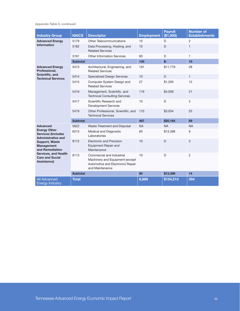Appendix Table 5, continued

| <b>Industry Group</b>                                                                                                                 | <b>NAICS</b>    | <b>Descriptor</b>                                                                                                    | <b>Employment</b> | <b>Payroll</b><br>(\$1,000) | <b>Number of</b><br><b>Establishments</b> |
|---------------------------------------------------------------------------------------------------------------------------------------|-----------------|----------------------------------------------------------------------------------------------------------------------|-------------------|-----------------------------|-------------------------------------------|
| <b>Advanced Energy</b>                                                                                                                | 5179            | <b>Other Telecommunications</b>                                                                                      | 10                | D                           | $\overline{c}$                            |
| <b>Information</b>                                                                                                                    | 5182            | Data Processing, Hosting, and<br><b>Related Services</b>                                                             | 10                | D                           | $\mathbf{1}$                              |
|                                                                                                                                       | 5191            | <b>Other Information Services</b>                                                                                    | 60                | D                           | 1                                         |
|                                                                                                                                       | <b>Subtotal</b> |                                                                                                                      | 140               | $$-$                        | 10                                        |
| <b>Advanced Energy</b><br>Professional,                                                                                               | 5413            | Architectural, Engineering, and<br><b>Related Services</b>                                                           | 191               | \$11,779                    | 28                                        |
| Scientific, and<br><b>Technical Services</b>                                                                                          | 5414            | <b>Specialized Design Services</b>                                                                                   | 10                | D                           | $\mathbf{1}$                              |
|                                                                                                                                       | 5415            | Computer System Design and<br><b>Related Services</b>                                                                | 27                | \$1,293                     | 12                                        |
|                                                                                                                                       | 5416            | Management, Scientific, and<br><b>Technical Consulting Services</b>                                                  | 119               | \$4,058                     | 21                                        |
|                                                                                                                                       | 5417            | Scientific Research and<br><b>Development Services</b>                                                               | 10                | D                           | 2                                         |
|                                                                                                                                       | 5419            | Other Professional, Scientific, and<br><b>Technical Services</b>                                                     | 110               | \$3,034                     | 25                                        |
|                                                                                                                                       | <b>Subtotal</b> |                                                                                                                      | 467               | \$20,164                    | 89                                        |
| <b>Advanced</b>                                                                                                                       | 5622            | Waste Treatment and Disposal                                                                                         | <b>NA</b>         | <b>NA</b>                   | <b>NA</b>                                 |
| <b>Energy Other</b><br><b>Services (Includes</b><br><b>Administrative and</b>                                                         | 6215            | Medical and Diagnostic<br>Laboratories                                                                               | 60                | \$13,398                    | 9                                         |
| <b>Support, Waste</b><br><b>Management</b><br>and Remediation<br><b>Services, and Health</b><br><b>Care and Social</b><br>Assistance) | 8112            | <b>Electronic and Precision</b><br>Equipment Repair and<br>Maintenance                                               | 10                | D                           | 3                                         |
|                                                                                                                                       | 8113            | Commercial and Industrial<br>Machinery and Equipment (except<br>Automotive and Electronic) Repair<br>and Maintenance | 10                | D                           | $\overline{2}$                            |
|                                                                                                                                       | <b>Subtotal</b> |                                                                                                                      | 80                | \$13,398                    | 14                                        |
| <b>All Advanced</b><br><b>Energy Industry</b>                                                                                         | <b>Total</b>    |                                                                                                                      | 6,889             | \$154,213                   | 354                                       |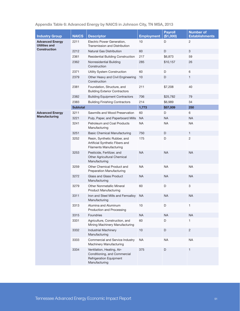| <b>Industry Group</b>                                          | <b>NAICS</b>    | <b>Descriptor</b>                                                                                             | <b>Employment</b> | <b>Payroll</b><br>(\$1,000) | <b>Number of</b><br><b>Establishments</b> |
|----------------------------------------------------------------|-----------------|---------------------------------------------------------------------------------------------------------------|-------------------|-----------------------------|-------------------------------------------|
| <b>Advanced Energy</b><br>Utilities and<br><b>Construction</b> | 2211            | Electric Power Generation,<br>Transmission and Distribution                                                   | 10                | D                           | 2                                         |
|                                                                | 2212            | Natural Gas Distribution                                                                                      | 60                | D                           | 3                                         |
|                                                                | 2361            | <b>Residential Building Construction</b>                                                                      | 217               | \$6,873                     | 59                                        |
|                                                                | 2362            | Nonresidential Building<br>Construction                                                                       | 285               | \$10,157                    | 26                                        |
|                                                                | 2371            | Utility System Construction                                                                                   | 60                | D                           | 6                                         |
|                                                                | 2379            | Other Heavy and Civil Engineering<br>Construction                                                             | 10                | D                           | $\mathbf{1}$                              |
|                                                                | 2381            | Foundation, Structure, and<br><b>Building Exterior Contractors</b>                                            | 211               | \$7,208                     | 40                                        |
|                                                                | 2382            | <b>Building Equipment Contractors</b>                                                                         | 706               | \$25,782                    | 79                                        |
|                                                                | 2383            | <b>Building Finishing Contractors</b>                                                                         | 214               | \$6,989                     | 34                                        |
|                                                                | <b>Subtotal</b> |                                                                                                               | 1,773             | \$57,009                    | 250                                       |
| <b>Advanced Energy</b>                                         | 3211            | Sawmills and Wood Preservation                                                                                | 60                | D                           | 6                                         |
| Manufacturing                                                  | 3221            | Pulp, Paper, and Paperboard Mills                                                                             | <b>NA</b>         | <b>NA</b>                   | <b>NA</b>                                 |
|                                                                | 3241            | Petroleum and Coal Products<br>Manufacturing                                                                  | <b>NA</b>         | <b>NA</b>                   | <b>NA</b>                                 |
|                                                                | 3251            | <b>Basic Chemical Manufacturing</b>                                                                           | 750               | D                           | $\mathbf{1}$                              |
|                                                                | 3252            | Resin, Synthetic Rubber, and<br>Artificial Synthetic Fibers and<br><b>Filaments Manufacturing</b>             | 175               | D                           | $\overline{2}$                            |
|                                                                | 3253            | Pesticide, Fertilizer, and<br>Other Agricultural Chemical<br>Manufacturing                                    | <b>NA</b>         | <b>NA</b>                   | <b>NA</b>                                 |
|                                                                | 3259            | Other Chemical Product and<br><b>Preparation Manufacturing</b>                                                | <b>NA</b>         | <b>NA</b>                   | <b>NA</b>                                 |
|                                                                | 3272            | Glass and Glass Product<br>Manufacturing                                                                      | <b>NA</b>         | <b>NA</b>                   | <b>NA</b>                                 |
|                                                                | 3279            | <b>Other Nonmetallic Mineral</b><br><b>Product Manufacturing</b>                                              | 60                | D                           | 3                                         |
|                                                                | 3311            | Iron and Steel Mills and Ferroalloy<br>Manufacturing                                                          | NA.               | <b>NA</b>                   | <b>NA</b>                                 |
|                                                                | 3313            | Alumina and Aluminum<br>Production and Processing                                                             | 10                | D                           | 1                                         |
|                                                                | 3315            | Foundries                                                                                                     | <b>NA</b>         | <b>NA</b>                   | NA                                        |
|                                                                | 3331            | Agriculture, Construction, and<br>Mining Machinery Manufacturing                                              | 60                | D                           | 1                                         |
|                                                                | 3332            | <b>Industrial Machinery</b><br>Manufacturing                                                                  | $10$              | $\mathsf D$                 | $\overline{c}$                            |
|                                                                | 3333            | Commercial and Service Industry<br>Machinery Manufacturing                                                    | <b>NA</b>         | <b>NA</b>                   | <b>NA</b>                                 |
|                                                                | 3334            | Ventilation, Heating, Air-<br>Conditioning, and Commercial<br><b>Refrigeration Equipment</b><br>Manufacturing | 375               | D                           | $\mathbf{1}$                              |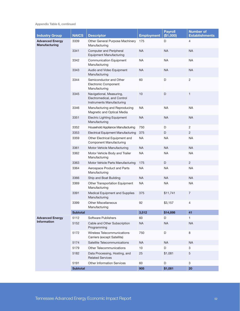Appendix Table 6, continued

| <b>Industry Group</b>                          | <b>NAICS</b>    | <b>Descriptor</b>                                                                    | <b>Employment</b> | <b>Payroll</b><br>(\$1,000) | <b>Number of</b><br><b>Establishments</b> |
|------------------------------------------------|-----------------|--------------------------------------------------------------------------------------|-------------------|-----------------------------|-------------------------------------------|
| <b>Advanced Energy</b><br><b>Manufacturing</b> | 3339            | Other General Purpose Machinery<br>Manufacturing                                     | 175               | D                           | 4                                         |
|                                                | 3341            | <b>Computer and Peripheral</b><br><b>Equipment Manufacturing</b>                     | <b>NA</b>         | <b>NA</b>                   | <b>NA</b>                                 |
|                                                | 3342            | <b>Communication Equipment</b><br>Manufacturing                                      | <b>NA</b>         | <b>NA</b>                   | <b>NA</b>                                 |
|                                                | 3343            | Audio and Video Equipment<br>Manufacturing                                           | NA                | <b>NA</b>                   | <b>NA</b>                                 |
|                                                | 3344            | Semiconductor and Other<br>Electronic Component<br>Manufacturing                     | 60                | D                           | $\overline{c}$                            |
|                                                | 3345            | Navigational, Measuring,<br>Electromedical, and Control<br>Instruments Manufacturing | 10                | D                           | $\mathbf{1}$                              |
|                                                | 3346            | Manufacturing and Reproducing<br>Magnetic and Optical Media                          | <b>NA</b>         | <b>NA</b>                   | NA                                        |
|                                                | 3351            | <b>Electric Lighting Equipment</b><br>Manufacturing                                  | <b>NA</b>         | <b>NA</b>                   | <b>NA</b>                                 |
|                                                | 3352            | Household Appliance Manufacturing                                                    | 750               | D                           | $\overline{2}$                            |
|                                                | 3353            | <b>Electrical Equipment Manufacturing</b>                                            | 375               | D                           | $\overline{2}$                            |
|                                                | 3359            | Other Electrical Equipment and<br><b>Component Manufacturing</b>                     | <b>NA</b>         | <b>NA</b>                   | <b>NA</b>                                 |
|                                                | 3361            | Motor Vehicle Manufacturing                                                          | <b>NA</b>         | <b>NA</b>                   | <b>NA</b>                                 |
|                                                | 3362            | Motor Vehicle Body and Trailer<br>Manufacturing                                      | <b>NA</b>         | <b>NA</b>                   | <b>NA</b>                                 |
|                                                | 3363            | Motor Vehicle Parts Manufacturing                                                    | 175               | D                           | $\overline{2}$                            |
|                                                | 3364            | Aerospace Product and Parts<br>Manufacturing                                         | <b>NA</b>         | <b>NA</b>                   | <b>NA</b>                                 |
|                                                | 3366            | Ship and Boat Building                                                               | <b>NA</b>         | <b>NA</b>                   | <b>NA</b>                                 |
|                                                | 3369            | Other Transportation Equipment<br>Manufacturing                                      | NA                | <b>NA</b>                   | <b>NA</b>                                 |
|                                                | 3391            | Medical Equipment and Supplies<br>Manufacturing                                      | 375               | \$11,741                    | $\overline{7}$                            |
|                                                | 3399            | <b>Other Miscellaneous</b><br>Manufacturing                                          | 92                | \$3,157                     | 4                                         |
|                                                | <b>Subtotal</b> |                                                                                      | 3,512             | \$14,898                    | 41                                        |
| <b>Advanced Energy</b>                         | 5112            | Software Publishers                                                                  | 60                | D                           | $\mathbf{1}$                              |
| <b>Information</b>                             | 5152            | Cable and Other Subscription<br>Programming                                          | <b>NA</b>         | <b>NA</b>                   | <b>NA</b>                                 |
|                                                | 5172            | Wireless Telecommunications<br>Carriers (except Satellite)                           | 750               | D                           | 8                                         |
|                                                | 5174            | Satellite Telecommunications                                                         | <b>NA</b>         | <b>NA</b>                   | <b>NA</b>                                 |
|                                                | 5179            | Other Telecommunications                                                             | 10                | D                           | 3                                         |
|                                                | 5182            | Data Processing, Hosting, and<br><b>Related Services</b>                             | 25                | \$1,081                     | 5                                         |
|                                                | 5191            | <b>Other Information Services</b>                                                    | 60                | D                           | 3                                         |
|                                                | <b>Subtotal</b> |                                                                                      | 905               | \$1,081                     | 20                                        |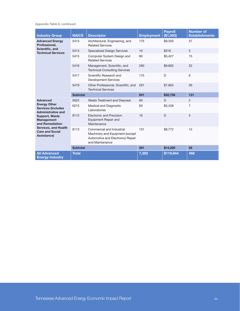Appendix Table 6, continued

| <b>Industry Group</b>                                                         | <b>NAICS</b>    | <b>Descriptor</b>                                                                                                    | <b>Employment</b> | <b>Payroll</b><br>(\$1,000) | <b>Number of</b><br><b>Establishments</b> |
|-------------------------------------------------------------------------------|-----------------|----------------------------------------------------------------------------------------------------------------------|-------------------|-----------------------------|-------------------------------------------|
| <b>Advanced Energy</b><br>Professional,                                       | 5413            | Architectural, Engineering, and<br><b>Related Services</b>                                                           | 175               | \$9,350                     | 37                                        |
| Scientific, and<br><b>Technical Services</b>                                  | 5414            | <b>Specialized Design Services</b>                                                                                   | 10                | \$316                       | 5                                         |
|                                                                               | 5415            | Computer System Design and<br><b>Related Services</b>                                                                | 60                | \$5,427                     | 15                                        |
|                                                                               | 5416            | Management, Scientific, and<br><b>Technical Consulting Services</b>                                                  | 260               | \$9,800                     | 32                                        |
|                                                                               | 5417            | Scientific Research and<br><b>Development Services</b>                                                               | 175               | D                           | 6                                         |
|                                                                               | 5419            | Other Professional, Scientific, and<br><b>Technical Services</b>                                                     | 261               | \$7,863                     | 36                                        |
|                                                                               | <b>Subtotal</b> |                                                                                                                      | 941               | \$32,756                    | 131                                       |
| <b>Advanced</b>                                                               | 5622            | Waste Treatment and Disposal                                                                                         | 60                | D                           | $\overline{2}$                            |
| <b>Energy Other</b><br><b>Services (Includes</b><br><b>Administrative and</b> | 6215            | Medical and Diagnostic<br>Laboratories                                                                               | 60                | \$5,428                     | 7                                         |
| <b>Support, Waste</b><br><b>Management</b><br>and Remediation                 | 8112            | Electronic and Precision<br>Equipment Repair and<br>Maintenance                                                      | 10                | D                           | 5                                         |
| <b>Services, and Health</b><br><b>Care and Social</b><br>Assistance)          | 8113            | Commercial and Industrial<br>Machinery and Equipment (except<br>Automotive and Electronic) Repair<br>and Maintenance | 131               | \$8,772                     | 12                                        |
|                                                                               | <b>Subtotal</b> |                                                                                                                      | 261               | \$14,200                    | 26                                        |
| <b>All Advanced</b><br><b>Energy Industry</b>                                 | <b>Total</b>    |                                                                                                                      | 7,392             | \$119,944                   | 468                                       |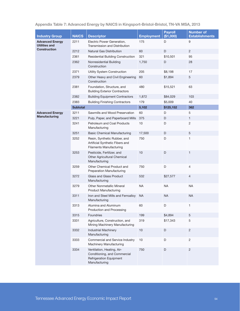|  | Appendix Table 7: Advanced Energy by NAICS in Kingsport-Bristol-Bristol, TN-VA MSA, 2013 |  |  |  |  |
|--|------------------------------------------------------------------------------------------|--|--|--|--|
|--|------------------------------------------------------------------------------------------|--|--|--|--|

|                                                                       |                 |                                                                                                               |                   |                             | <b>Number of</b>      |
|-----------------------------------------------------------------------|-----------------|---------------------------------------------------------------------------------------------------------------|-------------------|-----------------------------|-----------------------|
| <b>Industry Group</b>                                                 | <b>NAICS</b>    | <b>Descriptor</b>                                                                                             | <b>Employment</b> | <b>Payroll</b><br>(\$1,000) | <b>Establishments</b> |
| <b>Advanced Energy</b><br><b>Utilities and</b><br><b>Construction</b> | 2211            | Electric Power Generation,<br>Transmission and Distribution                                                   | 175               | D                           | 9                     |
|                                                                       | 2212            | <b>Natural Gas Distribution</b>                                                                               | 60                | D                           | $\overline{2}$        |
|                                                                       | 2361            | Residential Building Construction                                                                             | 321               | \$10,501                    | 95                    |
|                                                                       | 2362            | Nonresidential Building<br>Construction                                                                       | 1,750             | D                           | 28                    |
|                                                                       | 2371            | Utility System Construction                                                                                   | 205               | \$8,198                     | 17                    |
|                                                                       | 2379            | Other Heavy and Civil Engineering<br>Construction                                                             | 60                | \$1,894                     | 5                     |
|                                                                       | 2381            | Foundation, Structure, and<br><b>Building Exterior Contractors</b>                                            | 480               | \$15,521                    | 63                    |
|                                                                       | 2382            | <b>Building Equipment Contractors</b>                                                                         | 1,872             | \$84,029                    | 103                   |
|                                                                       | 2383            | <b>Building Finishing Contractors</b>                                                                         | 179               | \$5,009                     | 40                    |
|                                                                       | <b>Subtotal</b> |                                                                                                               | 5,102             | \$125,152                   | 362                   |
| <b>Advanced Energy</b>                                                | 3211            | Sawmills and Wood Preservation                                                                                | 60                | D                           | 5                     |
| <b>Manufacturing</b>                                                  | 3221            | Pulp, Paper, and Paperboard Mills                                                                             | 375               | D                           | $\mathbf{1}$          |
|                                                                       | 3241            | Petroleum and Coal Products<br>Manufacturing                                                                  | 10                | D                           | $\mathbf{2}$          |
|                                                                       | 3251            | <b>Basic Chemical Manufacturing</b>                                                                           | 17,500            | D                           | 5                     |
|                                                                       | 3252            | Resin, Synthetic Rubber, and<br>Artificial Synthetic Fibers and<br><b>Filaments Manufacturing</b>             | 750               | D                           | $\mathbf{1}$          |
|                                                                       | 3253            | Pesticide, Fertilizer, and<br>Other Agricultural Chemical<br>Manufacturing                                    | 10                | D                           | $\mathbf{1}$          |
|                                                                       | 3259            | Other Chemical Product and<br><b>Preparation Manufacturing</b>                                                | 750               | D                           | $\overline{4}$        |
|                                                                       | 3272            | Glass and Glass Product<br>Manufacturing                                                                      | 532               | \$27,577                    | $\overline{4}$        |
|                                                                       | 3279            | <b>Other Nonmetallic Mineral</b><br><b>Product Manufacturing</b>                                              | <b>NA</b>         | <b>NA</b>                   | <b>NA</b>             |
|                                                                       | 3311            | Iron and Steel Mills and Ferroalloy<br>Manufacturing                                                          | <b>NA</b>         | <b>NA</b>                   | <b>NA</b>             |
|                                                                       | 3313            | Alumina and Aluminum<br>Production and Processing                                                             | 60                | D                           | 1                     |
|                                                                       | 3315            | Foundries                                                                                                     | 199               | \$4,894                     | 5                     |
|                                                                       | 3331            | Agriculture, Construction, and<br>Mining Machinery Manufacturing                                              | 319               | \$17,343                    | 5                     |
|                                                                       | 3332            | <b>Industrial Machinery</b><br>Manufacturing                                                                  | 10                | D                           | $\overline{c}$        |
|                                                                       | 3333            | Commercial and Service Industry<br>Machinery Manufacturing                                                    | 10                | D                           | $\overline{c}$        |
|                                                                       | 3334            | Ventilation, Heating, Air-<br>Conditioning, and Commercial<br><b>Refrigeration Equipment</b><br>Manufacturing | 750               | D                           | $\overline{c}$        |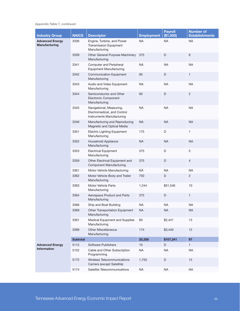Appendix Table 7, continued

| <b>Industry Group</b>                          | <b>NAICS</b>    | <b>Descriptor</b>                                                                    | <b>Employment</b> | <b>Payroll</b><br>(\$1,000) | <b>Number of</b><br><b>Establishments</b> |
|------------------------------------------------|-----------------|--------------------------------------------------------------------------------------|-------------------|-----------------------------|-------------------------------------------|
| <b>Advanced Energy</b><br><b>Manufacturing</b> | 3336            | Engine, Turbine, and Power<br><b>Transmission Equipment</b><br>Manufacturing         | <b>NA</b>         | NA                          | <b>NA</b>                                 |
|                                                | 3339            | Other General Purpose Machinery<br>Manufacturing                                     | 375               | D                           | 6                                         |
|                                                | 3341            | Computer and Peripheral<br><b>Equipment Manufacturing</b>                            | <b>NA</b>         | NA                          | <b>NA</b>                                 |
|                                                | 3342            | <b>Communication Equipment</b><br>Manufacturing                                      | 60                | D                           | $\mathbf{1}$                              |
|                                                | 3343            | Audio and Video Equipment<br>Manufacturing                                           | <b>NA</b>         | <b>NA</b>                   | <b>NA</b>                                 |
|                                                | 3344            | Semiconductor and Other<br>Electronic Component<br>Manufacturing                     | 60                | D                           | $\overline{c}$                            |
|                                                | 3345            | Navigational, Measuring,<br>Electromedical, and Control<br>Instruments Manufacturing | <b>NA</b>         | <b>NA</b>                   | <b>NA</b>                                 |
|                                                | 3346            | Manufacturing and Reproducing<br>Magnetic and Optical Media                          | <b>NA</b>         | <b>NA</b>                   | <b>NA</b>                                 |
|                                                | 3351            | <b>Electric Lighting Equipment</b><br>Manufacturing                                  | 175               | D                           | $\mathbf{1}$                              |
|                                                | 3352            | Household Appliance<br>Manufacturing                                                 | <b>NA</b>         | <b>NA</b>                   | <b>NA</b>                                 |
|                                                | 3353            | <b>Electrical Equipment</b><br>Manufacturing                                         | 375               | D                           | 5                                         |
|                                                | 3359            | Other Electrical Equipment and<br><b>Component Manufacturing</b>                     | 375               | D                           | $\overline{4}$                            |
|                                                | 3361            | Motor Vehicle Manufacturing                                                          | NA                | NA                          | <b>NA</b>                                 |
|                                                | 3362            | Motor Vehicle Body and Trailer<br>Manufacturing                                      | 750               | D                           | $\overline{2}$                            |
|                                                | 3363            | Motor Vehicle Parts<br>Manufacturing                                                 | 1,244             | \$51,546                    | 10                                        |
|                                                | 3364            | Aerospace Product and Parts<br>Manufacturing                                         | 375               | D                           | $\mathbf{1}$                              |
|                                                | 3366            | Ship and Boat Building                                                               | <b>NA</b>         | <b>NA</b>                   | <b>NA</b>                                 |
|                                                | 3369            | Other Transportation Equipment<br>Manufacturing                                      | <b>NA</b>         | <b>NA</b>                   | <b>NA</b>                                 |
|                                                | 3391            | Medical Equipment and Supplies<br>Manufacturing                                      | 60                | \$2,441                     | 13                                        |
|                                                | 3399            | <b>Other Miscellaneous</b><br>Manufacturing                                          | 174               | \$3,440                     | 12                                        |
|                                                | <b>Subtotal</b> |                                                                                      | 25,358            | \$107,241                   | 97                                        |
| <b>Advanced Energy</b>                         | 5112            | Software Publishers                                                                  | 10 <sup>1</sup>   | D                           | $\mathbf{1}$                              |
| <b>Information</b>                             | 5152            | Cable and Other Subscription<br>Programming                                          | <b>NA</b>         | <b>NA</b>                   | <b>NA</b>                                 |
|                                                | 5172            | Wireless Telecommunications<br>Carriers (except Satellite)                           | 1,750             | D                           | 12                                        |
|                                                | 5174            | Satellite Telecommunications                                                         | <b>NA</b>         | <b>NA</b>                   | NA                                        |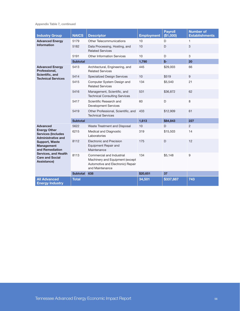Appendix Table 7, continued

| <b>Industry Group</b>                                                                                                          | <b>NAICS</b>    | <b>Descriptor</b>                                                                                                    | <b>Employment</b> | <b>Payroll</b><br>(\$1,000) | <b>Number of</b><br><b>Establishments</b> |
|--------------------------------------------------------------------------------------------------------------------------------|-----------------|----------------------------------------------------------------------------------------------------------------------|-------------------|-----------------------------|-------------------------------------------|
| <b>Advanced Energy</b>                                                                                                         | 5179            | Other Telecommunications                                                                                             | 10                | D                           | 1                                         |
| <b>Information</b>                                                                                                             | 5182            | Data Processing, Hosting, and<br><b>Related Services</b>                                                             | 10                | D                           | 3                                         |
|                                                                                                                                | 5191            | <b>Other Information Services</b>                                                                                    | 10                | D                           | 3                                         |
|                                                                                                                                | <b>Subtotal</b> |                                                                                                                      | 1,790             | $$-$                        | 20                                        |
| <b>Advanced Energy</b><br>Professional,                                                                                        | 5413            | Architectural, Engineering, and<br><b>Related Services</b>                                                           | 445               | \$29,003                    | 66                                        |
| Scientific, and<br><b>Technical Services</b>                                                                                   | 5414            | <b>Specialized Design Services</b>                                                                                   | 10                | \$519                       | 9                                         |
|                                                                                                                                | 5415            | Computer System Design and<br><b>Related Services</b>                                                                | 134               | \$5,540                     | 21                                        |
|                                                                                                                                | 5416            | Management, Scientific, and<br><b>Technical Consulting Services</b>                                                  | 531               | \$36,872                    | 62                                        |
|                                                                                                                                | 5417            | Scientific Research and<br><b>Development Services</b>                                                               | 60                | D                           | 8                                         |
|                                                                                                                                | 5419            | Other Professional, Scientific, and<br><b>Technical Services</b>                                                     | 433               | \$12,909                    | 61                                        |
|                                                                                                                                | <b>Subtotal</b> |                                                                                                                      | 1,613             | \$84,843                    | 227                                       |
| <b>Advanced</b>                                                                                                                | 5622            | Waste Treatment and Disposal                                                                                         | 10                | $\Gamma$                    | 2                                         |
| <b>Energy Other</b><br><b>Services (Includes</b><br><b>Administrative and</b>                                                  | 6215            | Medical and Diagnostic<br>Laboratories                                                                               | 319               | \$15,503                    | 14                                        |
| <b>Support, Waste</b><br>Management<br>and Remediation<br><b>Services, and Health</b><br><b>Care and Social</b><br>Assistance) | 8112            | <b>Electronic and Precision</b><br>Equipment Repair and<br>Maintenance                                               | 175               | D                           | 12                                        |
|                                                                                                                                | 8113            | Commercial and Industrial<br>Machinery and Equipment (except<br>Automotive and Electronic) Repair<br>and Maintenance | 134               | \$5,148                     | 9                                         |
|                                                                                                                                | <b>Subtotal</b> | 638                                                                                                                  | \$20,651          | 37                          |                                           |
| <b>All Advanced</b><br><b>Energy Industry</b>                                                                                  | <b>Total</b>    |                                                                                                                      | 34,501            | \$337,887                   | 743                                       |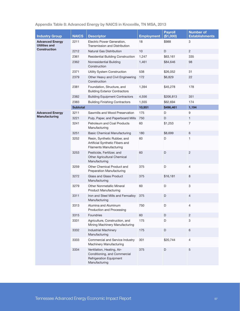## Appendix Table 8: Advanced Energy by NAICS in Knoxville, TN MSA, 2013

|                                                                | <b>NAICS</b>    |                                                                                                               |                   | <b>Payroll</b><br>(\$1,000) | <b>Number of</b>      |
|----------------------------------------------------------------|-----------------|---------------------------------------------------------------------------------------------------------------|-------------------|-----------------------------|-----------------------|
| <b>Industry Group</b>                                          |                 | <b>Descriptor</b>                                                                                             | <b>Employment</b> |                             | <b>Establishments</b> |
| <b>Advanced Energy</b><br>Utilities and<br><b>Construction</b> | 2211            | Electric Power Generation,<br>Transmission and Distribution                                                   | 18                | \$988                       | 3                     |
|                                                                | 2212            | <b>Natural Gas Distribution</b>                                                                               | 10                | D                           | $\overline{c}$        |
|                                                                | 2361            | <b>Residential Building Construction</b>                                                                      | 1,247             | \$63,161                    | 335                   |
|                                                                | 2362            | Nonresidential Building<br>Construction                                                                       | 1,461             | \$84,646                    | 98                    |
|                                                                | 2371            | Utility System Construction                                                                                   | 538               | \$26,052                    | 31                    |
|                                                                | 2379            | Other Heavy and Civil Engineering<br>Construction                                                             | 172               | \$6,829                     | 22                    |
|                                                                | 2381            | Foundation, Structure, and<br><b>Building Exterior Contractors</b>                                            | 1,394             | \$45,278                    | 178                   |
|                                                                | 2382            | <b>Building Equipment Contractors</b>                                                                         | 4,556             | \$206,813                   | 351                   |
|                                                                | 2383            | <b>Building Finishing Contractors</b>                                                                         | 1,555             | \$62,694                    | 174                   |
|                                                                | <b>Subtotal</b> |                                                                                                               | 10,951            | \$496,461                   | 1,194                 |
| <b>Advanced Energy</b>                                         | 3211            | Sawmills and Wood Preservation                                                                                | 175               | D                           | 9                     |
| Manufacturing                                                  | 3221            | Pulp, Paper, and Paperboard Mills                                                                             | 750               | D                           | 1                     |
|                                                                | 3241            | Petroleum and Coal Products<br>Manufacturing                                                                  | 60                | \$1,253                     | 7                     |
|                                                                | 3251            | <b>Basic Chemical Manufacturing</b>                                                                           | 180               | \$8,699                     | $6\phantom{1}$        |
|                                                                | 3252            | Resin, Synthetic Rubber, and<br>Artificial Synthetic Fibers and<br><b>Filaments Manufacturing</b>             | 60                | D                           | 1                     |
|                                                                | 3253            | Pesticide, Fertilizer, and<br>Other Agricultural Chemical<br>Manufacturing                                    | 60                | D                           | $\overline{c}$        |
|                                                                | 3259            | Other Chemical Product and<br><b>Preparation Manufacturing</b>                                                | 375               | D                           | $\overline{4}$        |
|                                                                | 3272            | Glass and Glass Product<br>Manufacturing                                                                      | 375               | \$16,181                    | 8                     |
|                                                                | 3279            | <b>Other Nonmetallic Mineral</b><br><b>Product Manufacturing</b>                                              | 60                | D                           | 3                     |
|                                                                | 3311            | Iron and Steel Mills and Ferroalloy<br>Manufacturing                                                          | 375               | D                           | $\overline{4}$        |
|                                                                | 3313            | Alumina and Aluminum<br>Production and Processing                                                             | 750               | D                           | 4                     |
|                                                                | 3315            | Foundries                                                                                                     | 60                | D                           | $\overline{c}$        |
|                                                                | 3331            | Agriculture, Construction, and<br>Mining Machinery Manufacturing                                              | 175               | D                           | 3                     |
|                                                                | 3332            | <b>Industrial Machinery</b><br>Manufacturing                                                                  | 175               | D                           | $\,6$                 |
|                                                                | 3333            | Commercial and Service Industry<br>Machinery Manufacturing                                                    | 301               | \$20,744                    | 4                     |
|                                                                | 3334            | Ventilation, Heating, Air-<br>Conditioning, and Commercial<br><b>Refrigeration Equipment</b><br>Manufacturing | 375               | $\mathsf D$                 | $\sqrt{5}$            |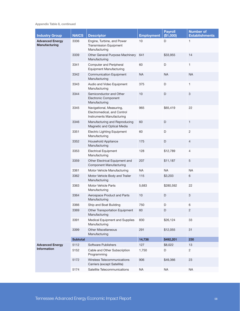Appendix Table 8, continued

| <b>Industry Group</b>                          | <b>NAICS</b>    | <b>Descriptor</b>                                                                    | <b>Employment</b> | <b>Payroll</b><br>(\$1,000) | <b>Number of</b><br><b>Establishments</b> |
|------------------------------------------------|-----------------|--------------------------------------------------------------------------------------|-------------------|-----------------------------|-------------------------------------------|
| <b>Advanced Energy</b><br><b>Manufacturing</b> | 3336            | Engine, Turbine, and Power<br><b>Transmission Equipment</b><br>Manufacturing         | 10                | D                           | 1                                         |
|                                                | 3339            | Other General Purpose Machinery<br>Manufacturing                                     | 641               | \$33,955                    | 14                                        |
|                                                | 3341            | <b>Computer and Peripheral</b><br><b>Equipment Manufacturing</b>                     | 60                | D                           | $\mathbf{1}$                              |
|                                                | 3342            | <b>Communication Equipment</b><br>Manufacturing                                      | <b>NA</b>         | <b>NA</b>                   | <b>NA</b>                                 |
|                                                | 3343            | Audio and Video Equipment<br>Manufacturing                                           | 375               | D                           | $\mathbf{1}$                              |
|                                                | 3344            | Semiconductor and Other<br>Electronic Component<br>Manufacturing                     | 10                | D                           | $\mathbf{3}$                              |
|                                                | 3345            | Navigational, Measuring,<br>Electromedical, and Control<br>Instruments Manufacturing | 965               | \$65,419                    | 22                                        |
|                                                | 3346            | Manufacturing and Reproducing<br>Magnetic and Optical Media                          | 60                | D                           | $\mathbf{1}$                              |
|                                                | 3351            | <b>Electric Lighting Equipment</b><br>Manufacturing                                  | 60                | D                           | $\overline{c}$                            |
|                                                | 3352            | Household Appliance<br>Manufacturing                                                 | 175               | D                           | $\overline{4}$                            |
|                                                | 3353            | <b>Electrical Equipment</b><br>Manufacturing                                         | 128               | \$12,789                    | 4                                         |
|                                                | 3359            | Other Electrical Equipment and<br><b>Component Manufacturing</b>                     | 207               | \$11,187                    | 5                                         |
|                                                | 3361            | Motor Vehicle Manufacturing                                                          | <b>NA</b>         | <b>NA</b>                   | <b>NA</b>                                 |
|                                                | 3362            | Motor Vehicle Body and Trailer<br>Manufacturing                                      | 115               | \$3,203                     | 6                                         |
|                                                | 3363            | Motor Vehicle Parts<br>Manufacturing                                                 | 5,683             | \$280,592                   | 22                                        |
|                                                | 3364            | Aerospace Product and Parts<br>Manufacturing                                         | 10                | D                           | $\mathbf{3}$                              |
|                                                | 3366            | Ship and Boat Building                                                               | 750               | D                           | 6                                         |
|                                                | 3369            | Other Transportation Equipment<br>Manufacturing                                      | 60                | D                           | $\overline{c}$                            |
|                                                | 3391            | Medical Equipment and Supplies<br>Manufacturing                                      | 830               | \$26,124                    | 33                                        |
|                                                | 3399            | <b>Other Miscellaneous</b><br>Manufacturing                                          | 291               | \$12,055                    | 31                                        |
|                                                | <b>Subtotal</b> |                                                                                      | 14,736            | \$492,201                   | 230                                       |
| <b>Advanced Energy</b>                         | 5112            | Software Publishers                                                                  | 127               | \$8,022                     | 13                                        |
| <b>Information</b>                             | 5152            | Cable and Other Subscription<br>Programming                                          | 1,750             | D                           | $\overline{2}$                            |
|                                                | 5172            | Wireless Telecommunications<br>Carriers (except Satellite)                           | 906               | \$49,366                    | 23                                        |
|                                                | 5174            | Satellite Telecommunications                                                         | <b>NA</b>         | <b>NA</b>                   | <b>NA</b>                                 |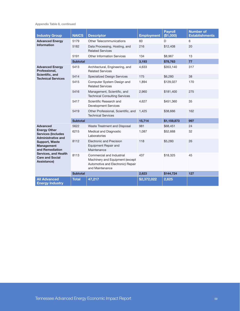Appendix Table 8, continued

| <b>Industry Group</b>                                                          | <b>NAICS</b>    | <b>Descriptor</b>                                                                                                    | <b>Employment</b> | <b>Payroll</b><br>(\$1,000) | <b>Number of</b><br><b>Establishments</b> |
|--------------------------------------------------------------------------------|-----------------|----------------------------------------------------------------------------------------------------------------------|-------------------|-----------------------------|-------------------------------------------|
| <b>Advanced Energy</b>                                                         | 5179            | <b>Other Telecommunications</b>                                                                                      | 60                | D                           | 6                                         |
| <b>Information</b>                                                             | 5182            | Data Processing, Hosting, and<br><b>Related Services</b>                                                             | 216               | \$12,408                    | 20                                        |
|                                                                                | 5191            | <b>Other Information Services</b>                                                                                    | 134               | \$8,967                     | 13                                        |
|                                                                                | <b>Subtotal</b> |                                                                                                                      | 3,193             | \$78,763                    | 77                                        |
| <b>Advanced Energy</b><br>Professional,                                        | 5413            | Architectural, Engineering, and<br><b>Related Services</b>                                                           | 4,633             | \$353,140                   | 317                                       |
| Scientific, and<br><b>Technical Services</b>                                   | 5414            | <b>Specialized Design Services</b>                                                                                   | 175               | \$6,280                     | 38                                        |
|                                                                                | 5415            | Computer System Design and<br><b>Related Services</b>                                                                | 1,894             | \$129,027                   | 170                                       |
|                                                                                | 5416            | Management, Scientific, and<br><b>Technical Consulting Services</b>                                                  | 2,960             | \$181,400                   | 275                                       |
|                                                                                | 5417            | Scientific Research and<br><b>Development Services</b>                                                               | 4,627             | \$451,360                   | 35                                        |
|                                                                                | 5419            | Other Professional, Scientific, and<br><b>Technical Services</b>                                                     | 1,425             | \$38,666                    | 162                                       |
|                                                                                | <b>Subtotal</b> |                                                                                                                      | 15,714            | \$1,159,873                 | 997                                       |
| <b>Advanced</b>                                                                | 5622            | Waste Treatment and Disposal                                                                                         | 981               | \$68,451                    | 24                                        |
| <b>Energy Other</b><br><b>Services (Includes)</b><br><b>Administrative and</b> | 6215            | Medical and Diagnostic<br>Laboratories                                                                               | 1,087             | \$52,668                    | 32                                        |
| <b>Support, Waste</b><br><b>Management</b><br>and Remediation                  | 8112            | <b>Electronic and Precision</b><br>Equipment Repair and<br>Maintenance                                               | 118               | \$5,280                     | 26                                        |
| <b>Services, and Health</b><br><b>Care and Social</b><br>Assistance)           | 8113            | Commercial and Industrial<br>Machinery and Equipment (except<br>Automotive and Electronic) Repair<br>and Maintenance | 437               | \$18,325                    | 45                                        |
|                                                                                | <b>Subtotal</b> |                                                                                                                      | 2,623             | \$144,724                   | 127                                       |
| <b>All Advanced</b><br><b>Energy Industry</b>                                  | <b>Total</b>    | 47,217                                                                                                               | \$2,372,022       | 2,625                       |                                           |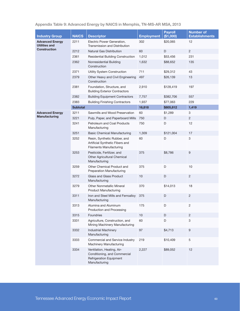| Appendix Table 9: Advanced Energy by NAICS in Memphis, TN-MS-AR MSA, 2013 |  |  |  |
|---------------------------------------------------------------------------|--|--|--|
|---------------------------------------------------------------------------|--|--|--|

|                                                                       |                 |                                                                                                               |                   | <b>Payroll</b> | <b>Number of</b>      |
|-----------------------------------------------------------------------|-----------------|---------------------------------------------------------------------------------------------------------------|-------------------|----------------|-----------------------|
| <b>Industry Group</b>                                                 | <b>NAICS</b>    | <b>Descriptor</b>                                                                                             | <b>Employment</b> | (\$1,000)      | <b>Establishments</b> |
| <b>Advanced Energy</b><br><b>Utilities and</b><br><b>Construction</b> | 2211            | Electric Power Generation,<br>Transmission and Distribution                                                   | 302               | \$20,065       | 12                    |
|                                                                       | 2212            | <b>Natural Gas Distribution</b>                                                                               | 60                | D              | $\overline{2}$        |
|                                                                       | 2361            | <b>Residential Building Construction</b>                                                                      | 1,012             | \$53,456       | 231                   |
|                                                                       | 2362            | Nonresidential Building<br>Construction                                                                       | 1,632             | \$88,652       | 135                   |
|                                                                       | 2371            | Utility System Construction                                                                                   | 711               | \$29,312       | 43                    |
|                                                                       | 2379            | Other Heavy and Civil Engineering<br>Construction                                                             | 497               | \$26,139       | 13                    |
|                                                                       | 2381            | Foundation, Structure, and<br><b>Building Exterior Contractors</b>                                            | 2,910             | \$128,419      | 197                   |
|                                                                       | 2382            | <b>Building Equipment Contractors</b>                                                                         | 7,757             | \$382,706      | 557                   |
|                                                                       | 2383            | <b>Building Finishing Contractors</b>                                                                         | 1,937             | \$77,063       | 229                   |
|                                                                       | <b>Subtotal</b> |                                                                                                               | 16,818            | \$805,812      | 1,419                 |
| <b>Advanced Energy</b>                                                | 3211            | Sawmills and Wood Preservation                                                                                | 60                | \$1,289        | 3                     |
| <b>Manufacturing</b>                                                  | 3221            | Pulp, Paper, and Paperboard Mills                                                                             | 750               | D              | $\overline{2}$        |
|                                                                       | 3241            | Petroleum and Coal Products<br>Manufacturing                                                                  | 750               | D              | 12                    |
|                                                                       | 3251            | <b>Basic Chemical Manufacturing</b>                                                                           | 1,309             | \$121,004      | 17                    |
|                                                                       | 3252            | Resin, Synthetic Rubber, and<br>Artificial Synthetic Fibers and<br><b>Filaments Manufacturing</b>             | 60                | D              | 3                     |
|                                                                       | 3253            | Pesticide, Fertilizer, and<br>Other Agricultural Chemical<br>Manufacturing                                    | 375               | \$8,786        | 9                     |
|                                                                       | 3259            | Other Chemical Product and<br><b>Preparation Manufacturing</b>                                                | 375               | D              | 10                    |
|                                                                       | 3272            | Glass and Glass Product<br>Manufacturing                                                                      | 10                | D              | 2                     |
|                                                                       | 3279            | <b>Other Nonmetallic Mineral</b><br><b>Product Manufacturing</b>                                              | 370               | \$14,013       | 18                    |
|                                                                       | 3311            | Iron and Steel Mills and Ferroalloy<br>Manufacturing                                                          | 375               | D              | $\sqrt{2}$            |
|                                                                       | 3313            | Alumina and Aluminum<br>Production and Processing                                                             | 175               | D              | 2                     |
|                                                                       | 3315            | Foundries                                                                                                     | 10                | $\mathsf D$    | $\overline{c}$        |
|                                                                       | 3331            | Agriculture, Construction, and<br>Mining Machinery Manufacturing                                              | 60                | D              | 3                     |
|                                                                       | 3332            | <b>Industrial Machinery</b><br>Manufacturing                                                                  | 97                | \$4,713        | $\boldsymbol{9}$      |
|                                                                       | 3333            | Commercial and Service Industry<br>Machinery Manufacturing                                                    | 219               | \$10,409       | $\mathbf 5$           |
|                                                                       | 3334            | Ventilation, Heating, Air-<br>Conditioning, and Commercial<br><b>Refrigeration Equipment</b><br>Manufacturing | 2,227             | \$89,052       | 12                    |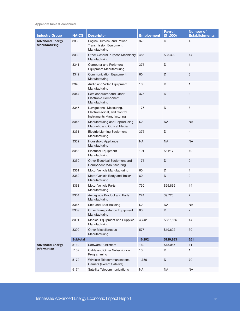Appendix Table 9, continued

| <b>Industry Group</b>                   | <b>NAICS</b>    | <b>Descriptor</b>                                                                    | <b>Employment</b> | <b>Payroll</b><br>(\$1,000) | <b>Number of</b><br><b>Establishments</b> |
|-----------------------------------------|-----------------|--------------------------------------------------------------------------------------|-------------------|-----------------------------|-------------------------------------------|
| <b>Advanced Energy</b><br>Manufacturing | 3336            | Engine, Turbine, and Power<br><b>Transmission Equipment</b><br>Manufacturing         | 375               | D                           | $\overline{4}$                            |
|                                         | 3339            | Other General Purpose Machinery<br>Manufacturing                                     | 486               | \$25,329                    | 14                                        |
|                                         | 3341            | Computer and Peripheral<br><b>Equipment Manufacturing</b>                            | 375               | D                           | $\mathbf{1}$                              |
|                                         | 3342            | <b>Communication Equipment</b><br>Manufacturing                                      | 60                | D                           | $\mathbf{3}$                              |
|                                         | 3343            | Audio and Video Equipment<br>Manufacturing                                           | 10                | D                           | $\mathbf{1}$                              |
|                                         | 3344            | Semiconductor and Other<br><b>Electronic Component</b><br>Manufacturing              | 375               | D                           | $\ensuremath{\mathsf{3}}$                 |
|                                         | 3345            | Navigational, Measuring,<br>Electromedical, and Control<br>Instruments Manufacturing | 175               | D                           | 8                                         |
|                                         | 3346            | Manufacturing and Reproducing<br>Magnetic and Optical Media                          | <b>NA</b>         | <b>NA</b>                   | <b>NA</b>                                 |
|                                         | 3351            | <b>Electric Lighting Equipment</b><br>Manufacturing                                  | 375               | D                           | $\overline{4}$                            |
|                                         | 3352            | Household Appliance<br>Manufacturing                                                 | <b>NA</b>         | <b>NA</b>                   | <b>NA</b>                                 |
|                                         | 3353            | <b>Electrical Equipment</b><br>Manufacturing                                         | 191               | \$8,217                     | 10                                        |
|                                         | 3359            | Other Electrical Equipment and<br><b>Component Manufacturing</b>                     | 175               | D                           | $\overline{2}$                            |
|                                         | 3361            | Motor Vehicle Manufacturing                                                          | 60                | D                           | $\mathbf{1}$                              |
|                                         | 3362            | Motor Vehicle Body and Trailer<br>Manufacturing                                      | 60                | D                           | 2                                         |
|                                         | 3363            | Motor Vehicle Parts<br>Manufacturing                                                 | 750               | \$29,839                    | 14                                        |
|                                         | 3364            | Aerospace Product and Parts<br>Manufacturing                                         | 224               | \$9,725                     | $\overline{7}$                            |
|                                         | 3366            | Ship and Boat Building                                                               | <b>NA</b>         | <b>NA</b>                   | <b>NA</b>                                 |
|                                         | 3369            | Other Transportation Equipment<br>Manufacturing                                      | 60                | D                           | $\overline{2}$                            |
|                                         | 3391            | Medical Equipment and Supplies<br>Manufacturing                                      | 4,742             | \$387,865                   | 44                                        |
|                                         | 3399            | <b>Other Miscellaneous</b><br>Manufacturing                                          | 577               | \$19,692                    | 30                                        |
|                                         | <b>Subtotal</b> |                                                                                      | 16,292            | \$729,933                   | 261                                       |
| <b>Advanced Energy</b>                  | 5112            | Software Publishers                                                                  | 160               | \$13,085                    | 11                                        |
| <b>Information</b>                      | 5152            | Cable and Other Subscription<br>Programming                                          | 10                | D                           | 1                                         |
|                                         | 5172            | Wireless Telecommunications<br>Carriers (except Satellite)                           | 1,750             | D                           | 70                                        |
|                                         | 5174            | Satellite Telecommunications                                                         | <b>NA</b>         | <b>NA</b>                   | <b>NA</b>                                 |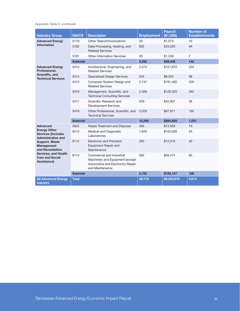Appendix Table 9, continued

| <b>Industry Group</b>                                                                                                                 | <b>NAICS</b>    | <b>Descriptor</b>                                                                                                    | <b>Employment</b> | <b>Pavroll</b><br>(\$1,000) | <b>Number of</b><br><b>Establishments</b> |
|---------------------------------------------------------------------------------------------------------------------------------------|-----------------|----------------------------------------------------------------------------------------------------------------------|-------------------|-----------------------------|-------------------------------------------|
| <b>Advanced Energy</b><br><b>Information</b>                                                                                          | 5179            | <b>Other Telecommunications</b>                                                                                      | 50                | \$1,074                     | 10                                        |
|                                                                                                                                       | 5182            | Data Processing, Hosting, and<br><b>Related Services</b>                                                             | 602               | \$34,020                    | 46                                        |
|                                                                                                                                       | 5191            | Other Information Services                                                                                           | 20                | \$1,249                     | $\overline{7}$                            |
|                                                                                                                                       | <b>Subtotal</b> |                                                                                                                      | 2,592             | \$49,428                    | 145                                       |
| <b>Advanced Energy</b><br>Professional,                                                                                               | 5413            | Architectural, Engineering, and<br><b>Related Services</b>                                                           | 2,374             | \$151,972                   | 224                                       |
| Scientific, and<br><b>Technical Services</b>                                                                                          | 5414            | <b>Specialized Design Services</b>                                                                                   | 242               | \$9,023                     | 58                                        |
|                                                                                                                                       | 5415            | Computer System Design and<br><b>Related Services</b>                                                                | 2,747             | \$191,402                   | 226                                       |
|                                                                                                                                       | 5416            | Management, Scientific, and<br><b>Technical Consulting Services</b>                                                  | 2,369             | \$128,325                   | 282                                       |
|                                                                                                                                       | 5417            | Scientific Research and<br><b>Development Services</b>                                                               | 529               | \$45,957                    | 36                                        |
|                                                                                                                                       | 5419            | Other Professional, Scientific, and<br><b>Technical Services</b>                                                     | 2.029             | \$67,971                    | 195                                       |
|                                                                                                                                       | <b>Subtotal</b> |                                                                                                                      | 10,290            | \$594,650                   | 1,021                                     |
| <b>Advanced</b>                                                                                                                       | 5622            | Waste Treatment and Disposal                                                                                         | 265               | \$13,628                    | 10                                        |
| <b>Energy Other</b><br><b>Services (Includes</b><br><b>Administrative and</b>                                                         | 6215            | Medical and Diagnostic<br>Laboratories                                                                               | 1,633             | \$103,026                   | 53                                        |
| <b>Support, Waste</b><br><b>Management</b><br>and Remediation<br><b>Services, and Health</b><br><b>Care and Social</b><br>Assistance) | 8112            | <b>Electronic and Precision</b><br>Equipment Repair and<br>Maintenance                                               | 293               | \$12,019                    | 40                                        |
|                                                                                                                                       | 8113            | Commercial and Industrial<br>Machinery and Equipment (except<br>Automotive and Electronic) Repair<br>and Maintenance | 592               | \$26,474                    | 65                                        |
|                                                                                                                                       | <b>Subtotal</b> |                                                                                                                      | 2,783             | \$155,147                   | 168                                       |
| <b>All Advanced Energy</b><br><b>Industry</b>                                                                                         | <b>Total</b>    |                                                                                                                      | 48,775            | \$2,334,970                 | 3,014                                     |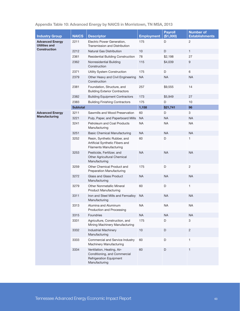| <b>Industry Group</b>                          | <b>NAICS</b>    | <b>Descriptor</b>                                                                                 | <b>Employment</b> | <b>Payroll</b><br>(\$1,000) | <b>Number of</b><br><b>Establishments</b> |
|------------------------------------------------|-----------------|---------------------------------------------------------------------------------------------------|-------------------|-----------------------------|-------------------------------------------|
| <b>Advanced Energy</b><br><b>Utilities and</b> | 2211            | Electric Power Generation,<br>Transmission and Distribution                                       | 175               | D                           | 2                                         |
| <b>Construction</b>                            | 2212            | <b>Natural Gas Distribution</b>                                                                   | 10                | D                           | $\mathbf{1}$                              |
|                                                | 2361            | <b>Residential Building Construction</b>                                                          | 78                | \$2,198                     | 27                                        |
|                                                | 2362            | Nonresidential Building<br>Construction                                                           | 115               | \$4,039                     | 9                                         |
|                                                | 2371            | Utility System Construction                                                                       | 175               | D                           | 6                                         |
|                                                | 2379            | Other Heavy and Civil Engineering<br>Construction                                                 | <b>NA</b>         | <b>NA</b>                   | <b>NA</b>                                 |
|                                                | 2381            | Foundation, Structure, and<br><b>Building Exterior Contractors</b>                                | 257               | \$9,555                     | 14                                        |
|                                                | 2382            | <b>Building Equipment Contractors</b>                                                             | 173               | \$5,949                     | 27                                        |
|                                                | 2383            | <b>Building Finishing Contractors</b>                                                             | 175               | D                           | 10                                        |
|                                                | <b>Subtotal</b> |                                                                                                   | 1,158             | \$21,741                    | 96                                        |
| <b>Advanced Energy</b>                         | 3211            | Sawmills and Wood Preservation                                                                    | 60                | D                           | 3                                         |
| <b>Manufacturing</b>                           | 3221            | Pulp, Paper, and Paperboard Mills                                                                 | <b>NA</b>         | <b>NA</b>                   | <b>NA</b>                                 |
|                                                | 3241            | Petroleum and Coal Products<br>Manufacturing                                                      | <b>NA</b>         | <b>NA</b>                   | <b>NA</b>                                 |
|                                                | 3251            | <b>Basic Chemical Manufacturing</b>                                                               | <b>NA</b>         | <b>NA</b>                   | <b>NA</b>                                 |
|                                                | 3252            | Resin, Synthetic Rubber, and<br>Artificial Synthetic Fibers and<br><b>Filaments Manufacturing</b> | 60                | D                           | 1                                         |
|                                                | 3253            | Pesticide, Fertilizer, and<br>Other Agricultural Chemical<br>Manufacturing                        | <b>NA</b>         | <b>NA</b>                   | <b>NA</b>                                 |
|                                                | 3259            | Other Chemical Product and<br><b>Preparation Manufacturing</b>                                    | 175               | D                           | $\overline{c}$                            |
|                                                | 3272            | <b>Glass and Glass Product</b><br>Manufacturing                                                   | <b>NA</b>         | <b>NA</b>                   | <b>NA</b>                                 |
|                                                | 3279            | <b>Other Nonmetallic Mineral</b><br><b>Product Manufacturing</b>                                  | 60                | D                           | 1                                         |
|                                                | 3311            | Iron and Steel Mills and Ferroalloy<br>Manufacturing                                              | NA.               | <b>NA</b>                   | <b>NA</b>                                 |
|                                                | 3313            | Alumina and Aluminum<br>Production and Processing                                                 | <b>NA</b>         | <b>NA</b>                   | <b>NA</b>                                 |
|                                                | 3315            | Foundries                                                                                         | <b>NA</b>         | <b>NA</b>                   | NA                                        |
|                                                | 3331            | Agriculture, Construction, and<br>Mining Machinery Manufacturing                                  | 175               | D                           | 3                                         |
|                                                | 3332            | <b>Industrial Machinery</b><br>Manufacturing                                                      | $10$              | D                           | $\overline{c}$                            |
|                                                | 3333            | Commercial and Service Industry<br>Machinery Manufacturing                                        | 60                | D                           | 1                                         |
|                                                | 3334            | Ventilation, Heating, Air-<br>Conditioning, and Commercial<br><b>Refrigeration Equipment</b>      | 60                | D                           | $\mathbf{1}$                              |

## Appendix Table 10: Advanced Energy by NAICS in Morristown, TN MSA, 2013

Manufacturing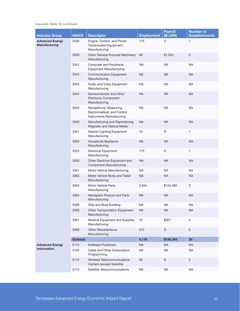Appendix Table 10, continued

| <b>Industry Group</b>                   | <b>NAICS</b>    | <b>Descriptor</b>                                                                    | <b>Employment</b> | <b>Payroll</b><br>(\$1,000) | <b>Number of</b><br><b>Establishments</b> |
|-----------------------------------------|-----------------|--------------------------------------------------------------------------------------|-------------------|-----------------------------|-------------------------------------------|
| <b>Advanced Energy</b><br>Manufacturing | 3336            | Engine, Turbine, and Power<br><b>Transmission Equipment</b><br>Manufacturing         | 175               | D                           | 1                                         |
|                                         | 3339            | Other General Purpose Machinery<br>Manufacturing                                     | 60                | \$1,553                     | 5                                         |
|                                         | 3341            | Computer and Peripheral<br><b>Equipment Manufacturing</b>                            | NA                | NA                          | <b>NA</b>                                 |
|                                         | 3342            | <b>Communication Equipment</b><br>Manufacturing                                      | <b>NA</b>         | <b>NA</b>                   | <b>NA</b>                                 |
|                                         | 3343            | Audio and Video Equipment<br>Manufacturing                                           | ΝA                | NA                          | <b>NA</b>                                 |
|                                         | 3344            | Semiconductor and Other<br><b>Electronic Component</b><br>Manufacturing              | <b>NA</b>         | <b>NA</b>                   | <b>NA</b>                                 |
|                                         | 3345            | Navigational, Measuring,<br>Electromedical, and Control<br>Instruments Manufacturing | <b>NA</b>         | <b>NA</b>                   | <b>NA</b>                                 |
|                                         | 3346            | Manufacturing and Reproducing<br>Magnetic and Optical Media                          | <b>NA</b>         | <b>NA</b>                   | <b>NA</b>                                 |
|                                         | 3351            | <b>Electric Lighting Equipment</b><br>Manufacturing                                  | 10                | D                           | $\mathbf{1}$                              |
|                                         | 3352            | Household Appliance<br>Manufacturing                                                 | NA                | NA                          | <b>NA</b>                                 |
|                                         | 3353            | <b>Electrical Equipment</b><br>Manufacturing                                         | 175               | D                           | 1                                         |
|                                         | 3359            | Other Electrical Equipment and<br><b>Component Manufacturing</b>                     | <b>NA</b>         | <b>NA</b>                   | <b>NA</b>                                 |
|                                         | 3361            | Motor Vehicle Manufacturing                                                          | NA                | <b>NA</b>                   | <b>NA</b>                                 |
|                                         | 3362            | Motor Vehicle Body and Trailer<br>Manufacturing                                      | <b>NA</b>         | <b>NA</b>                   | <b>NA</b>                                 |
|                                         | 3363            | Motor Vehicle Parts<br>Manufacturing                                                 | 2,654             | \$134,489                   | 8                                         |
|                                         | 3364            | Aerospace Product and Parts<br>Manufacturing                                         | NA                | <b>NA</b>                   | <b>NA</b>                                 |
|                                         | 3366            | Ship and Boat Building                                                               | <b>NA</b>         | <b>NA</b>                   | <b>NA</b>                                 |
|                                         | 3369            | Other Transportation Equipment<br>Manufacturing                                      | <b>NA</b>         | <b>NA</b>                   | <b>NA</b>                                 |
|                                         | 3391            | Medical Equipment and Supplies<br>Manufacturing                                      | 10                | \$307                       | 4                                         |
|                                         | 3399            | <b>Other Miscellaneous</b><br>Manufacturing                                          | 375               | D                           | $\sqrt{5}$                                |
|                                         | <b>Subtotal</b> |                                                                                      | 4,119             | \$136,349                   | 39                                        |
| <b>Advanced Energy</b>                  | 5112            | Software Publishers                                                                  | <b>NA</b>         | NA                          | <b>NA</b>                                 |
| <b>Information</b>                      | 5152            | Cable and Other Subscription<br>Programming                                          | <b>NA</b>         | <b>NA</b>                   | <b>NA</b>                                 |
|                                         | 5172            | Wireless Telecommunications<br>Carriers (except Satellite)                           | 60                | D                           | $\overline{c}$                            |
|                                         | 5174            | Satellite Telecommunications                                                         | <b>NA</b>         | <b>NA</b>                   | <b>NA</b>                                 |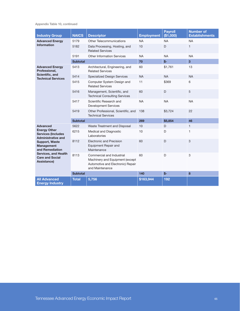Appendix Table 10, continued

| <b>Industry Group</b>                                                                                                                 | <b>NAICS</b>    | <b>Descriptor</b>                                                                                                    | <b>Employment</b> | <b>Payroll</b><br>(\$1,000) | <b>Number of</b><br><b>Establishments</b> |
|---------------------------------------------------------------------------------------------------------------------------------------|-----------------|----------------------------------------------------------------------------------------------------------------------|-------------------|-----------------------------|-------------------------------------------|
| <b>Advanced Energy</b><br><b>Information</b>                                                                                          | 5179            | <b>Other Telecommunications</b>                                                                                      | <b>NA</b>         | <b>NA</b>                   | <b>NA</b>                                 |
|                                                                                                                                       | 5182            | Data Processing, Hosting, and<br><b>Related Services</b>                                                             | 10                | D                           | $\mathbf{1}$                              |
|                                                                                                                                       | 5191            | <b>Other Information Services</b>                                                                                    | <b>NA</b>         | <b>NA</b>                   | <b>NA</b>                                 |
|                                                                                                                                       | <b>Subtotal</b> |                                                                                                                      | 70                | $$-$                        | $\overline{3}$                            |
| <b>Advanced Energy</b><br>Professional,                                                                                               | 5413            | Architectural, Engineering, and<br><b>Related Services</b>                                                           | 60                | \$1,761                     | 13                                        |
| Scientific, and<br><b>Technical Services</b>                                                                                          | 5414            | <b>Specialized Design Services</b>                                                                                   | <b>NA</b>         | <b>NA</b>                   | <b>NA</b>                                 |
|                                                                                                                                       | 5415            | Computer System Design and<br><b>Related Services</b>                                                                | 11                | \$369                       | 6                                         |
|                                                                                                                                       | 5416            | Management, Scientific, and<br><b>Technical Consulting Services</b>                                                  | 60                | D                           | 5                                         |
|                                                                                                                                       | 5417            | Scientific Research and<br><b>Development Services</b>                                                               | <b>NA</b>         | <b>NA</b>                   | <b>NA</b>                                 |
|                                                                                                                                       | 5419            | Other Professional, Scientific, and<br><b>Technical Services</b>                                                     | 138               | \$3,724                     | 22                                        |
|                                                                                                                                       | <b>Subtotal</b> |                                                                                                                      | 269               | \$5,854                     | 46                                        |
| <b>Advanced</b>                                                                                                                       | 5622            | Waste Treatment and Disposal                                                                                         | 10                | D                           | $\mathbf{1}$                              |
| <b>Energy Other</b><br><b>Services (Includes)</b><br><b>Administrative and</b>                                                        | 6215            | Medical and Diagnostic<br>Laboratories                                                                               | 10                | D                           | 1                                         |
| <b>Support, Waste</b><br><b>Management</b><br>and Remediation<br><b>Services, and Health</b><br><b>Care and Social</b><br>Assistance) | 8112            | <b>Electronic and Precision</b><br>Equipment Repair and<br>Maintenance                                               | 60                | D                           | 3                                         |
|                                                                                                                                       | 8113            | Commercial and Industrial<br>Machinery and Equipment (except<br>Automotive and Electronic) Repair<br>and Maintenance | 60                | D                           | 3                                         |
|                                                                                                                                       | <b>Subtotal</b> |                                                                                                                      | 140               | $$-$                        | 8                                         |
| <b>All Advanced</b><br><b>Energy Industry</b>                                                                                         | <b>Total</b>    | 5,756                                                                                                                | \$163,944         | 192                         |                                           |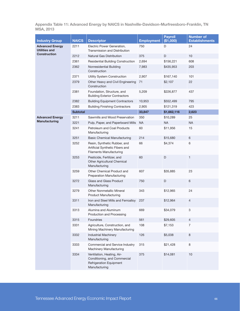Appendix Table 11: Advanced Energy by NAICS in Nashville-Davidson-Murfreesboro-Franklin, TN MSA, 2013

| <b>Industry Group</b>                          | <b>NAICS</b>    | <b>Descriptor</b>                                                                                             | <b>Employment</b> | <b>Payroll</b><br>(\$1,000) | <b>Number of</b><br><b>Establishments</b> |
|------------------------------------------------|-----------------|---------------------------------------------------------------------------------------------------------------|-------------------|-----------------------------|-------------------------------------------|
| <b>Advanced Energy</b><br><b>Utilities and</b> | 2211            | Electric Power Generation,<br>Transmission and Distribution                                                   | 750               | D                           | 24                                        |
| <b>Construction</b>                            | 2212            | Natural Gas Distribution                                                                                      | 375               | D                           | 10                                        |
|                                                | 2361            | <b>Residential Building Construction</b>                                                                      | 2,694             | \$156,221                   | 608                                       |
|                                                | 2362            | Nonresidential Building<br>Construction                                                                       | 7,983             | \$435,953                   | 203                                       |
|                                                | 2371            | Utility System Construction                                                                                   | 2,907             | \$167,140                   | 101                                       |
|                                                | 2379            | Other Heavy and Civil Engineering<br>Construction                                                             | 71                | \$2,107                     | 22                                        |
|                                                | 2381            | Foundation, Structure, and<br><b>Building Exterior Contractors</b>                                            | 5,209             | \$226,877                   | 437                                       |
|                                                | 2382            | <b>Building Equipment Contractors</b>                                                                         | 10,953            | \$552,499                   | 795                                       |
|                                                | 2383            | <b>Building Finishing Contractors</b>                                                                         | 2,905             | \$121,319                   | 423                                       |
|                                                | <b>Subtotal</b> |                                                                                                               | 33,847            | \$1,662,116                 | 2,623                                     |
| <b>Advanced Energy</b>                         | 3211            | Sawmills and Wood Preservation                                                                                | 350               | \$10,289                    | 25                                        |
| <b>Manufacturing</b>                           | 3221            | Pulp, Paper, and Paperboard Mills                                                                             | <b>NA</b>         | <b>NA</b>                   | <b>NA</b>                                 |
|                                                | 3241            | Petroleum and Coal Products<br>Manufacturing                                                                  | 60                | \$11,956                    | 15                                        |
|                                                | 3251            | <b>Basic Chemical Manufacturing</b>                                                                           | 214               | \$15,680                    | 6                                         |
|                                                | 3252            | Resin, Synthetic Rubber, and<br>Artificial Synthetic Fibers and<br><b>Filaments Manufacturing</b>             | 66                | \$4,374                     | 6                                         |
|                                                | 3253            | Pesticide, Fertilizer, and<br>Other Agricultural Chemical<br>Manufacturing                                    | 60                | D                           | 1                                         |
|                                                | 3259            | Other Chemical Product and<br>Preparation Manufacturing                                                       | 607               | \$35,885                    | 23                                        |
|                                                | 3272            | Glass and Glass Product<br>Manufacturing                                                                      | 750               | D                           | 6                                         |
|                                                | 3279            | <b>Other Nonmetallic Mineral</b><br><b>Product Manufacturing</b>                                              | 343               | \$12,965                    | 24                                        |
|                                                | 3311            | Iron and Steel Mills and Ferroalloy<br>Manufacturing                                                          | 237               | \$12,964                    | 4                                         |
|                                                | 3313            | Alumina and Aluminum<br>Production and Processing                                                             | 669               | \$34,079                    | 3                                         |
|                                                | 3315            | Foundries                                                                                                     | 561               | \$29,605                    | $\overline{4}$                            |
|                                                | 3331            | Agriculture, Construction, and<br>Mining Machinery Manufacturing                                              | 108               | \$7,153                     | 7                                         |
|                                                | 3332            | <b>Industrial Machinery</b><br>Manufacturing                                                                  | 126               | \$5,038                     | 8                                         |
|                                                | 3333            | Commercial and Service Industry<br>Machinery Manufacturing                                                    | 315               | \$21,428                    | 8                                         |
|                                                | 3334            | Ventilation, Heating, Air-<br>Conditioning, and Commercial<br><b>Refrigeration Equipment</b><br>Manufacturing | 375               | \$14,081                    | 10                                        |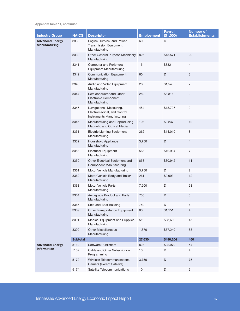Appendix Table 11, continued

| <b>Industry Group</b>                          | <b>NAICS</b>    | <b>Descriptor</b>                                                                    | <b>Employment</b> | <b>Payroll</b><br>(\$1,000) | <b>Number of</b><br><b>Establishments</b> |
|------------------------------------------------|-----------------|--------------------------------------------------------------------------------------|-------------------|-----------------------------|-------------------------------------------|
| <b>Advanced Energy</b><br><b>Manufacturing</b> | 3336            | Engine, Turbine, and Power<br><b>Transmission Equipment</b><br>Manufacturing         | 60                | D                           | 3                                         |
|                                                | 3339            | Other General Purpose Machinery<br>Manufacturing                                     | 826               | \$45,571                    | 20                                        |
|                                                | 3341            | Computer and Peripheral<br><b>Equipment Manufacturing</b>                            | 15                | \$832                       | $\overline{4}$                            |
|                                                | 3342            | <b>Communication Equipment</b><br>Manufacturing                                      | 60                | D                           | $\ensuremath{\mathsf{3}}$                 |
|                                                | 3343            | Audio and Video Equipment<br>Manufacturing                                           | 26                | \$1,545                     | 7                                         |
|                                                | 3344            | Semiconductor and Other<br><b>Electronic Component</b><br>Manufacturing              | 259               | \$8,816                     | 9                                         |
|                                                | 3345            | Navigational, Measuring,<br>Electromedical, and Control<br>Instruments Manufacturing | 454               | \$18,797                    | 9                                         |
|                                                | 3346            | Manufacturing and Reproducing<br>Magnetic and Optical Media                          | 198               | \$9,237                     | 12                                        |
|                                                | 3351            | <b>Electric Lighting Equipment</b><br>Manufacturing                                  | 262               | \$14,010                    | 8                                         |
|                                                | 3352            | Household Appliance<br>Manufacturing                                                 | 3,750             | $\mathsf D$                 | $\overline{4}$                            |
|                                                | 3353            | <b>Electrical Equipment</b><br>Manufacturing                                         | 568               | \$42,934                    | $\overline{7}$                            |
|                                                | 3359            | Other Electrical Equipment and<br><b>Component Manufacturing</b>                     | 858               | \$30,942                    | 11                                        |
|                                                | 3361            | Motor Vehicle Manufacturing                                                          | 3,750             | D                           | $\mathbf{2}^{\prime}$                     |
|                                                | 3362            | Motor Vehicle Body and Trailer<br>Manufacturing                                      | 261               | \$9,993                     | 12                                        |
|                                                | 3363            | <b>Motor Vehicle Parts</b><br>Manufacturing                                          | 7,500             | D                           | 58                                        |
|                                                | 3364            | Aerospace Product and Parts<br>Manufacturing                                         | 750               | D                           | 5                                         |
|                                                | 3366            | Ship and Boat Building                                                               | 750               | D                           | 4                                         |
|                                                | 3369            | Other Transportation Equipment<br>Manufacturing                                      | 60                | \$1,151                     | 4                                         |
|                                                | 3391            | Medical Equipment and Supplies<br>Manufacturing                                      | 512               | \$23,639                    | 45                                        |
|                                                | 3399            | <b>Other Miscellaneous</b><br>Manufacturing                                          | 1,870             | \$67,240                    | 83                                        |
|                                                | <b>Subtotal</b> |                                                                                      | 27,630            | \$490,204                   | 460                                       |
| <b>Advanced Energy</b>                         | 5112            | Software Publishers                                                                  | 828               | \$92,970                    | 54                                        |
| <b>Information</b>                             | 5152            | Cable and Other Subscription<br>Programming                                          | 10                | D                           | 4                                         |
|                                                | 5172            | Wireless Telecommunications<br>Carriers (except Satellite)                           | 3,750             | D                           | 75                                        |
|                                                | 5174            | Satellite Telecommunications                                                         | 10                | D                           | $\overline{2}$                            |